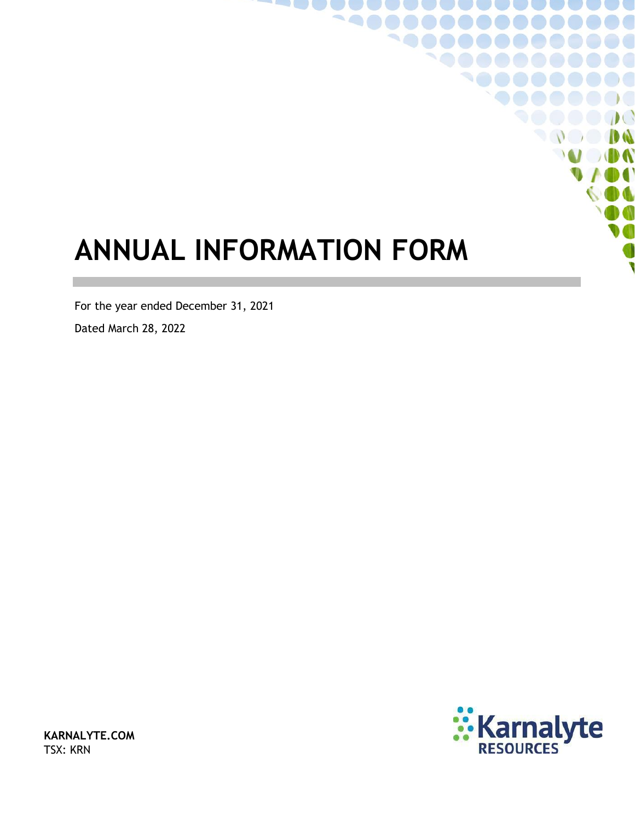# <span id="page-0-0"></span>**ANNUAL INFORMATION FORM**

For the year ended December 31, 2021

Dated March 28, 2022



**KARNALYTE.COM** TSX: KRN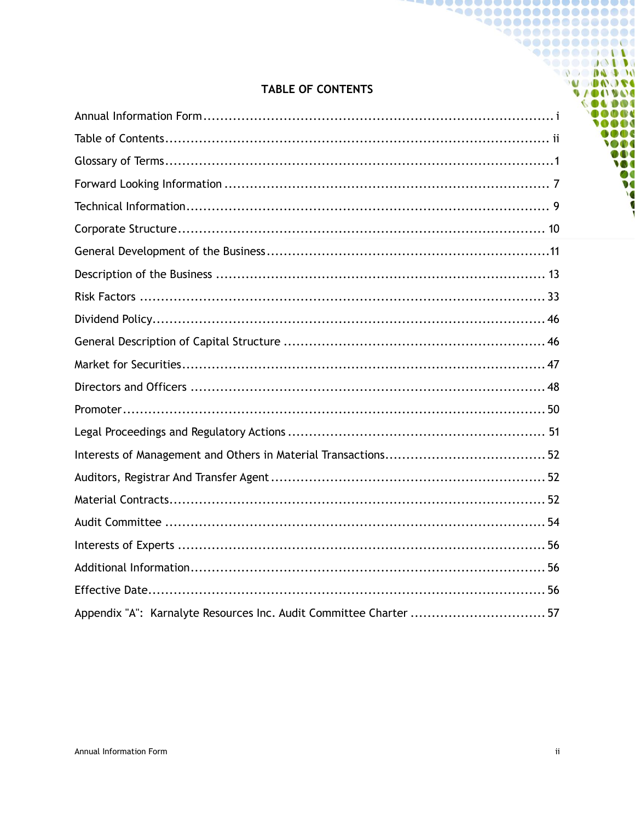#### **TABLE OF CONTENTS**

<span id="page-1-0"></span>

| Appendix "A": Karnalyte Resources Inc. Audit Committee Charter  57 |  |
|--------------------------------------------------------------------|--|

**..............** 1000000000000 10000000000 **\*\*\*\*\*\*\*\*\*\*\* COMPROVE** 

1/001000

10000  $0000$ 

Y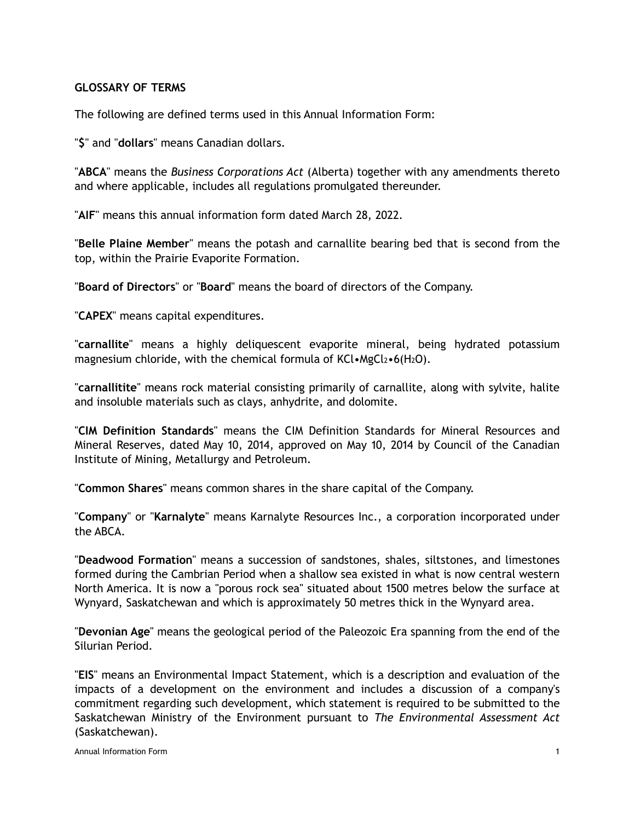#### <span id="page-2-0"></span>**GLOSSARY OF TERMS**

The following are defined terms used in this Annual Information Form:

"**\$**" and "**dollars**" means Canadian dollars.

"**ABCA**" means the *Business Corporations Act* (Alberta) together with any amendments thereto and where applicable, includes all regulations promulgated thereunder.

"**AIF**" means this annual information form dated March 28, 2022.

"**Belle Plaine Member**" means the potash and carnallite bearing bed that is second from the top, within the Prairie Evaporite Formation.

"**Board of Directors**" or "**Board**" means the board of directors of the Company.

"**CAPEX**" means capital expenditures.

"**carnallite**" means a highly deliquescent evaporite mineral, being hydrated potassium magnesium chloride, with the chemical formula of KCl•MgCl2•6(H2O).

"**carnallitite**" means rock material consisting primarily of carnallite, along with sylvite, halite and insoluble materials such as clays, anhydrite, and dolomite.

"**CIM Definition Standards**" means the CIM Definition Standards for Mineral Resources and Mineral Reserves, dated May 10, 2014, approved on May 10, 2014 by Council of the Canadian Institute of Mining, Metallurgy and Petroleum.

"**Common Shares**" means common shares in the share capital of the Company.

"**Company**" or "**Karnalyte**" means Karnalyte Resources Inc., a corporation incorporated under the ABCA.

"**Deadwood Formation**" means a succession of sandstones, shales, siltstones, and limestones formed during the Cambrian Period when a shallow sea existed in what is now central western North America. It is now a "porous rock sea" situated about 1500 metres below the surface at Wynyard, Saskatchewan and which is approximately 50 metres thick in the Wynyard area.

"**Devonian Age**" means the geological period of the Paleozoic Era spanning from the end of the Silurian Period.

"**EIS**" means an Environmental Impact Statement, which is a description and evaluation of the impacts of a development on the environment and includes a discussion of a company's commitment regarding such development, which statement is required to be submitted to the Saskatchewan Ministry of the Environment pursuant to *The Environmental Assessment Act* (Saskatchewan).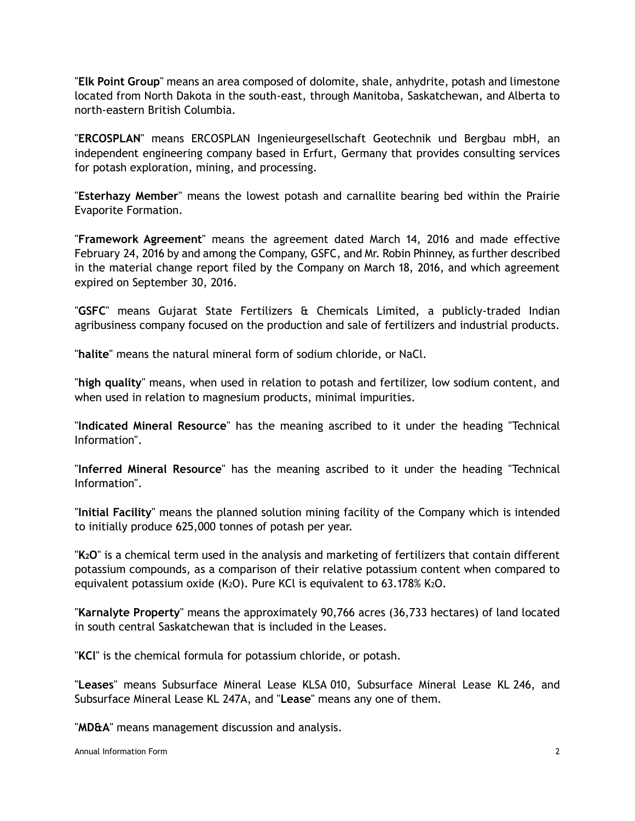"**Elk Point Group**" means an area composed of dolomite, shale, anhydrite, potash and limestone located from North Dakota in the south-east, through Manitoba, Saskatchewan, and Alberta to north-eastern British Columbia.

"**ERCOSPLAN**" means ERCOSPLAN Ingenieurgesellschaft Geotechnik und Bergbau mbH, an independent engineering company based in Erfurt, Germany that provides consulting services for potash exploration, mining, and processing.

"**Esterhazy Member**" means the lowest potash and carnallite bearing bed within the Prairie Evaporite Formation.

"**Framework Agreement**" means the agreement dated March 14, 2016 and made effective February 24, 2016 by and among the Company, GSFC, and Mr. Robin Phinney, as further described in the material change report filed by the Company on March 18, 2016, and which agreement expired on September 30, 2016.

"**GSFC**" means Gujarat State Fertilizers & Chemicals Limited, a publicly-traded Indian agribusiness company focused on the production and sale of fertilizers and industrial products.

"**halite**" means the natural mineral form of sodium chloride, or NaCl.

"**high quality**" means, when used in relation to potash and fertilizer, low sodium content, and when used in relation to magnesium products, minimal impurities.

"**Indicated Mineral Resource**" has the meaning ascribed to it under the heading ["Technical](#page-10-0)  [Information"](#page-10-0).

"**Inferred Mineral Resource**" has the meaning ascribed to it under the heading ["Technical](#page-10-0)  [Information"](#page-10-0).

"**Initial Facility**" means the planned solution mining facility of the Company which is intended to initially produce 625,000 tonnes of potash per year.

"**K2O**" is a chemical term used in the analysis and marketing of fertilizers that contain different potassium compounds, as a comparison of their relative potassium content when compared to equivalent potassium oxide (K<sub>2</sub>O). Pure KCl is equivalent to 63.178% K<sub>2</sub>O.

"**Karnalyte Property**" means the approximately 90,766 acres (36,733 hectares) of land located in south central Saskatchewan that is included in the Leases.

"**KCl**" is the chemical formula for potassium chloride, or potash.

"**Leases**" means Subsurface Mineral Lease KLSA 010, Subsurface Mineral Lease KL 246, and Subsurface Mineral Lease KL 247A, and "**Lease**" means any one of them.

"**MD&A**" means management discussion and analysis.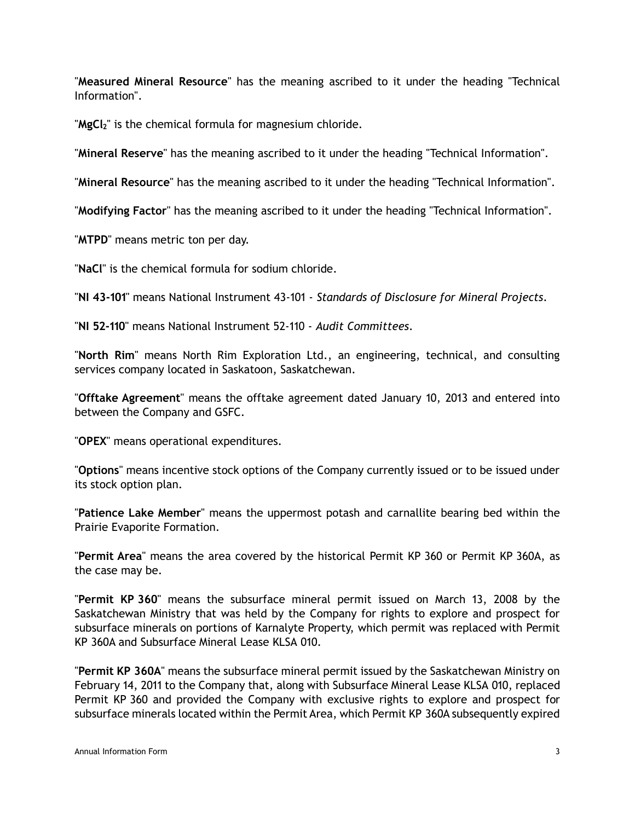"**Measured Mineral Resource**" has the meaning ascribed to it under the heading ["Technical](#page-10-0)  [Information"](#page-10-0).

"**MgCl2**" is the chemical formula for magnesium chloride.

"**Mineral Reserve**" has the meaning ascribed to it under the heading ["Technical Information"](#page-10-0).

"**Mineral Resource**" has the meaning ascribed to it under the heading ["Technical Information"](#page-10-0).

"**Modifying Factor**" has the meaning ascribed to it under the heading ["Technical Information"](#page-10-0).

"**MTPD**" means metric ton per day.

"**NaCl**" is the chemical formula for sodium chloride.

"**NI 43-101**" means National Instrument 43-101 - *Standards of Disclosure for Mineral Projects*.

"**NI 52-110**" means National Instrument 52-110 - *Audit Committees*.

"**North Rim**" means North Rim Exploration Ltd., an engineering, technical, and consulting services company located in Saskatoon, Saskatchewan.

"**Offtake Agreement**" means the offtake agreement dated January 10, 2013 and entered into between the Company and GSFC.

"**OPEX**" means operational expenditures.

"**Options**" means incentive stock options of the Company currently issued or to be issued under its stock option plan.

"**Patience Lake Member**" means the uppermost potash and carnallite bearing bed within the Prairie Evaporite Formation.

"**Permit Area**" means the area covered by the historical Permit KP 360 or Permit KP 360A, as the case may be.

"**Permit KP 360**" means the subsurface mineral permit issued on March 13, 2008 by the Saskatchewan Ministry that was held by the Company for rights to explore and prospect for subsurface minerals on portions of Karnalyte Property, which permit was replaced with Permit KP 360A and Subsurface Mineral Lease KLSA 010.

"**Permit KP 360A**" means the subsurface mineral permit issued by the Saskatchewan Ministry on February 14, 2011 to the Company that, along with Subsurface Mineral Lease KLSA 010, replaced Permit KP 360 and provided the Company with exclusive rights to explore and prospect for subsurface minerals located within the Permit Area, which Permit KP 360A subsequently expired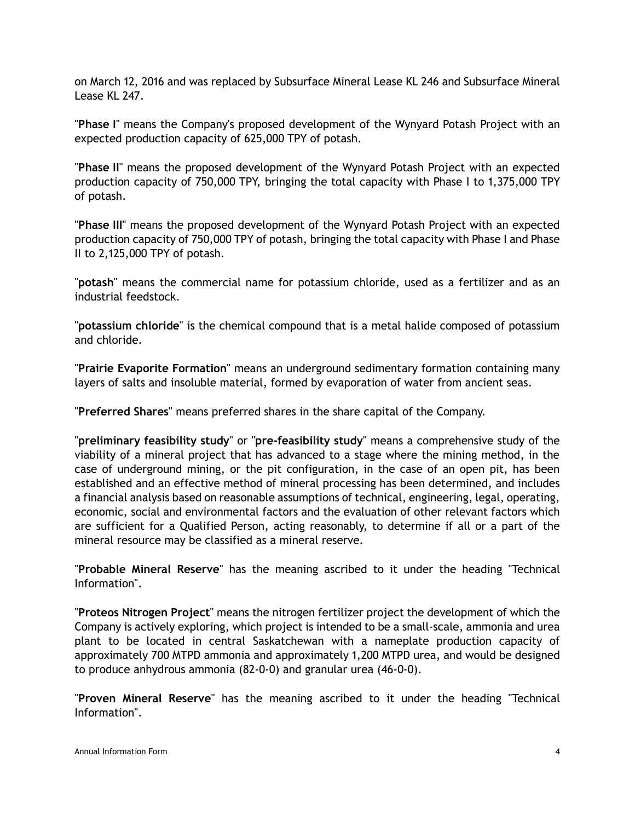on March 12, 2016 and was replaced by Subsurface Mineral Lease KL 246 and Subsurface Mineral Lease KL 247.

"**Phase I**" means the Company's proposed development of the Wynyard Potash Project with an expected production capacity of 625,000 TPY of potash.

"**Phase II**" means the proposed development of the Wynyard Potash Project with an expected production capacity of 750,000 TPY, bringing the total capacity with Phase I to 1,375,000 TPY of potash.

"**Phase III**" means the proposed development of the Wynyard Potash Project with an expected production capacity of 750,000 TPY of potash, bringing the total capacity with Phase I and Phase II to 2,125,000 TPY of potash.

"**potash**" means the commercial name for potassium chloride, used as a fertilizer and as an industrial feedstock.

"**potassium chloride**" is the chemical compound that is a metal halide composed of potassium and chloride.

"**Prairie Evaporite Formation**" means an underground sedimentary formation containing many layers of salts and insoluble material, formed by evaporation of water from ancient seas.

"**Preferred Shares**" means preferred shares in the share capital of the Company.

"**preliminary feasibility study**" or "**pre-feasibility study**" means a comprehensive study of the viability of a mineral project that has advanced to a stage where the mining method, in the case of underground mining, or the pit configuration, in the case of an open pit, has been established and an effective method of mineral processing has been determined, and includes a financial analysis based on reasonable assumptions of technical, engineering, legal, operating, economic, social and environmental factors and the evaluation of other relevant factors which are sufficient for a Qualified Person, acting reasonably, to determine if all or a part of the mineral resource may be classified as a mineral reserve.

"**Probable Mineral Reserve**" has the meaning ascribed to it under the heading ["Technical](#page-10-0)  [Information"](#page-10-0).

"**Proteos Nitrogen Project**" means the nitrogen fertilizer project the development of which the Company is actively exploring, which project is intended to be a small-scale, ammonia and urea plant to be located in central Saskatchewan with a nameplate production capacity of approximately 700 MTPD ammonia and approximately 1,200 MTPD urea, and would be designed to produce anhydrous ammonia (82-0-0) and granular urea (46-0-0).

"**Proven Mineral Reserve**" has the meaning ascribed to it under the heading ["Technical](#page-10-0)  [Information"](#page-10-0).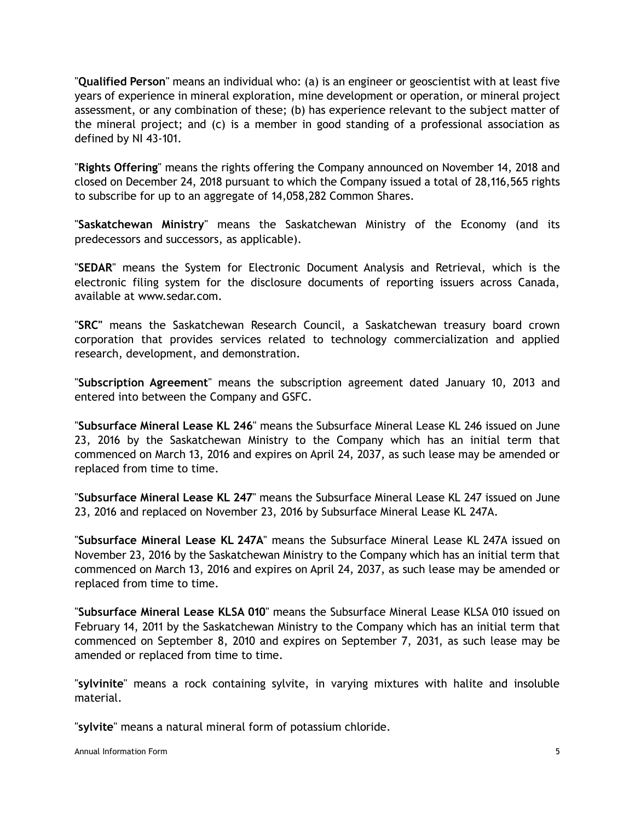"**Qualified Person**" means an individual who: (a) is an engineer or geoscientist with at least five years of experience in mineral exploration, mine development or operation, or mineral project assessment, or any combination of these; (b) has experience relevant to the subject matter of the mineral project; and (c) is a member in good standing of a professional association as defined by NI 43-101.

"**Rights Offering**" means the rights offering the Company announced on November 14, 2018 and closed on December 24, 2018 pursuant to which the Company issued a total of 28,116,565 rights to subscribe for up to an aggregate of 14,058,282 Common Shares.

"**Saskatchewan Ministry**" means the Saskatchewan Ministry of the Economy (and its predecessors and successors, as applicable).

"**SEDAR**" means the System for Electronic Document Analysis and Retrieval, which is the electronic filing system for the disclosure documents of reporting issuers across Canada, available at www.sedar.com.

"**SRC"** means the Saskatchewan Research Council, a Saskatchewan treasury board crown corporation that provides services related to technology commercialization and applied research, development, and demonstration.

"**Subscription Agreement**" means the subscription agreement dated January 10, 2013 and entered into between the Company and GSFC.

"**Subsurface Mineral Lease KL 246**" means the Subsurface Mineral Lease KL 246 issued on June 23, 2016 by the Saskatchewan Ministry to the Company which has an initial term that commenced on March 13, 2016 and expires on April 24, 2037, as such lease may be amended or replaced from time to time.

"**Subsurface Mineral Lease KL 247**" means the Subsurface Mineral Lease KL 247 issued on June 23, 2016 and replaced on November 23, 2016 by Subsurface Mineral Lease KL 247A.

"**Subsurface Mineral Lease KL 247A**" means the Subsurface Mineral Lease KL 247A issued on November 23, 2016 by the Saskatchewan Ministry to the Company which has an initial term that commenced on March 13, 2016 and expires on April 24, 2037, as such lease may be amended or replaced from time to time.

"**Subsurface Mineral Lease KLSA 010**" means the Subsurface Mineral Lease KLSA 010 issued on February 14, 2011 by the Saskatchewan Ministry to the Company which has an initial term that commenced on September 8, 2010 and expires on September 7, 2031, as such lease may be amended or replaced from time to time.

"**sylvinite**" means a rock containing sylvite, in varying mixtures with halite and insoluble material.

"**sylvite**" means a natural mineral form of potassium chloride.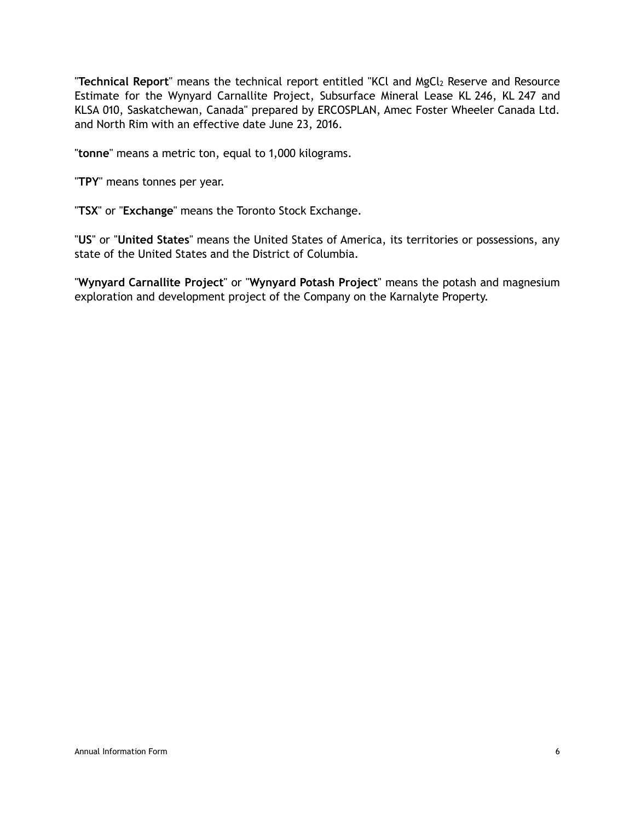"Technical Report" means the technical report entitled "KCl and MgCl<sub>2</sub> Reserve and Resource Estimate for the Wynyard Carnallite Project, Subsurface Mineral Lease KL 246, KL 247 and KLSA 010, Saskatchewan, Canada" prepared by ERCOSPLAN, Amec Foster Wheeler Canada Ltd. and North Rim with an effective date June 23, 2016.

"**tonne**" means a metric ton, equal to 1,000 kilograms.

"**TPY**" means tonnes per year.

"**TSX**" or "**Exchange**" means the Toronto Stock Exchange.

"**US**" or "**United States**" means the United States of America, its territories or possessions, any state of the United States and the District of Columbia.

"**Wynyard Carnallite Project**" or "**Wynyard Potash Project**" means the potash and magnesium exploration and development project of the Company on the Karnalyte Property.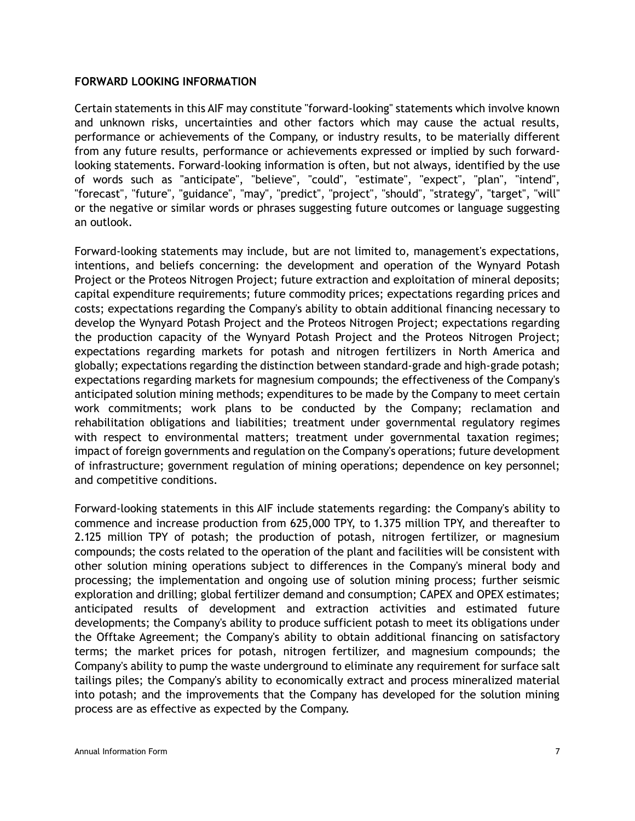#### <span id="page-8-0"></span>**FORWARD LOOKING INFORMATION**

Certain statements in this AIF may constitute "forward-looking" statements which involve known and unknown risks, uncertainties and other factors which may cause the actual results, performance or achievements of the Company, or industry results, to be materially different from any future results, performance or achievements expressed or implied by such forwardlooking statements. Forward-looking information is often, but not always, identified by the use of words such as "anticipate", "believe", "could", "estimate", "expect", "plan", "intend", "forecast", "future", "guidance", "may", "predict", "project", "should", "strategy", "target", "will" or the negative or similar words or phrases suggesting future outcomes or language suggesting an outlook.

Forward-looking statements may include, but are not limited to, management's expectations, intentions, and beliefs concerning: the development and operation of the Wynyard Potash Project or the Proteos Nitrogen Project; future extraction and exploitation of mineral deposits; capital expenditure requirements; future commodity prices; expectations regarding prices and costs; expectations regarding the Company's ability to obtain additional financing necessary to develop the Wynyard Potash Project and the Proteos Nitrogen Project; expectations regarding the production capacity of the Wynyard Potash Project and the Proteos Nitrogen Project; expectations regarding markets for potash and nitrogen fertilizers in North America and globally; expectations regarding the distinction between standard-grade and high-grade potash; expectations regarding markets for magnesium compounds; the effectiveness of the Company's anticipated solution mining methods; expenditures to be made by the Company to meet certain work commitments; work plans to be conducted by the Company; reclamation and rehabilitation obligations and liabilities; treatment under governmental regulatory regimes with respect to environmental matters; treatment under governmental taxation regimes; impact of foreign governments and regulation on the Company's operations; future development of infrastructure; government regulation of mining operations; dependence on key personnel; and competitive conditions.

Forward-looking statements in this AIF include statements regarding: the Company's ability to commence and increase production from 625,000 TPY, to 1.375 million TPY, and thereafter to 2.125 million TPY of potash; the production of potash, nitrogen fertilizer, or magnesium compounds; the costs related to the operation of the plant and facilities will be consistent with other solution mining operations subject to differences in the Company's mineral body and processing; the implementation and ongoing use of solution mining process; further seismic exploration and drilling; global fertilizer demand and consumption; CAPEX and OPEX estimates; anticipated results of development and extraction activities and estimated future developments; the Company's ability to produce sufficient potash to meet its obligations under the Offtake Agreement; the Company's ability to obtain additional financing on satisfactory terms; the market prices for potash, nitrogen fertilizer, and magnesium compounds; the Company's ability to pump the waste underground to eliminate any requirement for surface salt tailings piles; the Company's ability to economically extract and process mineralized material into potash; and the improvements that the Company has developed for the solution mining process are as effective as expected by the Company.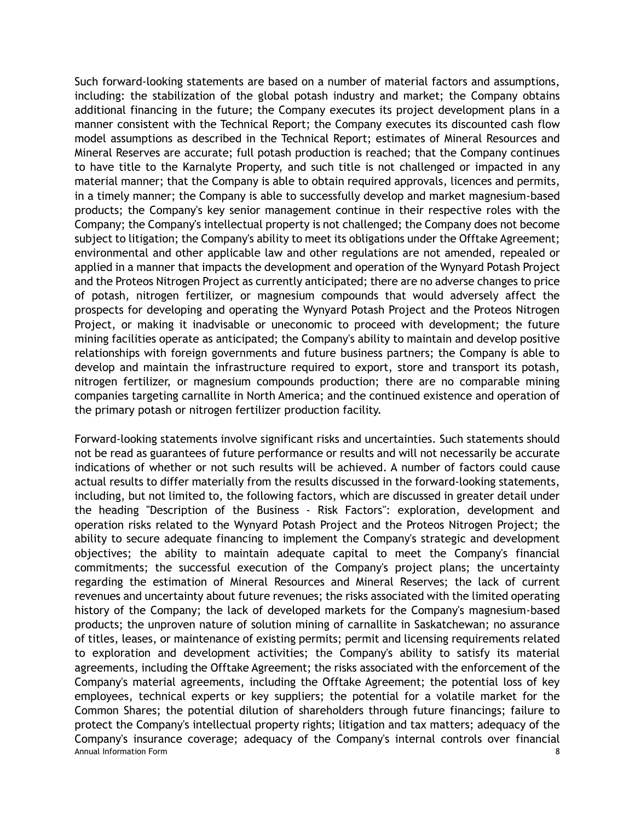Such forward-looking statements are based on a number of material factors and assumptions, including: the stabilization of the global potash industry and market; the Company obtains additional financing in the future; the Company executes its project development plans in a manner consistent with the Technical Report; the Company executes its discounted cash flow model assumptions as described in the Technical Report; estimates of Mineral Resources and Mineral Reserves are accurate; full potash production is reached; that the Company continues to have title to the Karnalyte Property, and such title is not challenged or impacted in any material manner; that the Company is able to obtain required approvals, licences and permits, in a timely manner; the Company is able to successfully develop and market magnesium-based products; the Company's key senior management continue in their respective roles with the Company; the Company's intellectual property is not challenged; the Company does not become subject to litigation; the Company's ability to meet its obligations under the Offtake Agreement; environmental and other applicable law and other regulations are not amended, repealed or applied in a manner that impacts the development and operation of the Wynyard Potash Project and the Proteos Nitrogen Project as currently anticipated; there are no adverse changes to price of potash, nitrogen fertilizer, or magnesium compounds that would adversely affect the prospects for developing and operating the Wynyard Potash Project and the Proteos Nitrogen Project, or making it inadvisable or uneconomic to proceed with development; the future mining facilities operate as anticipated; the Company's ability to maintain and develop positive relationships with foreign governments and future business partners; the Company is able to develop and maintain the infrastructure required to export, store and transport its potash, nitrogen fertilizer, or magnesium compounds production; there are no comparable mining companies targeting carnallite in North America; and the continued existence and operation of the primary potash or nitrogen fertilizer production facility.

Annual Information Form 8 Forward-looking statements involve significant risks and uncertainties. Such statements should not be read as guarantees of future performance or results and will not necessarily be accurate indications of whether or not such results will be achieved. A number of factors could cause actual results to differ materially from the results discussed in the forward-looking statements, including, but not limited to, the following factors, which are discussed in greater detail under the heading ["Description of the Business](#page-14-0) - [Risk Factors"](#page-34-0): exploration, development and operation risks related to the Wynyard Potash Project and the Proteos Nitrogen Project; the ability to secure adequate financing to implement the Company's strategic and development objectives; the ability to maintain adequate capital to meet the Company's financial commitments; the successful execution of the Company's project plans; the uncertainty regarding the estimation of Mineral Resources and Mineral Reserves; the lack of current revenues and uncertainty about future revenues; the risks associated with the limited operating history of the Company; the lack of developed markets for the Company's magnesium-based products; the unproven nature of solution mining of carnallite in Saskatchewan; no assurance of titles, leases, or maintenance of existing permits; permit and licensing requirements related to exploration and development activities; the Company's ability to satisfy its material agreements, including the Offtake Agreement; the risks associated with the enforcement of the Company's material agreements, including the Offtake Agreement; the potential loss of key employees, technical experts or key suppliers; the potential for a volatile market for the Common Shares; the potential dilution of shareholders through future financings; failure to protect the Company's intellectual property rights; litigation and tax matters; adequacy of the Company's insurance coverage; adequacy of the Company's internal controls over financial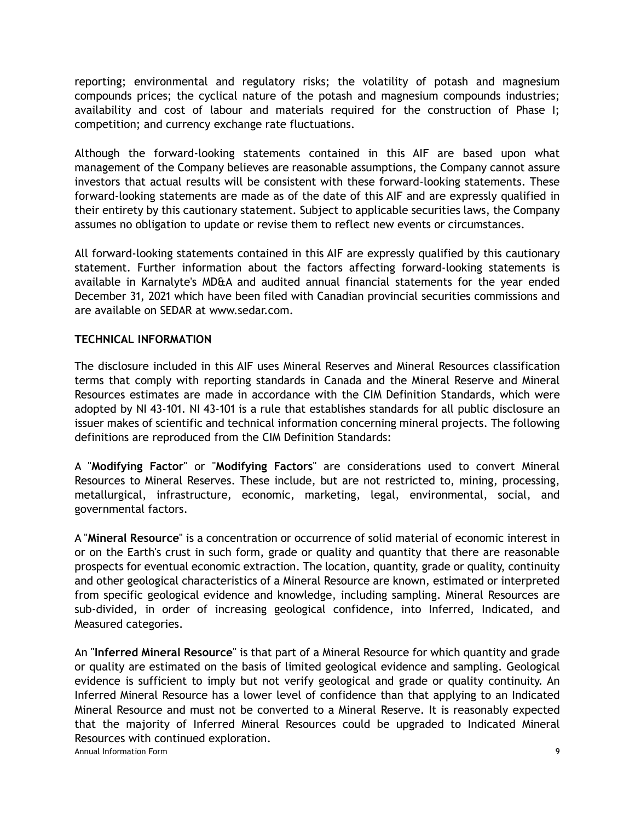reporting; environmental and regulatory risks; the volatility of potash and magnesium compounds prices; the cyclical nature of the potash and magnesium compounds industries; availability and cost of labour and materials required for the construction of Phase I; competition; and currency exchange rate fluctuations.

Although the forward-looking statements contained in this AIF are based upon what management of the Company believes are reasonable assumptions, the Company cannot assure investors that actual results will be consistent with these forward-looking statements. These forward-looking statements are made as of the date of this AIF and are expressly qualified in their entirety by this cautionary statement. Subject to applicable securities laws, the Company assumes no obligation to update or revise them to reflect new events or circumstances.

All forward-looking statements contained in this AIF are expressly qualified by this cautionary statement. Further information about the factors affecting forward-looking statements is available in Karnalyte's MD&A and audited annual financial statements for the year ended December 31, 2021 which have been filed with Canadian provincial securities commissions and are available on SEDAR at www.sedar.com.

# <span id="page-10-0"></span>**TECHNICAL INFORMATION**

The disclosure included in this AIF uses Mineral Reserves and Mineral Resources classification terms that comply with reporting standards in Canada and the Mineral Reserve and Mineral Resources estimates are made in accordance with the CIM Definition Standards, which were adopted by NI 43-101. NI 43-101 is a rule that establishes standards for all public disclosure an issuer makes of scientific and technical information concerning mineral projects. The following definitions are reproduced from the CIM Definition Standards:

A "**Modifying Factor**" or "**Modifying Factors**" are considerations used to convert Mineral Resources to Mineral Reserves. These include, but are not restricted to, mining, processing, metallurgical, infrastructure, economic, marketing, legal, environmental, social, and governmental factors.

A "**Mineral Resource**" is a concentration or occurrence of solid material of economic interest in or on the Earth's crust in such form, grade or quality and quantity that there are reasonable prospects for eventual economic extraction. The location, quantity, grade or quality, continuity and other geological characteristics of a Mineral Resource are known, estimated or interpreted from specific geological evidence and knowledge, including sampling. Mineral Resources are sub-divided, in order of increasing geological confidence, into Inferred, Indicated, and Measured categories.

Annual Information Form 9 An "**Inferred Mineral Resource**" is that part of a Mineral Resource for which quantity and grade or quality are estimated on the basis of limited geological evidence and sampling. Geological evidence is sufficient to imply but not verify geological and grade or quality continuity. An Inferred Mineral Resource has a lower level of confidence than that applying to an Indicated Mineral Resource and must not be converted to a Mineral Reserve. It is reasonably expected that the majority of Inferred Mineral Resources could be upgraded to Indicated Mineral Resources with continued exploration.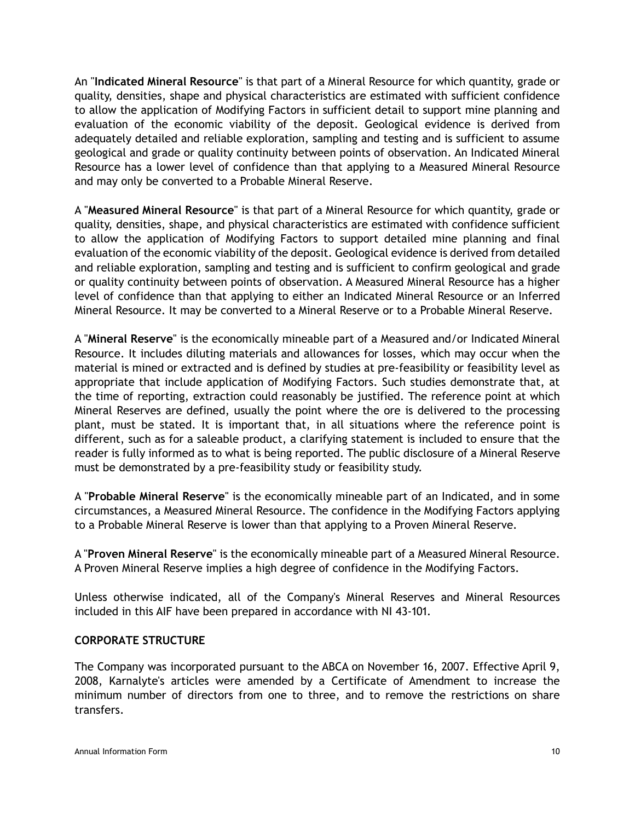An "**Indicated Mineral Resource**" is that part of a Mineral Resource for which quantity, grade or quality, densities, shape and physical characteristics are estimated with sufficient confidence to allow the application of Modifying Factors in sufficient detail to support mine planning and evaluation of the economic viability of the deposit. Geological evidence is derived from adequately detailed and reliable exploration, sampling and testing and is sufficient to assume geological and grade or quality continuity between points of observation. An Indicated Mineral Resource has a lower level of confidence than that applying to a Measured Mineral Resource and may only be converted to a Probable Mineral Reserve.

A "**Measured Mineral Resource**" is that part of a Mineral Resource for which quantity, grade or quality, densities, shape, and physical characteristics are estimated with confidence sufficient to allow the application of Modifying Factors to support detailed mine planning and final evaluation of the economic viability of the deposit. Geological evidence is derived from detailed and reliable exploration, sampling and testing and is sufficient to confirm geological and grade or quality continuity between points of observation. A Measured Mineral Resource has a higher level of confidence than that applying to either an Indicated Mineral Resource or an Inferred Mineral Resource. It may be converted to a Mineral Reserve or to a Probable Mineral Reserve.

A "**Mineral Reserve**" is the economically mineable part of a Measured and/or Indicated Mineral Resource. It includes diluting materials and allowances for losses, which may occur when the material is mined or extracted and is defined by studies at pre-feasibility or feasibility level as appropriate that include application of Modifying Factors. Such studies demonstrate that, at the time of reporting, extraction could reasonably be justified. The reference point at which Mineral Reserves are defined, usually the point where the ore is delivered to the processing plant, must be stated. It is important that, in all situations where the reference point is different, such as for a saleable product, a clarifying statement is included to ensure that the reader is fully informed as to what is being reported. The public disclosure of a Mineral Reserve must be demonstrated by a pre-feasibility study or feasibility study.

A "**Probable Mineral Reserve**" is the economically mineable part of an Indicated, and in some circumstances, a Measured Mineral Resource. The confidence in the Modifying Factors applying to a Probable Mineral Reserve is lower than that applying to a Proven Mineral Reserve.

A "**Proven Mineral Reserve**" is the economically mineable part of a Measured Mineral Resource. A Proven Mineral Reserve implies a high degree of confidence in the Modifying Factors.

Unless otherwise indicated, all of the Company's Mineral Reserves and Mineral Resources included in this AIF have been prepared in accordance with NI 43-101.

#### <span id="page-11-0"></span>**CORPORATE STRUCTURE**

The Company was incorporated pursuant to the ABCA on November 16, 2007. Effective April 9, 2008, Karnalyte's articles were amended by a Certificate of Amendment to increase the minimum number of directors from one to three, and to remove the restrictions on share transfers.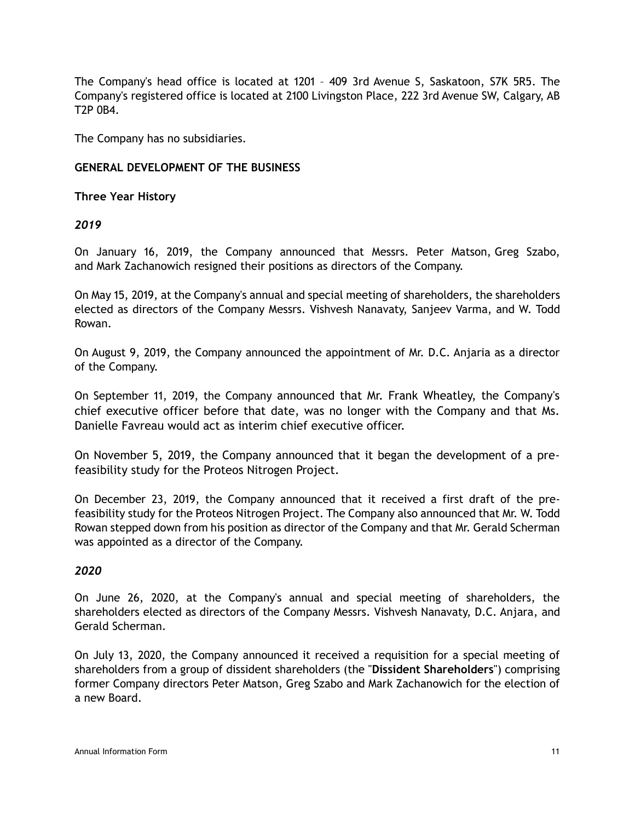The Company's head office is located at 1201 – 409 3rd Avenue S, Saskatoon, S7K 5R5. The Company's registered office is located at 2100 Livingston Place, 222 3rd Avenue SW, Calgary, AB T2P 0B4.

The Company has no subsidiaries.

#### <span id="page-12-0"></span>**GENERAL DEVELOPMENT OF THE BUSINESS**

**Three Year History**

#### *2019*

On January 16, 2019, the Company announced that Messrs. Peter Matson, Greg Szabo, and Mark Zachanowich resigned their positions as directors of the Company.

On May 15, 2019, at the Company's annual and special meeting of shareholders, the shareholders elected as directors of the Company Messrs. Vishvesh Nanavaty, Sanjeev Varma, and W. Todd Rowan.

On August 9, 2019, the Company announced the appointment of Mr. D.C. Anjaria as a director of the Company.

On September 11, 2019, the Company announced that Mr. Frank Wheatley, the Company's chief executive officer before that date, was no longer with the Company and that Ms. Danielle Favreau would act as interim chief executive officer.

On November 5, 2019, the Company announced that it began the development of a prefeasibility study for the Proteos Nitrogen Project.

On December 23, 2019, the Company announced that it received a first draft of the prefeasibility study for the Proteos Nitrogen Project. The Company also announced that Mr. W. Todd Rowan stepped down from his position as director of the Company and that Mr. Gerald Scherman was appointed as a director of the Company.

# *2020*

On June 26, 2020, at the Company's annual and special meeting of shareholders, the shareholders elected as directors of the Company Messrs. Vishvesh Nanavaty, D.C. Anjara, and Gerald Scherman.

On July 13, 2020, the Company announced it received a requisition for a special meeting of shareholders from a group of dissident shareholders (the "**Dissident Shareholders**") comprising former Company directors Peter Matson, Greg Szabo and Mark Zachanowich for the election of a new Board.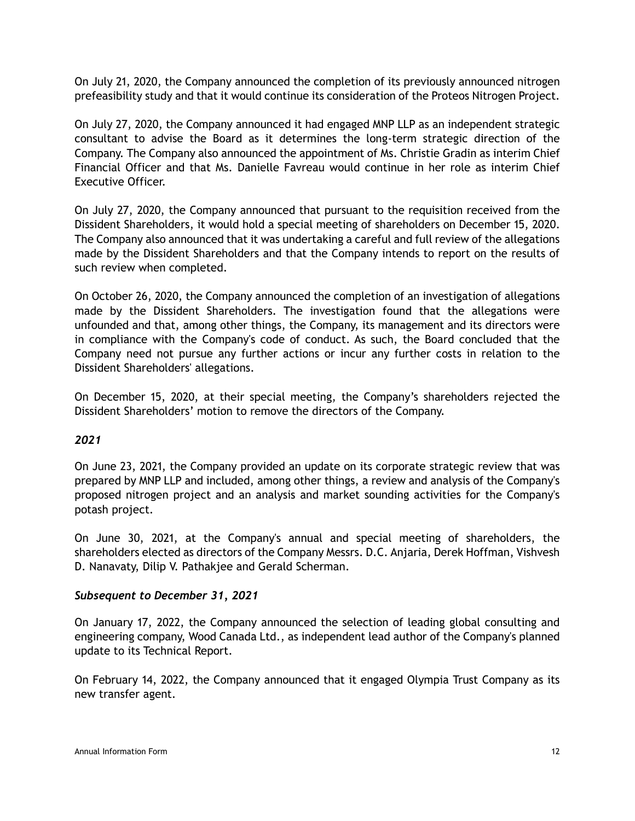On July 21, 2020, the Company announced the completion of its previously announced nitrogen prefeasibility study and that it would continue its consideration of the Proteos Nitrogen Project.

On July 27, 2020, the Company announced it had engaged MNP LLP as an independent strategic consultant to advise the Board as it determines the long-term strategic direction of the Company. The Company also announced the appointment of Ms. Christie Gradin as interim Chief Financial Officer and that Ms. Danielle Favreau would continue in her role as interim Chief Executive Officer.

On July 27, 2020, the Company announced that pursuant to the requisition received from the Dissident Shareholders, it would hold a special meeting of shareholders on December 15, 2020. The Company also announced that it was undertaking a careful and full review of the allegations made by the Dissident Shareholders and that the Company intends to report on the results of such review when completed.

On October 26, 2020, the Company announced the completion of an investigation of allegations made by the Dissident Shareholders. The investigation found that the allegations were unfounded and that, among other things, the Company, its management and its directors were in compliance with the Company's code of conduct. As such, the Board concluded that the Company need not pursue any further actions or incur any further costs in relation to the Dissident Shareholders' allegations.

On December 15, 2020, at their special meeting, the Company's shareholders rejected the Dissident Shareholders' motion to remove the directors of the Company.

#### *2021*

On June 23, 2021, the Company provided an update on its corporate strategic review that was prepared by MNP LLP and included, among other things, a review and analysis of the Company's proposed nitrogen project and an analysis and market sounding activities for the Company's potash project.

On June 30, 2021, at the Company's annual and special meeting of shareholders, the shareholders elected as directors of the Company Messrs. D.C. Anjaria, Derek Hoffman, Vishvesh D. Nanavaty, Dilip V. Pathakjee and Gerald Scherman.

#### *Subsequent to December 31, 2021*

On January 17, 2022, the Company announced the selection of leading global consulting and engineering company, Wood Canada Ltd., as independent lead author of the Company's planned update to its Technical Report.

On February 14, 2022, the Company announced that it engaged Olympia Trust Company as its new transfer agent.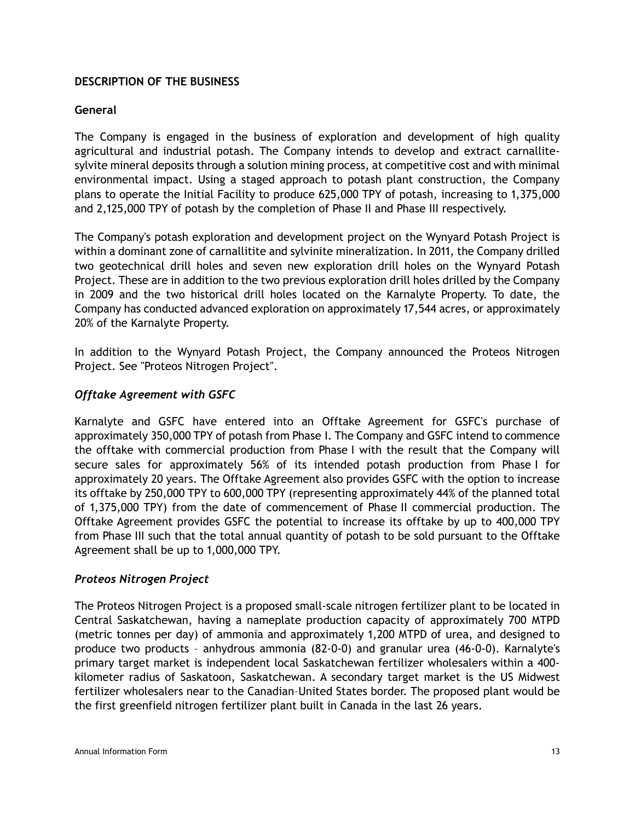#### <span id="page-14-0"></span>**DESCRIPTION OF THE BUSINESS**

#### **General**

The Company is engaged in the business of exploration and development of high quality agricultural and industrial potash. The Company intends to develop and extract carnallitesylvite mineral deposits through a solution mining process, at competitive cost and with minimal environmental impact. Using a staged approach to potash plant construction, the Company plans to operate the Initial Facility to produce 625,000 TPY of potash, increasing to 1,375,000 and 2,125,000 TPY of potash by the completion of Phase II and Phase III respectively.

The Company's potash exploration and development project on the Wynyard Potash Project is within a dominant zone of carnallitite and sylvinite mineralization. In 2011, the Company drilled two geotechnical drill holes and seven new exploration drill holes on the Wynyard Potash Project. These are in addition to the two previous exploration drill holes drilled by the Company in 2009 and the two historical drill holes located on the Karnalyte Property. To date, the Company has conducted advanced exploration on approximately 17,544 acres, or approximately 20% of the Karnalyte Property.

In addition to the Wynyard Potash Project, the Company announced the Proteos Nitrogen Project. See ["Proteos Nitrogen Project"](#page-14-1).

#### *Offtake Agreement with GSFC*

Karnalyte and GSFC have entered into an Offtake Agreement for GSFC's purchase of approximately 350,000 TPY of potash from Phase I. The Company and GSFC intend to commence the offtake with commercial production from Phase I with the result that the Company will secure sales for approximately 56% of its intended potash production from Phase I for approximately 20 years. The Offtake Agreement also provides GSFC with the option to increase its offtake by 250,000 TPY to 600,000 TPY (representing approximately 44% of the planned total of 1,375,000 TPY) from the date of commencement of Phase II commercial production. The Offtake Agreement provides GSFC the potential to increase its offtake by up to 400,000 TPY from Phase III such that the total annual quantity of potash to be sold pursuant to the Offtake Agreement shall be up to 1,000,000 TPY.

#### <span id="page-14-1"></span>*Proteos Nitrogen Project*

The Proteos Nitrogen Project is a proposed small-scale nitrogen fertilizer plant to be located in Central Saskatchewan, having a nameplate production capacity of approximately 700 MTPD (metric tonnes per day) of ammonia and approximately 1,200 MTPD of urea, and designed to produce two products – anhydrous ammonia (82-0-0) and granular urea (46-0-0). Karnalyte's primary target market is independent local Saskatchewan fertilizer wholesalers within a 400 kilometer radius of Saskatoon, Saskatchewan. A secondary target market is the US Midwest fertilizer wholesalers near to the Canadian–United States border. The proposed plant would be the first greenfield nitrogen fertilizer plant built in Canada in the last 26 years.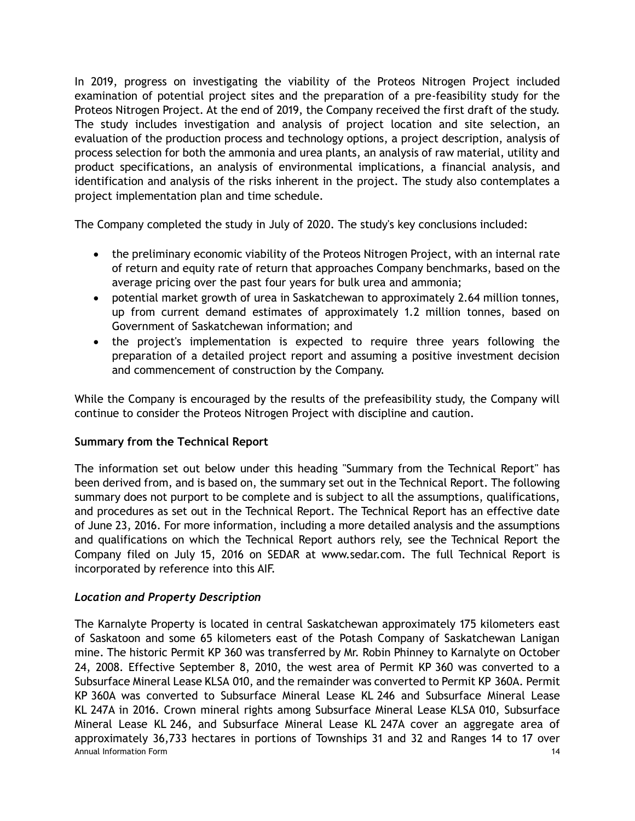In 2019, progress on investigating the viability of the Proteos Nitrogen Project included examination of potential project sites and the preparation of a pre-feasibility study for the Proteos Nitrogen Project. At the end of 2019, the Company received the first draft of the study. The study includes investigation and analysis of project location and site selection, an evaluation of the production process and technology options, a project description, analysis of process selection for both the ammonia and urea plants, an analysis of raw material, utility and product specifications, an analysis of environmental implications, a financial analysis, and identification and analysis of the risks inherent in the project. The study also contemplates a project implementation plan and time schedule.

The Company completed the study in July of 2020. The study's key conclusions included:

- the preliminary economic viability of the Proteos Nitrogen Project, with an internal rate of return and equity rate of return that approaches Company benchmarks, based on the average pricing over the past four years for bulk urea and ammonia;
- potential market growth of urea in Saskatchewan to approximately 2.64 million tonnes, up from current demand estimates of approximately 1.2 million tonnes, based on Government of Saskatchewan information; and
- the project's implementation is expected to require three years following the preparation of a detailed project report and assuming a positive investment decision and commencement of construction by the Company.

While the Company is encouraged by the results of the prefeasibility study, the Company will continue to consider the Proteos Nitrogen Project with discipline and caution.

#### <span id="page-15-0"></span>**Summary from the Technical Report**

The information set out below under this heading ["Summary from the Technical Report"](#page-15-0) has been derived from, and is based on, the summary set out in the Technical Report. The following summary does not purport to be complete and is subject to all the assumptions, qualifications, and procedures as set out in the Technical Report. The Technical Report has an effective date of June 23, 2016. For more information, including a more detailed analysis and the assumptions and qualifications on which the Technical Report authors rely, see the Technical Report the Company filed on July 15, 2016 on SEDAR at www.sedar.com. The full Technical Report is incorporated by reference into this AIF.

#### *Location and Property Description*

Annual Information Form 14 The Karnalyte Property is located in central Saskatchewan approximately 175 kilometers east of Saskatoon and some 65 kilometers east of the Potash Company of Saskatchewan Lanigan mine. The historic Permit KP 360 was transferred by Mr. Robin Phinney to Karnalyte on October 24, 2008. Effective September 8, 2010, the west area of Permit KP 360 was converted to a Subsurface Mineral Lease KLSA 010, and the remainder was converted to Permit KP 360A. Permit KP 360A was converted to Subsurface Mineral Lease KL 246 and Subsurface Mineral Lease KL 247A in 2016. Crown mineral rights among Subsurface Mineral Lease KLSA 010, Subsurface Mineral Lease KL 246, and Subsurface Mineral Lease KL 247A cover an aggregate area of approximately 36,733 hectares in portions of Townships 31 and 32 and Ranges 14 to 17 over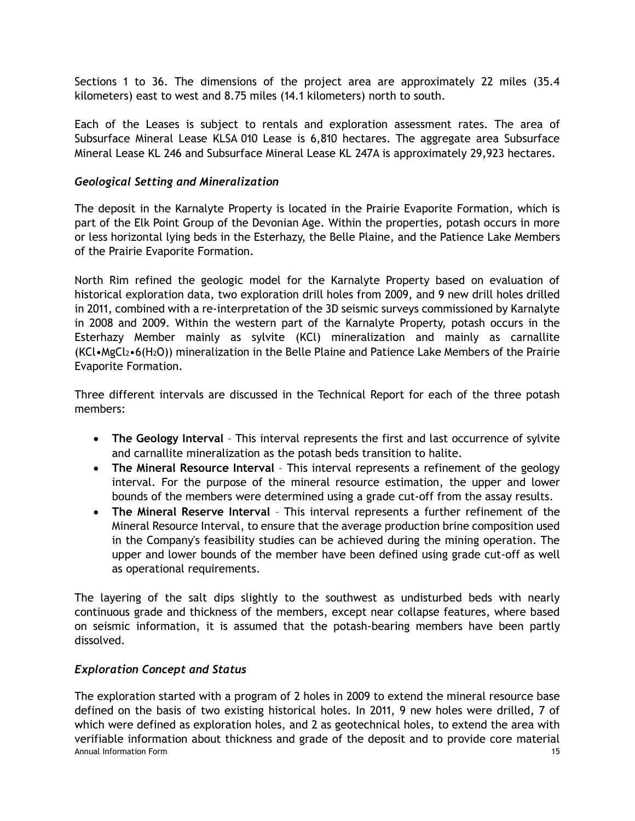Sections 1 to 36. The dimensions of the project area are approximately 22 miles (35.4 kilometers) east to west and 8.75 miles (14.1 kilometers) north to south.

Each of the Leases is subject to rentals and exploration assessment rates. The area of Subsurface Mineral Lease KLSA 010 Lease is 6,810 hectares. The aggregate area Subsurface Mineral Lease KL 246 and Subsurface Mineral Lease KL 247A is approximately 29,923 hectares.

# *Geological Setting and Mineralization*

The deposit in the Karnalyte Property is located in the Prairie Evaporite Formation, which is part of the Elk Point Group of the Devonian Age. Within the properties, potash occurs in more or less horizontal lying beds in the Esterhazy, the Belle Plaine, and the Patience Lake Members of the Prairie Evaporite Formation.

North Rim refined the geologic model for the Karnalyte Property based on evaluation of historical exploration data, two exploration drill holes from 2009, and 9 new drill holes drilled in 2011, combined with a re-interpretation of the 3D seismic surveys commissioned by Karnalyte in 2008 and 2009. Within the western part of the Karnalyte Property, potash occurs in the Esterhazy Member mainly as sylvite (KCl) mineralization and mainly as carnallite (KCl•MgCl2•6(H2O)) mineralization in the Belle Plaine and Patience Lake Members of the Prairie Evaporite Formation.

Three different intervals are discussed in the Technical Report for each of the three potash members:

- **The Geology Interval** This interval represents the first and last occurrence of sylvite and carnallite mineralization as the potash beds transition to halite.
- **The Mineral Resource Interval** This interval represents a refinement of the geology interval. For the purpose of the mineral resource estimation, the upper and lower bounds of the members were determined using a grade cut-off from the assay results.
- **The Mineral Reserve Interval** This interval represents a further refinement of the Mineral Resource Interval, to ensure that the average production brine composition used in the Company's feasibility studies can be achieved during the mining operation. The upper and lower bounds of the member have been defined using grade cut-off as well as operational requirements.

The layering of the salt dips slightly to the southwest as undisturbed beds with nearly continuous grade and thickness of the members, except near collapse features, where based on seismic information, it is assumed that the potash-bearing members have been partly dissolved.

# *Exploration Concept and Status*

Annual Information Form 15 The exploration started with a program of 2 holes in 2009 to extend the mineral resource base defined on the basis of two existing historical holes. In 2011, 9 new holes were drilled, 7 of which were defined as exploration holes, and 2 as geotechnical holes, to extend the area with verifiable information about thickness and grade of the deposit and to provide core material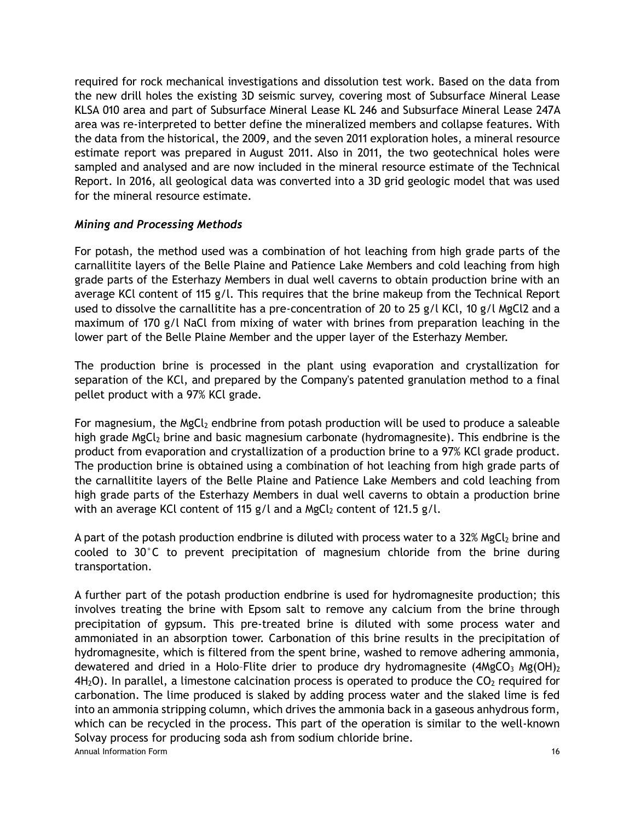required for rock mechanical investigations and dissolution test work. Based on the data from the new drill holes the existing 3D seismic survey, covering most of Subsurface Mineral Lease KLSA 010 area and part of Subsurface Mineral Lease KL 246 and Subsurface Mineral Lease 247A area was re-interpreted to better define the mineralized members and collapse features. With the data from the historical, the 2009, and the seven 2011 exploration holes, a mineral resource estimate report was prepared in August 2011. Also in 2011, the two geotechnical holes were sampled and analysed and are now included in the mineral resource estimate of the Technical Report. In 2016, all geological data was converted into a 3D grid geologic model that was used for the mineral resource estimate.

# *Mining and Processing Methods*

For potash, the method used was a combination of hot leaching from high grade parts of the carnallitite layers of the Belle Plaine and Patience Lake Members and cold leaching from high grade parts of the Esterhazy Members in dual well caverns to obtain production brine with an average KCl content of 115 g/l. This requires that the brine makeup from the Technical Report used to dissolve the carnallitite has a pre-concentration of 20 to 25 g/l KCl, 10 g/l MgCl2 and a maximum of 170 g/l NaCl from mixing of water with brines from preparation leaching in the lower part of the Belle Plaine Member and the upper layer of the Esterhazy Member.

The production brine is processed in the plant using evaporation and crystallization for separation of the KCl, and prepared by the Company's patented granulation method to a final pellet product with a 97% KCl grade.

For magnesium, the MgCl<sub>2</sub> endbrine from potash production will be used to produce a saleable high grade  $MgCl<sub>2</sub>$  brine and basic magnesium carbonate (hydromagnesite). This endbrine is the product from evaporation and crystallization of a production brine to a 97% KCl grade product. The production brine is obtained using a combination of hot leaching from high grade parts of the carnallitite layers of the Belle Plaine and Patience Lake Members and cold leaching from high grade parts of the Esterhazy Members in dual well caverns to obtain a production brine with an average KCl content of 115 g/l and a MgCl<sub>2</sub> content of 121.5 g/l.

A part of the potash production endbrine is diluted with process water to a 32% MgCl<sub>2</sub> brine and cooled to 30°C to prevent precipitation of magnesium chloride from the brine during transportation.

Annual Information Form 16 A further part of the potash production endbrine is used for hydromagnesite production; this involves treating the brine with Epsom salt to remove any calcium from the brine through precipitation of gypsum. This pre-treated brine is diluted with some process water and ammoniated in an absorption tower. Carbonation of this brine results in the precipitation of hydromagnesite, which is filtered from the spent brine, washed to remove adhering ammonia, dewatered and dried in a Holo-Flite drier to produce dry hydromagnesite  $(4MgCO<sub>3</sub> Mg(OH)<sub>2</sub>)$  $4H<sub>2</sub>O$ ). In parallel, a limestone calcination process is operated to produce the  $CO<sub>2</sub>$  required for carbonation. The lime produced is slaked by adding process water and the slaked lime is fed into an ammonia stripping column, which drives the ammonia back in a gaseous anhydrous form, which can be recycled in the process. This part of the operation is similar to the well-known Solvay process for producing soda ash from sodium chloride brine.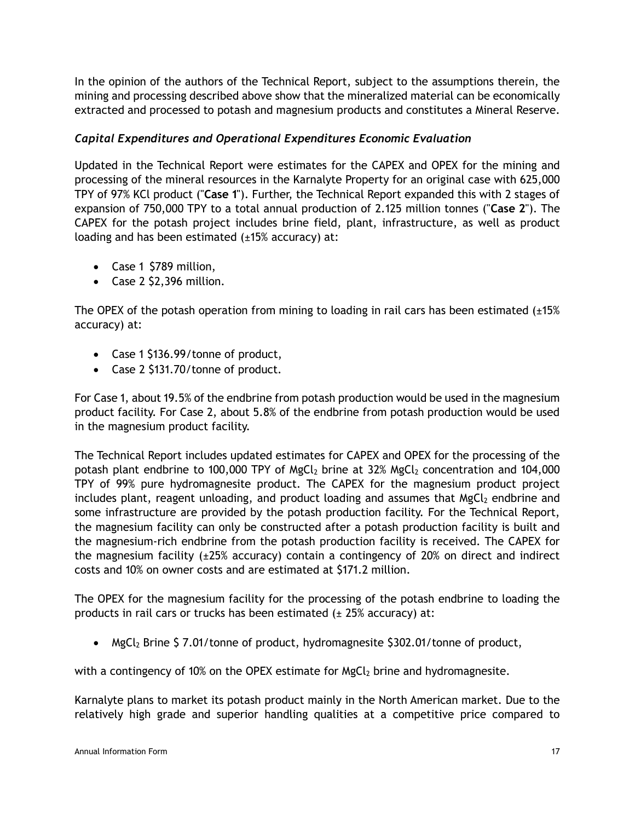In the opinion of the authors of the Technical Report, subject to the assumptions therein, the mining and processing described above show that the mineralized material can be economically extracted and processed to potash and magnesium products and constitutes a Mineral Reserve.

# *Capital Expenditures and Operational Expenditures Economic Evaluation*

Updated in the Technical Report were estimates for the CAPEX and OPEX for the mining and processing of the mineral resources in the Karnalyte Property for an original case with 625,000 TPY of 97% KCl product ("**Case 1**"). Further, the Technical Report expanded this with 2 stages of expansion of 750,000 TPY to a total annual production of 2.125 million tonnes ("**Case 2**"). The CAPEX for the potash project includes brine field, plant, infrastructure, as well as product loading and has been estimated  $(\pm 15\% \text{ accuracy})$  at:

- Case 1 \$789 million,
- Case 2 \$2,396 million.

The OPEX of the potash operation from mining to loading in rail cars has been estimated  $(\pm 15\%)$ accuracy) at:

- Case 1 \$136.99/tonne of product,
- Case 2 \$131.70/tonne of product.

For Case 1, about 19.5% of the endbrine from potash production would be used in the magnesium product facility. For Case 2, about 5.8% of the endbrine from potash production would be used in the magnesium product facility.

The Technical Report includes updated estimates for CAPEX and OPEX for the processing of the potash plant endbrine to 100,000 TPY of MgCl<sub>2</sub> brine at 32% MgCl<sub>2</sub> concentration and 104,000 TPY of 99% pure hydromagnesite product. The CAPEX for the magnesium product project includes plant, reagent unloading, and product loading and assumes that  $MgCl<sub>2</sub>$  endbrine and some infrastructure are provided by the potash production facility. For the Technical Report, the magnesium facility can only be constructed after a potash production facility is built and the magnesium-rich endbrine from the potash production facility is received. The CAPEX for the magnesium facility  $(\pm 25\%$  accuracy) contain a contingency of 20% on direct and indirect costs and 10% on owner costs and are estimated at \$171.2 million.

The OPEX for the magnesium facility for the processing of the potash endbrine to loading the products in rail cars or trucks has been estimated  $(± 25%$  accuracy) at:

• MgCl<sub>2</sub> Brine  $\zeta$  7.01/tonne of product, hydromagnesite  $\zeta$ 302.01/tonne of product,

with a contingency of 10% on the OPEX estimate for  $MgCl<sub>2</sub>$  brine and hydromagnesite.

Karnalyte plans to market its potash product mainly in the North American market. Due to the relatively high grade and superior handling qualities at a competitive price compared to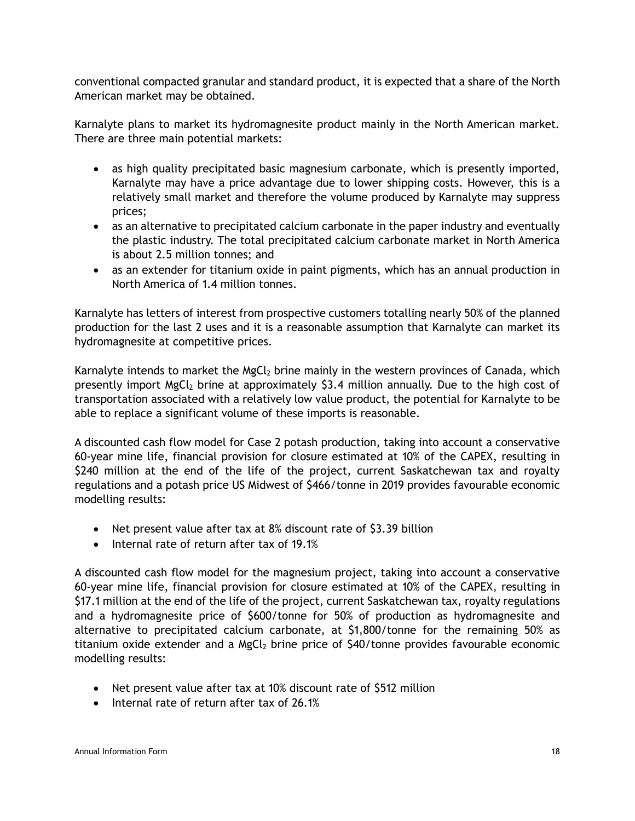conventional compacted granular and standard product, it is expected that a share of the North American market may be obtained.

Karnalyte plans to market its hydromagnesite product mainly in the North American market. There are three main potential markets:

- as high quality precipitated basic magnesium carbonate, which is presently imported, Karnalyte may have a price advantage due to lower shipping costs. However, this is a relatively small market and therefore the volume produced by Karnalyte may suppress prices;
- as an alternative to precipitated calcium carbonate in the paper industry and eventually the plastic industry. The total precipitated calcium carbonate market in North America is about 2.5 million tonnes; and
- as an extender for titanium oxide in paint pigments, which has an annual production in North America of 1.4 million tonnes.

Karnalyte has letters of interest from prospective customers totalling nearly 50% of the planned production for the last 2 uses and it is a reasonable assumption that Karnalyte can market its hydromagnesite at competitive prices.

Karnalyte intends to market the MgCl<sub>2</sub> brine mainly in the western provinces of Canada, which presently import  $MgCl<sub>2</sub>$  brine at approximately \$3.4 million annually. Due to the high cost of transportation associated with a relatively low value product, the potential for Karnalyte to be able to replace a significant volume of these imports is reasonable.

A discounted cash flow model for Case 2 potash production, taking into account a conservative 60-year mine life, financial provision for closure estimated at 10% of the CAPEX, resulting in \$240 million at the end of the life of the project, current Saskatchewan tax and royalty regulations and a potash price US Midwest of \$466/tonne in 2019 provides favourable economic modelling results:

- Net present value after tax at 8% discount rate of \$3.39 billion
- Internal rate of return after tax of 19.1%

A discounted cash flow model for the magnesium project, taking into account a conservative 60-year mine life, financial provision for closure estimated at 10% of the CAPEX, resulting in \$17.1 million at the end of the life of the project, current Saskatchewan tax, royalty regulations and a hydromagnesite price of \$600/tonne for 50% of production as hydromagnesite and alternative to precipitated calcium carbonate, at \$1,800/tonne for the remaining 50% as titanium oxide extender and a MgCl<sub>2</sub> brine price of \$40/tonne provides favourable economic modelling results:

- Net present value after tax at 10% discount rate of \$512 million
- Internal rate of return after tax of 26.1%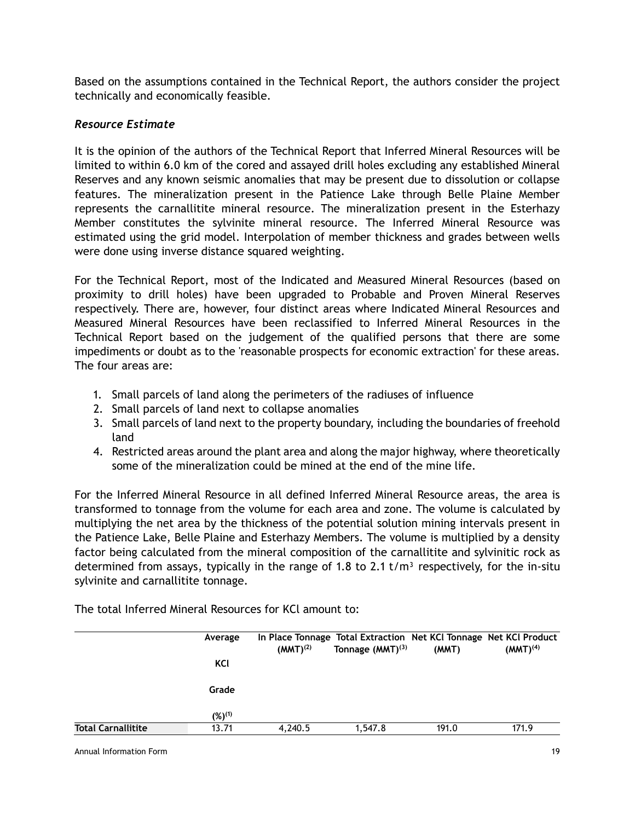Based on the assumptions contained in the Technical Report, the authors consider the project technically and economically feasible.

# *Resource Estimate*

It is the opinion of the authors of the Technical Report that Inferred Mineral Resources will be limited to within 6.0 km of the cored and assayed drill holes excluding any established Mineral Reserves and any known seismic anomalies that may be present due to dissolution or collapse features. The mineralization present in the Patience Lake through Belle Plaine Member represents the carnallitite mineral resource. The mineralization present in the Esterhazy Member constitutes the sylvinite mineral resource. The Inferred Mineral Resource was estimated using the grid model. Interpolation of member thickness and grades between wells were done using inverse distance squared weighting.

For the Technical Report, most of the Indicated and Measured Mineral Resources (based on proximity to drill holes) have been upgraded to Probable and Proven Mineral Reserves respectively. There are, however, four distinct areas where Indicated Mineral Resources and Measured Mineral Resources have been reclassified to Inferred Mineral Resources in the Technical Report based on the judgement of the qualified persons that there are some impediments or doubt as to the 'reasonable prospects for economic extraction' for these areas. The four areas are:

- 1. Small parcels of land along the perimeters of the radiuses of influence
- 2. Small parcels of land next to collapse anomalies
- 3. Small parcels of land next to the property boundary, including the boundaries of freehold land
- 4. Restricted areas around the plant area and along the major highway, where theoretically some of the mineralization could be mined at the end of the mine life.

For the Inferred Mineral Resource in all defined Inferred Mineral Resource areas, the area is transformed to tonnage from the volume for each area and zone. The volume is calculated by multiplying the net area by the thickness of the potential solution mining intervals present in the Patience Lake, Belle Plaine and Esterhazy Members. The volume is multiplied by a density factor being calculated from the mineral composition of the carnallitite and sylvinitic rock as determined from assays, typically in the range of 1.8 to 2.1  $t/m<sup>3</sup>$  respectively, for the in-situ sylvinite and carnallitite tonnage.

|                           | Average<br>KCI | $(MMT)^{(2)}$ | In Place Tonnage Total Extraction Net KCI Tonnage Net KCI Product<br>Tonnage (MMT) <sup>(3)</sup> | (MMT) | $(MMT)^{(4)}$ |
|---------------------------|----------------|---------------|---------------------------------------------------------------------------------------------------|-------|---------------|
|                           | Grade          |               |                                                                                                   |       |               |
|                           | $(%)^{(1)}$    |               |                                                                                                   |       |               |
| <b>Total Carnallitite</b> | 13.71          | 4.240.5       | 1.547.8                                                                                           | 191.0 | 171.9         |

The total Inferred Mineral Resources for KCl amount to: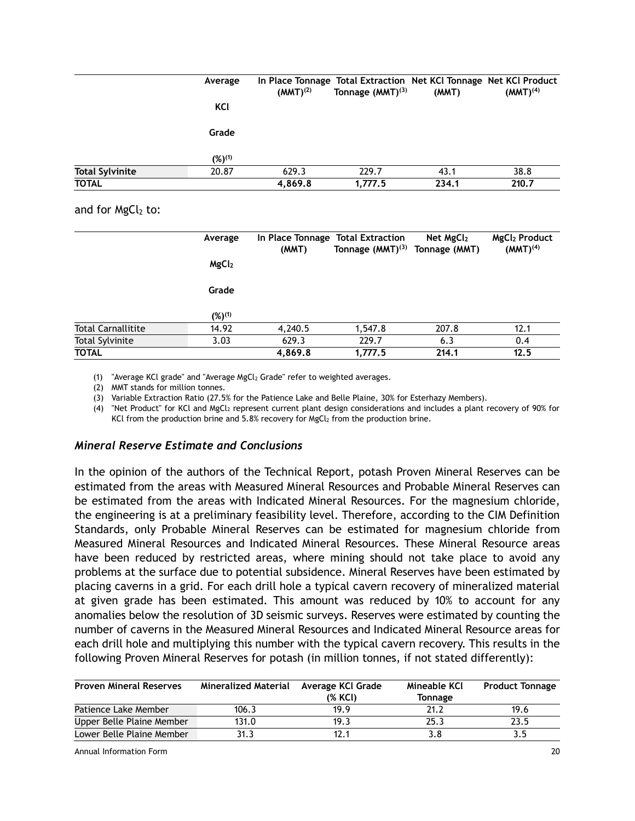|                        | Average     | $(MMT)^{(2)}$ | In Place Tonnage Total Extraction Net KCI Tonnage Net KCI Product<br>Tonnage (MMT) <sup>(3)</sup> | (MMT) | $(MMT)^{(4)}$ |
|------------------------|-------------|---------------|---------------------------------------------------------------------------------------------------|-------|---------------|
|                        | KCI         |               |                                                                                                   |       |               |
|                        | Grade       |               |                                                                                                   |       |               |
|                        | $(%)^{(1)}$ |               |                                                                                                   |       |               |
| <b>Total Sylvinite</b> | 20.87       | 629.3         | 229.7                                                                                             | 43.1  | 38.8          |
| <b>TOTAL</b>           |             | 4.869.8       | 1.777.5                                                                                           | 234.1 | 210.7         |

and for  $MgCl<sub>2</sub>$  to:

|                           | Average           | (MMT)   | In Place Tonnage Total Extraction<br>Tonnage (MMT) <sup>(3)</sup> | Net MgCl <sub>2</sub><br>Tonnage (MMT) | MgCl <sub>2</sub> Product<br>$(MMT)^{(4)}$ |
|---------------------------|-------------------|---------|-------------------------------------------------------------------|----------------------------------------|--------------------------------------------|
|                           | MgCl <sub>2</sub> |         |                                                                   |                                        |                                            |
|                           | Grade             |         |                                                                   |                                        |                                            |
|                           | $(%)^{(1)}$       |         |                                                                   |                                        |                                            |
| <b>Total Carnallitite</b> | 14.92             | 4,240.5 | 1,547.8                                                           | 207.8                                  | 12.1                                       |
| <b>Total Sylvinite</b>    | 3.03              | 629.3   | 229.7                                                             | 6.3                                    | 0.4                                        |
| <b>TOTAL</b>              |                   | 4,869.8 | 1,777.5                                                           | 214.1                                  | 12.5                                       |

(1) "Average KCl grade" and "Average MgCl $_2$  Grade" refer to weighted averages.

(2) MMT stands for million tonnes.

(3) Variable Extraction Ratio (27.5% for the Patience Lake and Belle Plaine, 30% for Esterhazy Members).

(4) "Net Product" for KCl and MgCl<sup>2</sup> represent current plant design considerations and includes a plant recovery of 90% for KCl from the production brine and 5.8% recovery for MgCl<sub>2</sub> from the production brine.

#### *Mineral Reserve Estimate and Conclusions*

In the opinion of the authors of the Technical Report, potash Proven Mineral Reserves can be estimated from the areas with Measured Mineral Resources and Probable Mineral Reserves can be estimated from the areas with Indicated Mineral Resources. For the magnesium chloride, the engineering is at a preliminary feasibility level. Therefore, according to the CIM Definition Standards, only Probable Mineral Reserves can be estimated for magnesium chloride from Measured Mineral Resources and Indicated Mineral Resources. These Mineral Resource areas have been reduced by restricted areas, where mining should not take place to avoid any problems at the surface due to potential subsidence. Mineral Reserves have been estimated by placing caverns in a grid. For each drill hole a typical cavern recovery of mineralized material at given grade has been estimated. This amount was reduced by 10% to account for any anomalies below the resolution of 3D seismic surveys. Reserves were estimated by counting the number of caverns in the Measured Mineral Resources and Indicated Mineral Resource areas for each drill hole and multiplying this number with the typical cavern recovery. This results in the following Proven Mineral Reserves for potash (in million tonnes, if not stated differently):

| <b>Proven Mineral Reserves</b> | <b>Mineralized Material</b> | Average KCI Grade<br>(X KCl) | Mineable KCl<br>Tonnage | <b>Product Tonnage</b> |
|--------------------------------|-----------------------------|------------------------------|-------------------------|------------------------|
| Patience Lake Member           | 106.3                       | 19.9                         | 21.2                    | 19.6                   |
| Upper Belle Plaine Member      | 131.0                       | 19.3                         | 25.3                    | 23.5                   |
| Lower Belle Plaine Member      | 31.3                        | 12.1                         |                         |                        |

Annual Information Form 20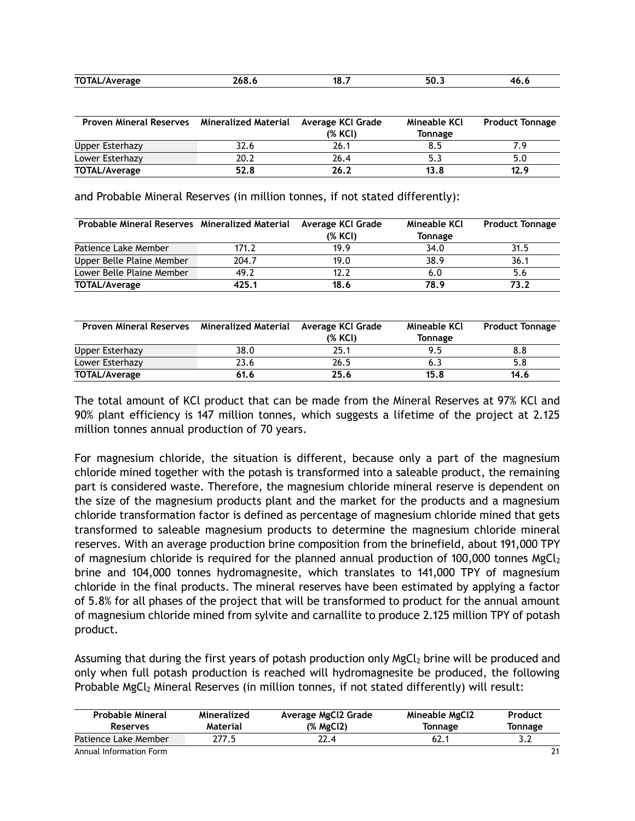| $TO-$<br>'Average<br>. | 18<br>______ | $\bullet$ | $\cdot$ $\cdot$ $\cdot$ $\cdot$ |
|------------------------|--------------|-----------|---------------------------------|
|                        |              |           |                                 |

| <b>Proven Mineral Reserves</b> | Mineralized Material | Average KCI Grade<br>(% KCI) | Mineable KCl<br><b>Tonnage</b> | <b>Product Tonnage</b> |
|--------------------------------|----------------------|------------------------------|--------------------------------|------------------------|
| Upper Esterhazy                | 32.6                 | 26.1                         |                                |                        |
| Lower Esterhazy                | 20.2                 | 26.4                         |                                | 5.0                    |
| <b>TOTAL/Average</b>           | 52.8                 | 26.2                         | 13.8                           | 12.9                   |

and Probable Mineral Reserves (in million tonnes, if not stated differently):

| Probable Mineral Reserves Mineralized Material |       | Average KCI Grade | Mineable KCl   | <b>Product Tonnage</b> |
|------------------------------------------------|-------|-------------------|----------------|------------------------|
|                                                |       | (% KCI)           | <b>Tonnage</b> |                        |
| Patience Lake Member                           | 171.2 | 19.9              | 34.0           | 31.5                   |
| Upper Belle Plaine Member                      | 204.7 | 19.0              | 38.9           | 36.1                   |
| Lower Belle Plaine Member                      | 49.2  | 12.2              | 6.0            | 5.6                    |
| <b>TOTAL/Average</b>                           | 425.1 | 18.6              | 78.9           | 73.2                   |

| <b>Proven Mineral Reserves</b> | Mineralized Material | Average KCI Grade | Mineable KCl   | <b>Product Tonnage</b> |
|--------------------------------|----------------------|-------------------|----------------|------------------------|
|                                |                      | (% KCI)           | <b>Tonnage</b> |                        |
| Upper Esterhazy                | 38.0                 | 25.1              |                | 8.8                    |
| Lower Esterhazy                | 23.6                 | 26.5              |                | 5.8                    |
| TOTAL/Average                  | 61.6                 | 25.6              | 15.8           | 14.6                   |

The total amount of KCl product that can be made from the Mineral Reserves at 97% KCl and 90% plant efficiency is 147 million tonnes, which suggests a lifetime of the project at 2.125 million tonnes annual production of 70 years.

For magnesium chloride, the situation is different, because only a part of the magnesium chloride mined together with the potash is transformed into a saleable product, the remaining part is considered waste. Therefore, the magnesium chloride mineral reserve is dependent on the size of the magnesium products plant and the market for the products and a magnesium chloride transformation factor is defined as percentage of magnesium chloride mined that gets transformed to saleable magnesium products to determine the magnesium chloride mineral reserves. With an average production brine composition from the brinefield, about 191,000 TPY of magnesium chloride is required for the planned annual production of 100,000 tonnes MgCl<sub>2</sub> brine and 104,000 tonnes hydromagnesite, which translates to 141,000 TPY of magnesium chloride in the final products. The mineral reserves have been estimated by applying a factor of 5.8% for all phases of the project that will be transformed to product for the annual amount of magnesium chloride mined from sylvite and carnallite to produce 2.125 million TPY of potash product.

Assuming that during the first years of potash production only MgCl<sub>2</sub> brine will be produced and only when full potash production is reached will hydromagnesite be produced, the following Probable MgCl<sub>2</sub> Mineral Reserves (in million tonnes, if not stated differently) will result:

| <b>Probable Mineral</b><br><b>Reserves</b> | Mineralized<br><b>Material</b> | Average MgCl2 Grade<br>(% MgCl2) | <b>Mineable MgCl2</b><br>Tonnage | Product<br>Tonnage |
|--------------------------------------------|--------------------------------|----------------------------------|----------------------------------|--------------------|
| Patience Lake Member                       | 277.5                          | 22.4                             | 62.                              | 3.2                |
| Annual Information Form                    |                                |                                  |                                  | 21                 |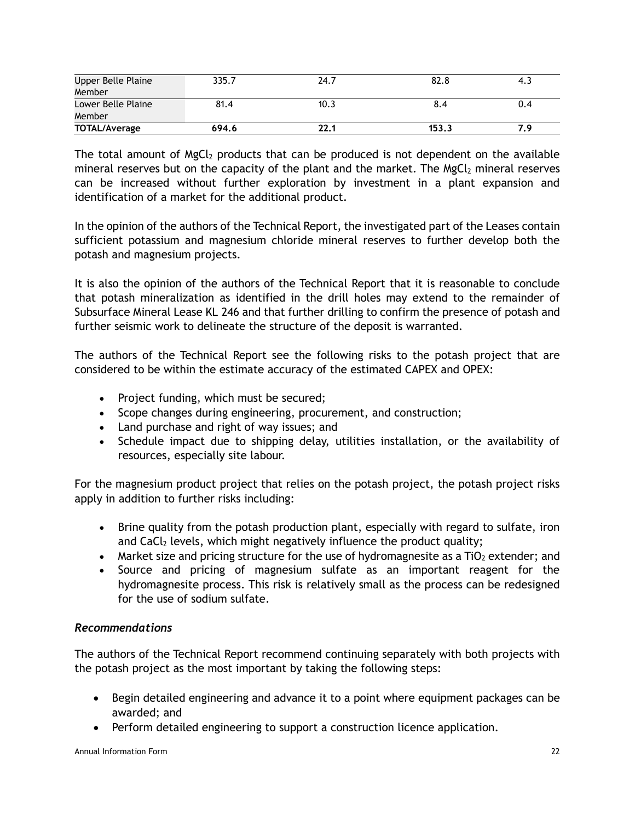| Upper Belle Plaine<br>Member | 335.7 | 24.7 | 82.8  | 4. . |
|------------------------------|-------|------|-------|------|
| Lower Belle Plaine<br>Member | 81.4  | 10.3 | 8.4   | 0.4  |
| <b>TOTAL/Average</b>         | 694.6 | 22.1 | 153.3 |      |

The total amount of  $MgCl<sub>2</sub>$  products that can be produced is not dependent on the available mineral reserves but on the capacity of the plant and the market. The  $MgCl<sub>2</sub>$  mineral reserves can be increased without further exploration by investment in a plant expansion and identification of a market for the additional product.

In the opinion of the authors of the Technical Report, the investigated part of the Leases contain sufficient potassium and magnesium chloride mineral reserves to further develop both the potash and magnesium projects.

It is also the opinion of the authors of the Technical Report that it is reasonable to conclude that potash mineralization as identified in the drill holes may extend to the remainder of Subsurface Mineral Lease KL 246 and that further drilling to confirm the presence of potash and further seismic work to delineate the structure of the deposit is warranted.

The authors of the Technical Report see the following risks to the potash project that are considered to be within the estimate accuracy of the estimated CAPEX and OPEX:

- Project funding, which must be secured;
- Scope changes during engineering, procurement, and construction;
- Land purchase and right of way issues; and
- Schedule impact due to shipping delay, utilities installation, or the availability of resources, especially site labour.

For the magnesium product project that relies on the potash project, the potash project risks apply in addition to further risks including:

- Brine quality from the potash production plant, especially with regard to sulfate, iron and CaCl<sub>2</sub> levels, which might negatively influence the product quality;
- Market size and pricing structure for the use of hydromagnesite as a TiO<sub>2</sub> extender; and
- Source and pricing of magnesium sulfate as an important reagent for the hydromagnesite process. This risk is relatively small as the process can be redesigned for the use of sodium sulfate.

#### *Recommendations*

The authors of the Technical Report recommend continuing separately with both projects with the potash project as the most important by taking the following steps:

- Begin detailed engineering and advance it to a point where equipment packages can be awarded; and
- Perform detailed engineering to support a construction licence application.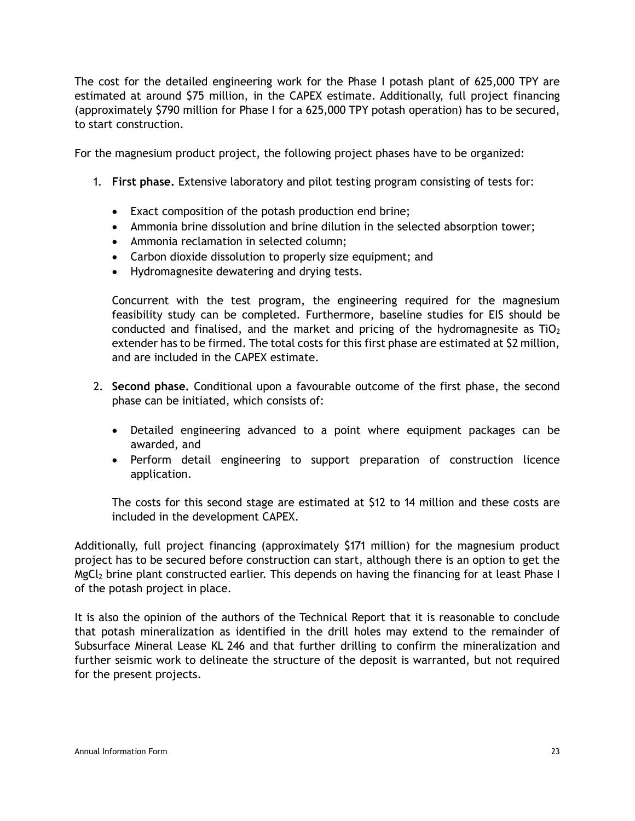The cost for the detailed engineering work for the Phase I potash plant of 625,000 TPY are estimated at around \$75 million, in the CAPEX estimate. Additionally, full project financing (approximately \$790 million for Phase I for a 625,000 TPY potash operation) has to be secured, to start construction.

For the magnesium product project, the following project phases have to be organized:

- 1. **First phase.** Extensive laboratory and pilot testing program consisting of tests for:
	- Exact composition of the potash production end brine;
	- Ammonia brine dissolution and brine dilution in the selected absorption tower;
	- Ammonia reclamation in selected column;
	- Carbon dioxide dissolution to properly size equipment; and
	- Hydromagnesite dewatering and drying tests.

Concurrent with the test program, the engineering required for the magnesium feasibility study can be completed. Furthermore, baseline studies for EIS should be conducted and finalised, and the market and pricing of the hydromagnesite as  $TiO<sub>2</sub>$ extender has to be firmed. The total costs for this first phase are estimated at \$2 million, and are included in the CAPEX estimate.

- 2. **Second phase.** Conditional upon a favourable outcome of the first phase, the second phase can be initiated, which consists of:
	- Detailed engineering advanced to a point where equipment packages can be awarded, and
	- Perform detail engineering to support preparation of construction licence application.

The costs for this second stage are estimated at \$12 to 14 million and these costs are included in the development CAPEX.

Additionally, full project financing (approximately \$171 million) for the magnesium product project has to be secured before construction can start, although there is an option to get the MgCl<sub>2</sub> brine plant constructed earlier. This depends on having the financing for at least Phase I of the potash project in place.

It is also the opinion of the authors of the Technical Report that it is reasonable to conclude that potash mineralization as identified in the drill holes may extend to the remainder of Subsurface Mineral Lease KL 246 and that further drilling to confirm the mineralization and further seismic work to delineate the structure of the deposit is warranted, but not required for the present projects.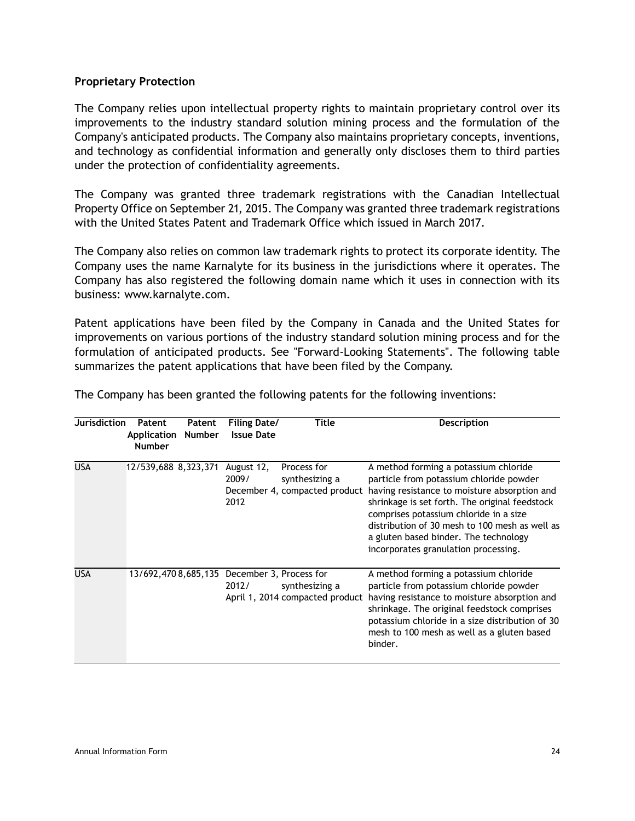#### **Proprietary Protection**

The Company relies upon intellectual property rights to maintain proprietary control over its improvements to the industry standard solution mining process and the formulation of the Company's anticipated products. The Company also maintains proprietary concepts, inventions, and technology as confidential information and generally only discloses them to third parties under the protection of confidentiality agreements.

The Company was granted three trademark registrations with the Canadian Intellectual Property Office on September 21, 2015. The Company was granted three trademark registrations with the United States Patent and Trademark Office which issued in March 2017.

The Company also relies on common law trademark rights to protect its corporate identity. The Company uses the name Karnalyte for its business in the jurisdictions where it operates. The Company has also registered the following domain name which it uses in connection with its business: www.karnalyte.com.

Patent applications have been filed by the Company in Canada and the United States for improvements on various portions of the industry standard solution mining process and for the formulation of anticipated products. See "Forward-Looking Statements". The following table summarizes the patent applications that have been filed by the Company.

| <b>Jurisdiction</b> | Patent<br><b>Application</b><br><b>Number</b> | Patent<br>Number | <b>Filing Date/</b><br><b>Issue Date</b>             | Title                                             | <b>Description</b>                                                                                                                                                                                                                                                                                                                                                                            |
|---------------------|-----------------------------------------------|------------------|------------------------------------------------------|---------------------------------------------------|-----------------------------------------------------------------------------------------------------------------------------------------------------------------------------------------------------------------------------------------------------------------------------------------------------------------------------------------------------------------------------------------------|
| <b>USA</b>          | 12/539,688 8,323,371                          |                  | August 12,<br>2009/<br>2012                          | Process for<br>synthesizing a                     | A method forming a potassium chloride<br>particle from potassium chloride powder<br>December 4, compacted product having resistance to moisture absorption and<br>shrinkage is set forth. The original feedstock<br>comprises potassium chloride in a size<br>distribution of 30 mesh to 100 mesh as well as<br>a gluten based binder. The technology<br>incorporates granulation processing. |
| <b>USA</b>          |                                               |                  | 13/692,4708,685,135 December 3, Process for<br>2012/ | synthesizing a<br>April 1, 2014 compacted product | A method forming a potassium chloride<br>particle from potassium chloride powder<br>having resistance to moisture absorption and<br>shrinkage. The original feedstock comprises<br>potassium chloride in a size distribution of 30<br>mesh to 100 mesh as well as a gluten based<br>binder.                                                                                                   |

The Company has been granted the following patents for the following inventions: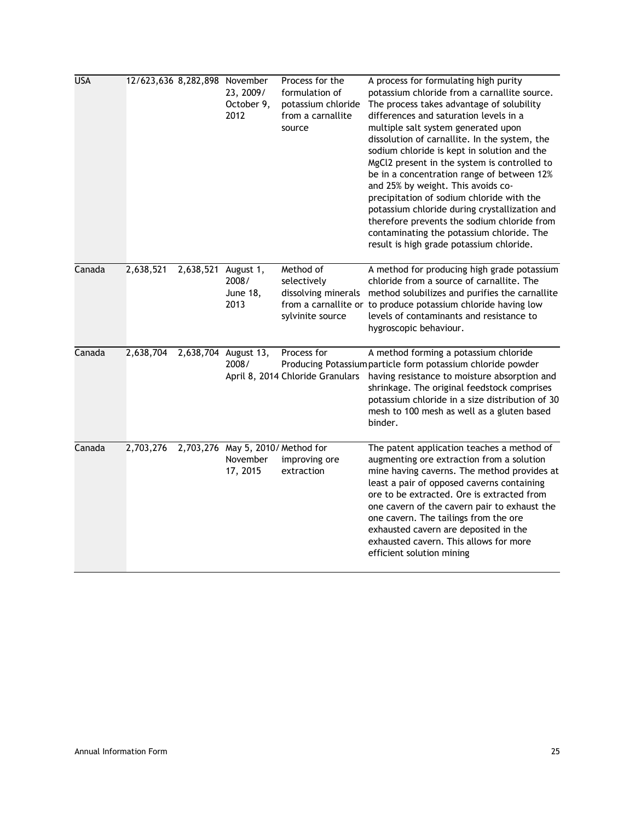| <b>USA</b> | 12/623,636 8,282,898 November |                     | 23, 2009/<br>October 9,<br>2012                           | Process for the<br>formulation of<br>potassium chloride<br>from a carnallite<br>source | A process for formulating high purity<br>potassium chloride from a carnallite source.<br>The process takes advantage of solubility<br>differences and saturation levels in a<br>multiple salt system generated upon<br>dissolution of carnallite. In the system, the<br>sodium chloride is kept in solution and the<br>MgCl2 present in the system is controlled to<br>be in a concentration range of between 12%<br>and 25% by weight. This avoids co-<br>precipitation of sodium chloride with the<br>potassium chloride during crystallization and<br>therefore prevents the sodium chloride from<br>contaminating the potassium chloride. The<br>result is high grade potassium chloride. |
|------------|-------------------------------|---------------------|-----------------------------------------------------------|----------------------------------------------------------------------------------------|-----------------------------------------------------------------------------------------------------------------------------------------------------------------------------------------------------------------------------------------------------------------------------------------------------------------------------------------------------------------------------------------------------------------------------------------------------------------------------------------------------------------------------------------------------------------------------------------------------------------------------------------------------------------------------------------------|
| Canada     | 2,638,521                     | 2,638,521 August 1, | 2008/<br>June 18,<br>2013                                 | Method of<br>selectively<br>sylvinite source                                           | A method for producing high grade potassium<br>chloride from a source of carnallite. The<br>dissolving minerals method solubilizes and purifies the carnallite<br>from a carnallite or to produce potassium chloride having low<br>levels of contaminants and resistance to<br>hygroscopic behaviour.                                                                                                                                                                                                                                                                                                                                                                                         |
| Canada     | 2,638,704                     |                     | 2,638,704 August 13,<br>2008/                             | Process for<br>April 8, 2014 Chloride Granulars                                        | A method forming a potassium chloride<br>Producing Potassium particle form potassium chloride powder<br>having resistance to moisture absorption and<br>shrinkage. The original feedstock comprises<br>potassium chloride in a size distribution of 30<br>mesh to 100 mesh as well as a gluten based<br>binder.                                                                                                                                                                                                                                                                                                                                                                               |
| Canada     | 2,703,276                     |                     | 2,703,276 May 5, 2010/ Method for<br>November<br>17, 2015 | improving ore<br>extraction                                                            | The patent application teaches a method of<br>augmenting ore extraction from a solution<br>mine having caverns. The method provides at<br>least a pair of opposed caverns containing<br>ore to be extracted. Ore is extracted from<br>one cavern of the cavern pair to exhaust the<br>one cavern. The tailings from the ore<br>exhausted cavern are deposited in the<br>exhausted cavern. This allows for more<br>efficient solution mining                                                                                                                                                                                                                                                   |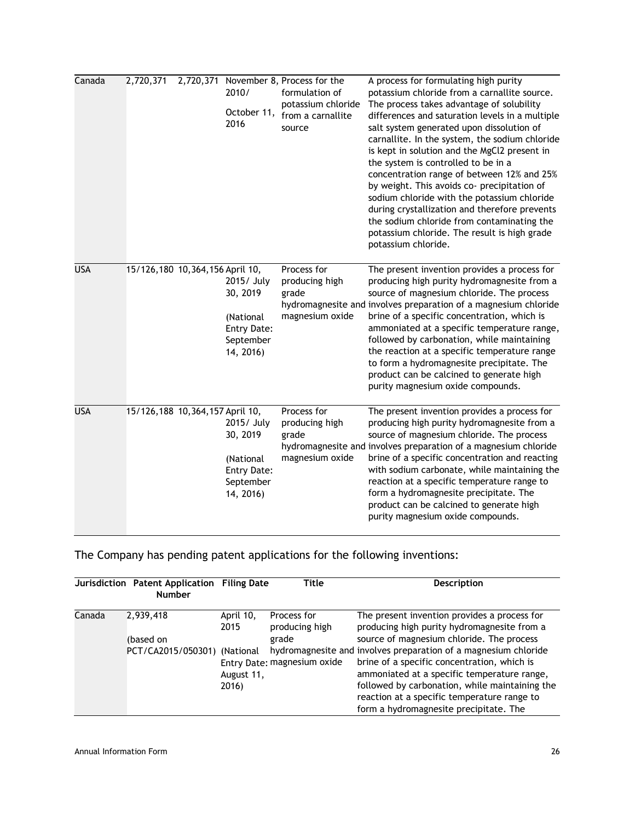| Canada     | 2,720,371                       | 2010/<br>October 11,<br>2016                                                        | 2,720,371 November 8, Process for the<br>formulation of<br>potassium chloride<br>from a carnallite<br>source | A process for formulating high purity<br>potassium chloride from a carnallite source.<br>The process takes advantage of solubility<br>differences and saturation levels in a multiple<br>salt system generated upon dissolution of<br>carnallite. In the system, the sodium chloride<br>is kept in solution and the MgCl2 present in<br>the system is controlled to be in a<br>concentration range of between 12% and 25%<br>by weight. This avoids co- precipitation of<br>sodium chloride with the potassium chloride<br>during crystallization and therefore prevents<br>the sodium chloride from contaminating the<br>potassium chloride. The result is high grade<br>potassium chloride. |
|------------|---------------------------------|-------------------------------------------------------------------------------------|--------------------------------------------------------------------------------------------------------------|-----------------------------------------------------------------------------------------------------------------------------------------------------------------------------------------------------------------------------------------------------------------------------------------------------------------------------------------------------------------------------------------------------------------------------------------------------------------------------------------------------------------------------------------------------------------------------------------------------------------------------------------------------------------------------------------------|
| <b>USA</b> | 15/126,180 10,364,156 April 10, | 2015/ July<br>30, 2019<br>(National<br><b>Entry Date:</b><br>September<br>14, 2016) | Process for<br>producing high<br>grade<br>magnesium oxide                                                    | The present invention provides a process for<br>producing high purity hydromagnesite from a<br>source of magnesium chloride. The process<br>hydromagnesite and involves preparation of a magnesium chloride<br>brine of a specific concentration, which is<br>ammoniated at a specific temperature range,<br>followed by carbonation, while maintaining<br>the reaction at a specific temperature range<br>to form a hydromagnesite precipitate. The<br>product can be calcined to generate high<br>purity magnesium oxide compounds.                                                                                                                                                         |
| <b>USA</b> | 15/126,188 10,364,157 April 10, | 2015/ July<br>30, 2019<br>(National<br><b>Entry Date:</b><br>September<br>14, 2016) | Process for<br>producing high<br>grade<br>magnesium oxide                                                    | The present invention provides a process for<br>producing high purity hydromagnesite from a<br>source of magnesium chloride. The process<br>hydromagnesite and involves preparation of a magnesium chloride<br>brine of a specific concentration and reacting<br>with sodium carbonate, while maintaining the<br>reaction at a specific temperature range to<br>form a hydromagnesite precipitate. The<br>product can be calcined to generate high<br>purity magnesium oxide compounds.                                                                                                                                                                                                       |

The Company has pending patent applications for the following inventions:

|        | Jurisdiction Patent Application Filing Date<br><b>Number</b> |                                          | <b>Title</b>                                                          | <b>Description</b>                                                                                                                                                                                                                                                                                                                                                                                                                                   |
|--------|--------------------------------------------------------------|------------------------------------------|-----------------------------------------------------------------------|------------------------------------------------------------------------------------------------------------------------------------------------------------------------------------------------------------------------------------------------------------------------------------------------------------------------------------------------------------------------------------------------------------------------------------------------------|
| Canada | 2,939,418<br>(based on<br>PCT/CA2015/050301) (National       | April 10,<br>2015<br>August 11,<br>2016) | Process for<br>producing high<br>grade<br>Entry Date: magnesium oxide | The present invention provides a process for<br>producing high purity hydromagnesite from a<br>source of magnesium chloride. The process<br>hydromagnesite and involves preparation of a magnesium chloride<br>brine of a specific concentration, which is<br>ammoniated at a specific temperature range,<br>followed by carbonation, while maintaining the<br>reaction at a specific temperature range to<br>form a hydromagnesite precipitate. The |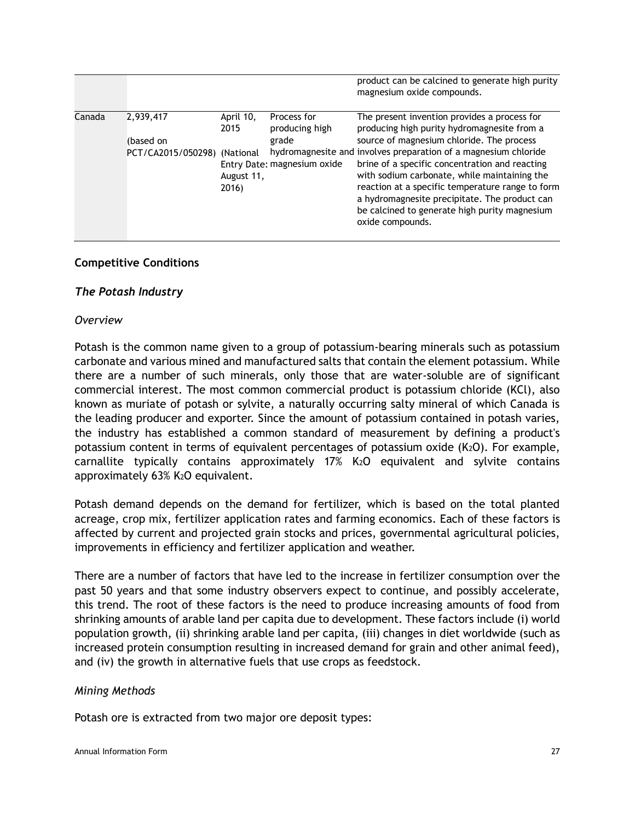|        |                                                        |                                          |                                                                       | product can be calcined to generate high purity<br>magnesium oxide compounds.                                                                                                                                                                                                                                                                                                                                                                                                           |
|--------|--------------------------------------------------------|------------------------------------------|-----------------------------------------------------------------------|-----------------------------------------------------------------------------------------------------------------------------------------------------------------------------------------------------------------------------------------------------------------------------------------------------------------------------------------------------------------------------------------------------------------------------------------------------------------------------------------|
| Canada | 2,939,417<br>(based on<br>PCT/CA2015/050298) (National | April 10,<br>2015<br>August 11,<br>2016) | Process for<br>producing high<br>grade<br>Entry Date: magnesium oxide | The present invention provides a process for<br>producing high purity hydromagnesite from a<br>source of magnesium chloride. The process<br>hydromagnesite and involves preparation of a magnesium chloride<br>brine of a specific concentration and reacting<br>with sodium carbonate, while maintaining the<br>reaction at a specific temperature range to form<br>a hydromagnesite precipitate. The product can<br>be calcined to generate high purity magnesium<br>oxide compounds. |

#### **Competitive Conditions**

#### *The Potash Industry*

#### *Overview*

Potash is the common name given to a group of potassium-bearing minerals such as potassium carbonate and various mined and manufactured salts that contain the element potassium. While there are a number of such minerals, only those that are water-soluble are of significant commercial interest. The most common commercial product is potassium chloride (KCl), also known as muriate of potash or sylvite, a naturally occurring salty mineral of which Canada is the leading producer and exporter. Since the amount of potassium contained in potash varies, the industry has established a common standard of measurement by defining a product's potassium content in terms of equivalent percentages of potassium oxide (K2O). For example, carnallite typically contains approximately 17% K2O equivalent and sylvite contains approximately 63% K2O equivalent.

Potash demand depends on the demand for fertilizer, which is based on the total planted acreage, crop mix, fertilizer application rates and farming economics. Each of these factors is affected by current and projected grain stocks and prices, governmental agricultural policies, improvements in efficiency and fertilizer application and weather.

There are a number of factors that have led to the increase in fertilizer consumption over the past 50 years and that some industry observers expect to continue, and possibly accelerate, this trend. The root of these factors is the need to produce increasing amounts of food from shrinking amounts of arable land per capita due to development. These factors include (i) world population growth, (ii) shrinking arable land per capita, (iii) changes in diet worldwide (such as increased protein consumption resulting in increased demand for grain and other animal feed), and (iv) the growth in alternative fuels that use crops as feedstock.

#### *Mining Methods*

Potash ore is extracted from two major ore deposit types: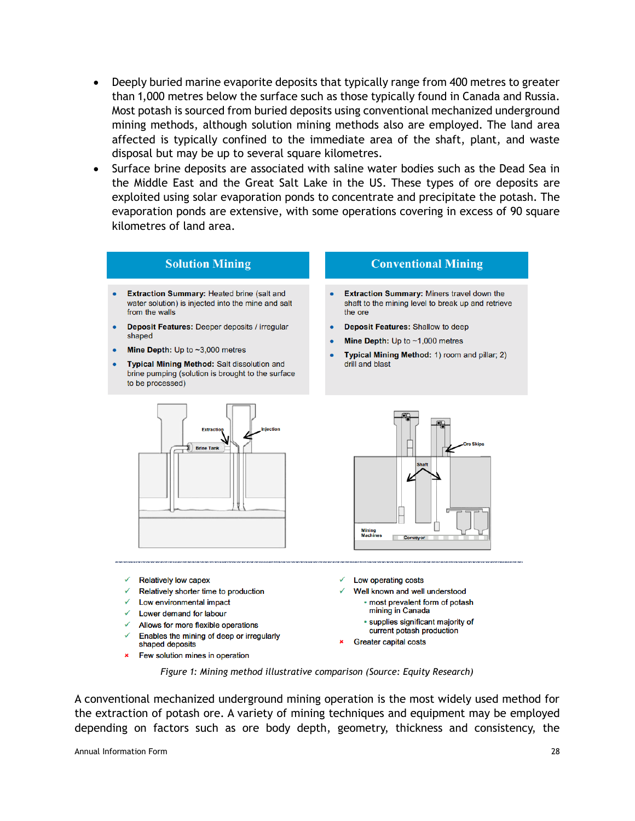- Deeply buried marine evaporite deposits that typically range from 400 metres to greater than 1,000 metres below the surface such as those typically found in Canada and Russia. Most potash is sourced from buried deposits using conventional mechanized underground mining methods, although solution mining methods also are employed. The land area affected is typically confined to the immediate area of the shaft, plant, and waste disposal but may be up to several square kilometres.
- Surface brine deposits are associated with saline water bodies such as the Dead Sea in the Middle East and the Great Salt Lake in the US. These types of ore deposits are exploited using solar evaporation ponds to concentrate and precipitate the potash. The evaporation ponds are extensive, with some operations covering in excess of 90 square kilometres of land area.



- 
- **Relatively low capex**
- Relatively shorter time to production
- Low environmental impact
- Lower demand for labour
- Allows for more flexible operations
- Enables the mining of deep or irregularly shaped deposits
- Few solution mines in operation

#### **Conventional Mining**

- **Extraction Summary: Miners travel down the** shaft to the mining level to break up and retrieve the ore
- **Deposit Features: Shallow to deep**
- Mine Depth: Up to  $~1,000$  metres
- Typical Mining Method: 1) room and pillar; 2) drill and blast



- Low operating costs
	- Well known and well understood • most prevalent form of potash mining in Canada
	- · supplies significant majority of
	- current potash production
- $\star$  Greater capital costs

*Figure 1: Mining method illustrative comparison (Source: Equity Research)*

A conventional mechanized underground mining operation is the most widely used method for the extraction of potash ore. A variety of mining techniques and equipment may be employed depending on factors such as ore body depth, geometry, thickness and consistency, the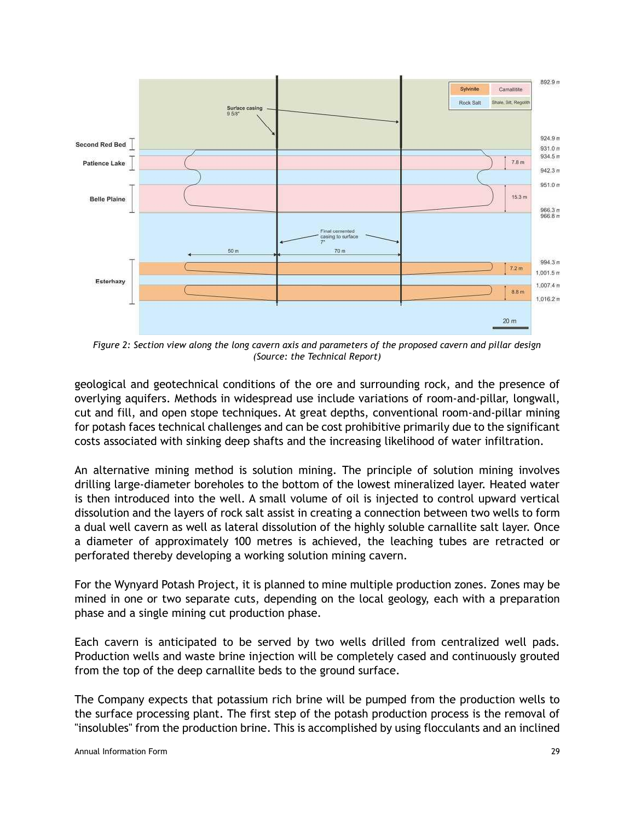

*Figure 2: Section view along the long cavern axis and parameters of the proposed cavern and pillar design (Source: the Technical Report)*

geological and geotechnical conditions of the ore and surrounding rock, and the presence of overlying aquifers. Methods in widespread use include variations of room-and-pillar, longwall, cut and fill, and open stope techniques. At great depths, conventional room-and-pillar mining for potash faces technical challenges and can be cost prohibitive primarily due to the significant costs associated with sinking deep shafts and the increasing likelihood of water infiltration.

An alternative mining method is solution mining. The principle of solution mining involves drilling large-diameter boreholes to the bottom of the lowest mineralized layer. Heated water is then introduced into the well. A small volume of oil is injected to control upward vertical dissolution and the layers of rock salt assist in creating a connection between two wells to form a dual well cavern as well as lateral dissolution of the highly soluble carnallite salt layer. Once a diameter of approximately 100 metres is achieved, the leaching tubes are retracted or perforated thereby developing a working solution mining cavern.

For the Wynyard Potash Project, it is planned to mine multiple production zones. Zones may be mined in one or two separate cuts, depending on the local geology, each with a preparation phase and a single mining cut production phase.

Each cavern is anticipated to be served by two wells drilled from centralized well pads. Production wells and waste brine injection will be completely cased and continuously grouted from the top of the deep carnallite beds to the ground surface.

The Company expects that potassium rich brine will be pumped from the production wells to the surface processing plant. The first step of the potash production process is the removal of "insolubles" from the production brine. This is accomplished by using flocculants and an inclined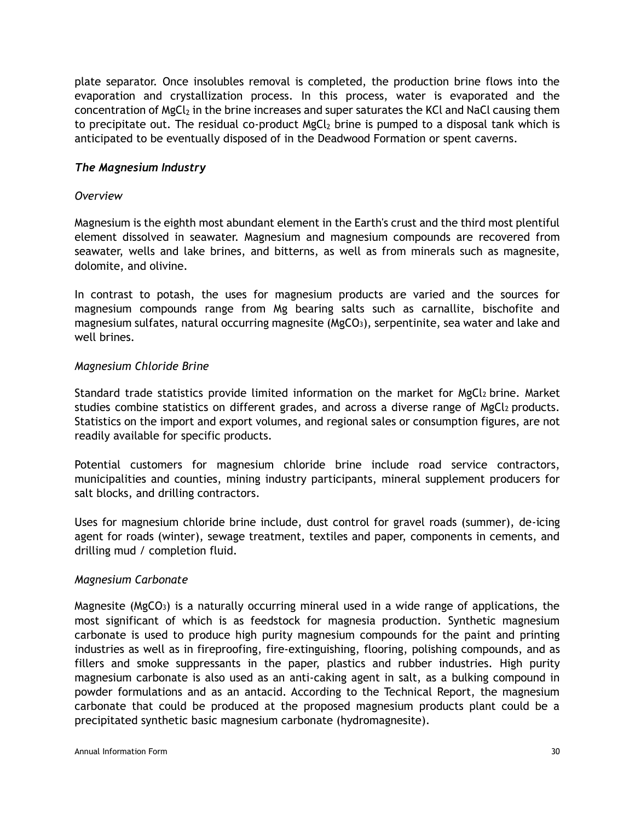plate separator. Once insolubles removal is completed, the production brine flows into the evaporation and crystallization process. In this process, water is evaporated and the concentration of  $MgCl<sub>2</sub>$  in the brine increases and super saturates the KCl and NaCl causing them to precipitate out. The residual co-product  $MgCl<sub>2</sub>$  brine is pumped to a disposal tank which is anticipated to be eventually disposed of in the Deadwood Formation or spent caverns.

#### *The Magnesium Industry*

#### *Overview*

Magnesium is the eighth most abundant element in the Earth's crust and the third most plentiful element dissolved in seawater. Magnesium and magnesium compounds are recovered from seawater, wells and lake brines, and bitterns, as well as from minerals such as magnesite, dolomite, and olivine.

In contrast to potash, the uses for magnesium products are varied and the sources for magnesium compounds range from Mg bearing salts such as carnallite, bischofite and magnesium sulfates, natural occurring magnesite (MgCO3), serpentinite, sea water and lake and well brines.

#### *Magnesium Chloride Brine*

Standard trade statistics provide limited information on the market for MgCl2 brine. Market studies combine statistics on different grades, and across a diverse range of MgCl2 products. Statistics on the import and export volumes, and regional sales or consumption figures, are not readily available for specific products.

Potential customers for magnesium chloride brine include road service contractors, municipalities and counties, mining industry participants, mineral supplement producers for salt blocks, and drilling contractors.

Uses for magnesium chloride brine include, dust control for gravel roads (summer), de-icing agent for roads (winter), sewage treatment, textiles and paper, components in cements, and drilling mud / completion fluid.

#### *Magnesium Carbonate*

Magnesite (MgCO3) is a naturally occurring mineral used in a wide range of applications, the most significant of which is as feedstock for magnesia production. Synthetic magnesium carbonate is used to produce high purity magnesium compounds for the paint and printing industries as well as in fireproofing, fire-extinguishing, flooring, polishing compounds, and as fillers and smoke suppressants in the paper, plastics and rubber industries. High purity magnesium carbonate is also used as an anti-caking agent in salt, as a bulking compound in powder formulations and as an antacid. According to the Technical Report, the magnesium carbonate that could be produced at the proposed magnesium products plant could be a precipitated synthetic basic magnesium carbonate (hydromagnesite).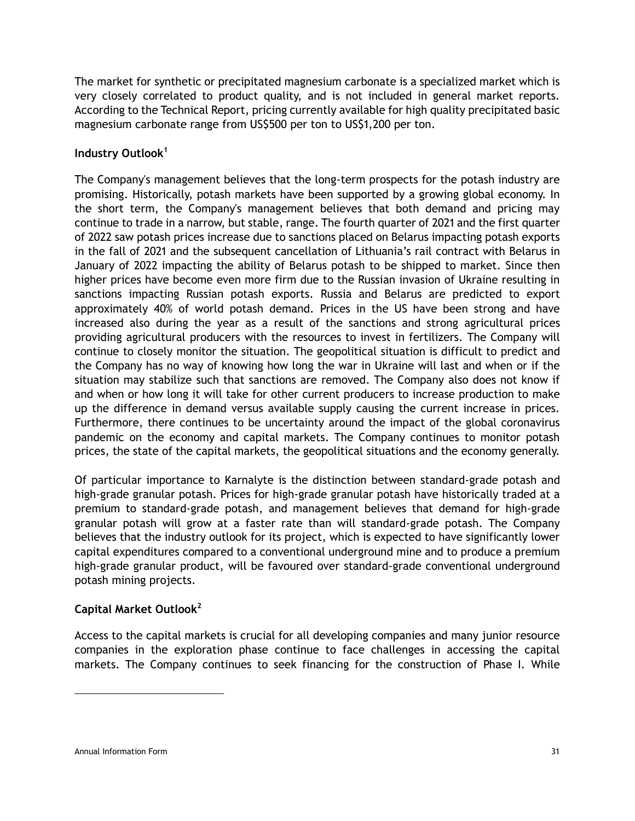The market for synthetic or precipitated magnesium carbonate is a specialized market which is very closely correlated to product quality, and is not included in general market reports. According to the Technical Report, pricing currently available for high quality precipitated basic magnesium carbonate range from US\$500 per ton to US\$1,200 per ton.

# **Industry Outlook<sup>1</sup>**

The Company's management believes that the long-term prospects for the potash industry are promising. Historically, potash markets have been supported by a growing global economy. In the short term, the Company's management believes that both demand and pricing may continue to trade in a narrow, but stable, range. The fourth quarter of 2021 and the first quarter of 2022 saw potash prices increase due to sanctions placed on Belarus impacting potash exports in the fall of 2021 and the subsequent cancellation of Lithuania's rail contract with Belarus in January of 2022 impacting the ability of Belarus potash to be shipped to market. Since then higher prices have become even more firm due to the Russian invasion of Ukraine resulting in sanctions impacting Russian potash exports. Russia and Belarus are predicted to export approximately 40% of world potash demand. Prices in the US have been strong and have increased also during the year as a result of the sanctions and strong agricultural prices providing agricultural producers with the resources to invest in fertilizers. The Company will continue to closely monitor the situation. The geopolitical situation is difficult to predict and the Company has no way of knowing how long the war in Ukraine will last and when or if the situation may stabilize such that sanctions are removed. The Company also does not know if and when or how long it will take for other current producers to increase production to make up the difference in demand versus available supply causing the current increase in prices. Furthermore, there continues to be uncertainty around the impact of the global coronavirus pandemic on the economy and capital markets. The Company continues to monitor potash prices, the state of the capital markets, the geopolitical situations and the economy generally.

Of particular importance to Karnalyte is the distinction between standard-grade potash and high-grade granular potash. Prices for high-grade granular potash have historically traded at a premium to standard-grade potash, and management believes that demand for high-grade granular potash will grow at a faster rate than will standard-grade potash. The Company believes that the industry outlook for its project, which is expected to have significantly lower capital expenditures compared to a conventional underground mine and to produce a premium high-grade granular product, will be favoured over standard-grade conventional underground potash mining projects.

# **Capital Market Outlook<sup>2</sup>**

Access to the capital markets is crucial for all developing companies and many junior resource companies in the exploration phase continue to face challenges in accessing the capital markets. The Company continues to seek financing for the construction of Phase I. While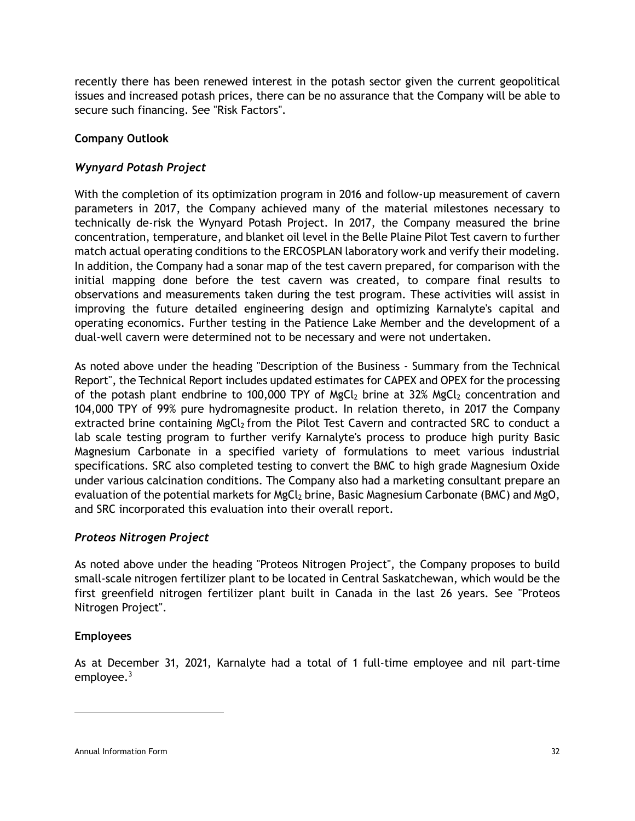recently there has been renewed interest in the potash sector given the current geopolitical issues and increased potash prices, there can be no assurance that the Company will be able to secure such financing. See ["Risk Factors"](#page-34-0).

# **Company Outlook**

# *Wynyard Potash Project*

With the completion of its optimization program in 2016 and follow-up measurement of cavern parameters in 2017, the Company achieved many of the material milestones necessary to technically de-risk the Wynyard Potash Project. In 2017, the Company measured the brine concentration, temperature, and blanket oil level in the Belle Plaine Pilot Test cavern to further match actual operating conditions to the ERCOSPLAN laboratory work and verify their modeling. In addition, the Company had a sonar map of the test cavern prepared, for comparison with the initial mapping done before the test cavern was created, to compare final results to observations and measurements taken during the test program. These activities will assist in improving the future detailed engineering design and optimizing Karnalyte's capital and operating economics. Further testing in the Patience Lake Member and the development of a dual-well cavern were determined not to be necessary and were not undertaken.

As noted above under the heading ["Description of the Business](#page-14-0) - [Summary from the Technical](#page-15-0)  [Report"](#page-15-0), the Technical Report includes updated estimates for CAPEX and OPEX for the processing of the potash plant endbrine to 100,000 TPY of MgCl<sub>2</sub> brine at 32% MgCl<sub>2</sub> concentration and 104,000 TPY of 99% pure hydromagnesite product. In relation thereto, in 2017 the Company extracted brine containing MgCl<sub>2</sub> from the Pilot Test Cavern and contracted SRC to conduct a lab scale testing program to further verify Karnalyte's process to produce high purity Basic Magnesium Carbonate in a specified variety of formulations to meet various industrial specifications. SRC also completed testing to convert the BMC to high grade Magnesium Oxide under various calcination conditions. The Company also had a marketing consultant prepare an evaluation of the potential markets for  $MgCl<sub>2</sub>$  brine, Basic Magnesium Carbonate (BMC) and MgO, and SRC incorporated this evaluation into their overall report.

#### *Proteos Nitrogen Project*

As noted above under the heading ["Proteos Nitrogen Project"](#page-14-1), the Company proposes to build small-scale nitrogen fertilizer plant to be located in Central Saskatchewan, which would be the first greenfield nitrogen fertilizer plant built in Canada in the last 26 years. See ["Proteos](#page-14-1)  [Nitrogen Project"](#page-14-1).

#### **Employees**

As at December 31, 2021, Karnalyte had a total of 1 full-time employee and nil part-time employee.<sup>3</sup>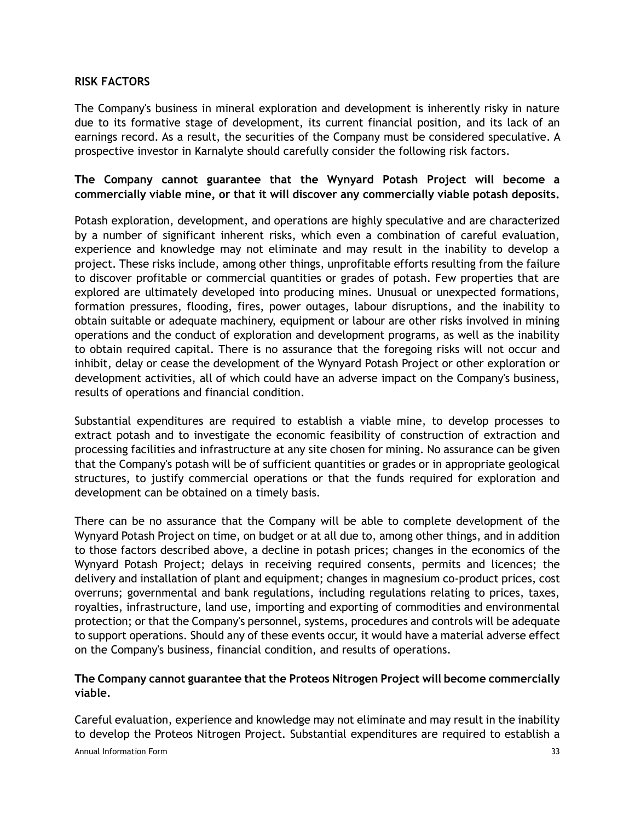#### <span id="page-34-0"></span>**RISK FACTORS**

The Company's business in mineral exploration and development is inherently risky in nature due to its formative stage of development, its current financial position, and its lack of an earnings record. As a result, the securities of the Company must be considered speculative. A prospective investor in Karnalyte should carefully consider the following risk factors.

# **The Company cannot guarantee that the Wynyard Potash Project will become a commercially viable mine, or that it will discover any commercially viable potash deposits.**

Potash exploration, development, and operations are highly speculative and are characterized by a number of significant inherent risks, which even a combination of careful evaluation, experience and knowledge may not eliminate and may result in the inability to develop a project. These risks include, among other things, unprofitable efforts resulting from the failure to discover profitable or commercial quantities or grades of potash. Few properties that are explored are ultimately developed into producing mines. Unusual or unexpected formations, formation pressures, flooding, fires, power outages, labour disruptions, and the inability to obtain suitable or adequate machinery, equipment or labour are other risks involved in mining operations and the conduct of exploration and development programs, as well as the inability to obtain required capital. There is no assurance that the foregoing risks will not occur and inhibit, delay or cease the development of the Wynyard Potash Project or other exploration or development activities, all of which could have an adverse impact on the Company's business, results of operations and financial condition.

Substantial expenditures are required to establish a viable mine, to develop processes to extract potash and to investigate the economic feasibility of construction of extraction and processing facilities and infrastructure at any site chosen for mining. No assurance can be given that the Company's potash will be of sufficient quantities or grades or in appropriate geological structures, to justify commercial operations or that the funds required for exploration and development can be obtained on a timely basis.

There can be no assurance that the Company will be able to complete development of the Wynyard Potash Project on time, on budget or at all due to, among other things, and in addition to those factors described above, a decline in potash prices; changes in the economics of the Wynyard Potash Project; delays in receiving required consents, permits and licences; the delivery and installation of plant and equipment; changes in magnesium co-product prices, cost overruns; governmental and bank regulations, including regulations relating to prices, taxes, royalties, infrastructure, land use, importing and exporting of commodities and environmental protection; or that the Company's personnel, systems, procedures and controls will be adequate to support operations. Should any of these events occur, it would have a material adverse effect on the Company's business, financial condition, and results of operations.

#### **The Company cannot guarantee that the Proteos Nitrogen Project will become commercially viable.**

Annual Information Form 33 Careful evaluation, experience and knowledge may not eliminate and may result in the inability to develop the Proteos Nitrogen Project. Substantial expenditures are required to establish a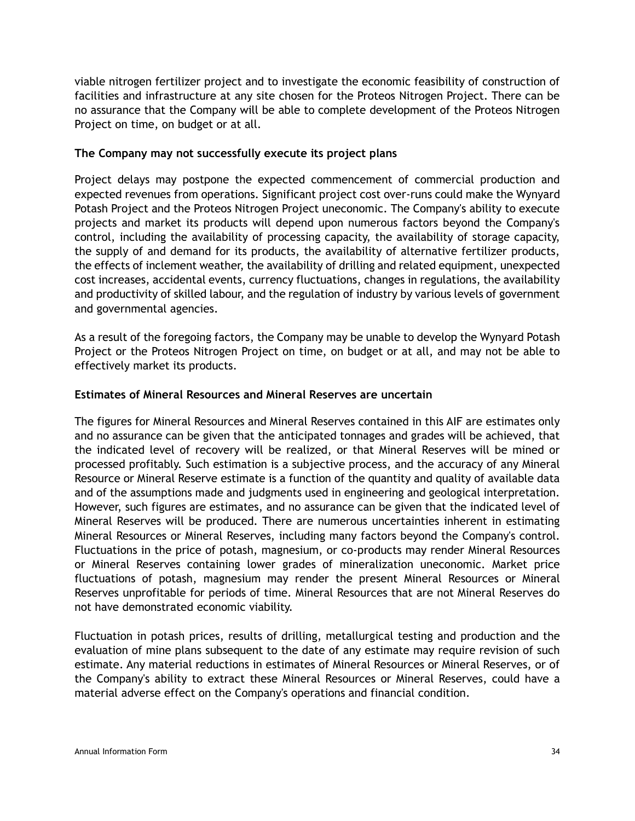viable nitrogen fertilizer project and to investigate the economic feasibility of construction of facilities and infrastructure at any site chosen for the Proteos Nitrogen Project. There can be no assurance that the Company will be able to complete development of the Proteos Nitrogen Project on time, on budget or at all.

#### **The Company may not successfully execute its project plans**

Project delays may postpone the expected commencement of commercial production and expected revenues from operations. Significant project cost over-runs could make the Wynyard Potash Project and the Proteos Nitrogen Project uneconomic. The Company's ability to execute projects and market its products will depend upon numerous factors beyond the Company's control, including the availability of processing capacity, the availability of storage capacity, the supply of and demand for its products, the availability of alternative fertilizer products, the effects of inclement weather, the availability of drilling and related equipment, unexpected cost increases, accidental events, currency fluctuations, changes in regulations, the availability and productivity of skilled labour, and the regulation of industry by various levels of government and governmental agencies.

As a result of the foregoing factors, the Company may be unable to develop the Wynyard Potash Project or the Proteos Nitrogen Project on time, on budget or at all, and may not be able to effectively market its products.

#### **Estimates of Mineral Resources and Mineral Reserves are uncertain**

The figures for Mineral Resources and Mineral Reserves contained in this AIF are estimates only and no assurance can be given that the anticipated tonnages and grades will be achieved, that the indicated level of recovery will be realized, or that Mineral Reserves will be mined or processed profitably. Such estimation is a subjective process, and the accuracy of any Mineral Resource or Mineral Reserve estimate is a function of the quantity and quality of available data and of the assumptions made and judgments used in engineering and geological interpretation. However, such figures are estimates, and no assurance can be given that the indicated level of Mineral Reserves will be produced. There are numerous uncertainties inherent in estimating Mineral Resources or Mineral Reserves, including many factors beyond the Company's control. Fluctuations in the price of potash, magnesium, or co-products may render Mineral Resources or Mineral Reserves containing lower grades of mineralization uneconomic. Market price fluctuations of potash, magnesium may render the present Mineral Resources or Mineral Reserves unprofitable for periods of time. Mineral Resources that are not Mineral Reserves do not have demonstrated economic viability.

Fluctuation in potash prices, results of drilling, metallurgical testing and production and the evaluation of mine plans subsequent to the date of any estimate may require revision of such estimate. Any material reductions in estimates of Mineral Resources or Mineral Reserves, or of the Company's ability to extract these Mineral Resources or Mineral Reserves, could have a material adverse effect on the Company's operations and financial condition.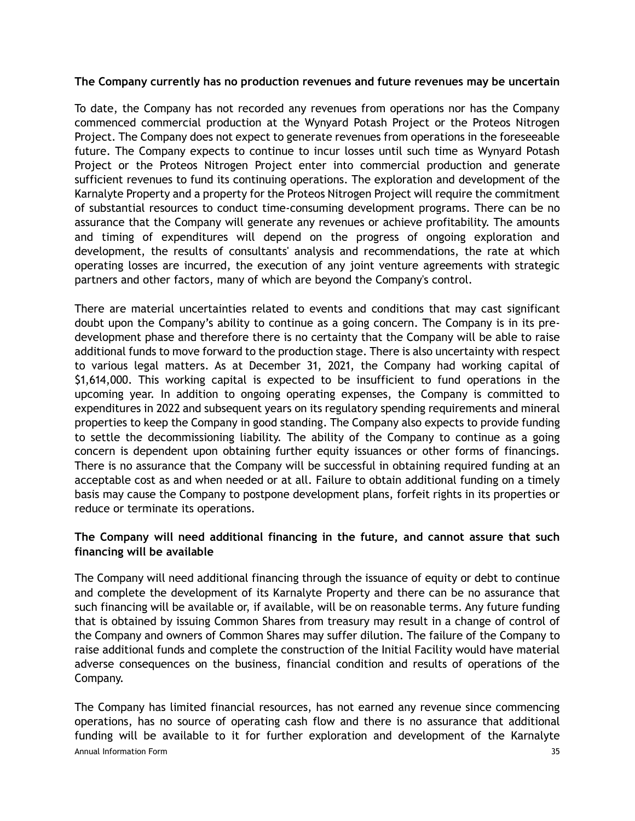#### **The Company currently has no production revenues and future revenues may be uncertain**

To date, the Company has not recorded any revenues from operations nor has the Company commenced commercial production at the Wynyard Potash Project or the Proteos Nitrogen Project. The Company does not expect to generate revenues from operations in the foreseeable future. The Company expects to continue to incur losses until such time as Wynyard Potash Project or the Proteos Nitrogen Project enter into commercial production and generate sufficient revenues to fund its continuing operations. The exploration and development of the Karnalyte Property and a property for the Proteos Nitrogen Project will require the commitment of substantial resources to conduct time-consuming development programs. There can be no assurance that the Company will generate any revenues or achieve profitability. The amounts and timing of expenditures will depend on the progress of ongoing exploration and development, the results of consultants' analysis and recommendations, the rate at which operating losses are incurred, the execution of any joint venture agreements with strategic partners and other factors, many of which are beyond the Company's control.

There are material uncertainties related to events and conditions that may cast significant doubt upon the Company's ability to continue as a going concern. The Company is in its predevelopment phase and therefore there is no certainty that the Company will be able to raise additional funds to move forward to the production stage. There is also uncertainty with respect to various legal matters. As at December 31, 2021, the Company had working capital of \$1,614,000. This working capital is expected to be insufficient to fund operations in the upcoming year. In addition to ongoing operating expenses, the Company is committed to expenditures in 2022 and subsequent years on its regulatory spending requirements and mineral properties to keep the Company in good standing. The Company also expects to provide funding to settle the decommissioning liability. The ability of the Company to continue as a going concern is dependent upon obtaining further equity issuances or other forms of financings. There is no assurance that the Company will be successful in obtaining required funding at an acceptable cost as and when needed or at all. Failure to obtain additional funding on a timely basis may cause the Company to postpone development plans, forfeit rights in its properties or reduce or terminate its operations.

# **The Company will need additional financing in the future, and cannot assure that such financing will be available**

The Company will need additional financing through the issuance of equity or debt to continue and complete the development of its Karnalyte Property and there can be no assurance that such financing will be available or, if available, will be on reasonable terms. Any future funding that is obtained by issuing Common Shares from treasury may result in a change of control of the Company and owners of Common Shares may suffer dilution. The failure of the Company to raise additional funds and complete the construction of the Initial Facility would have material adverse consequences on the business, financial condition and results of operations of the Company.

Annual Information Form 35 The Company has limited financial resources, has not earned any revenue since commencing operations, has no source of operating cash flow and there is no assurance that additional funding will be available to it for further exploration and development of the Karnalyte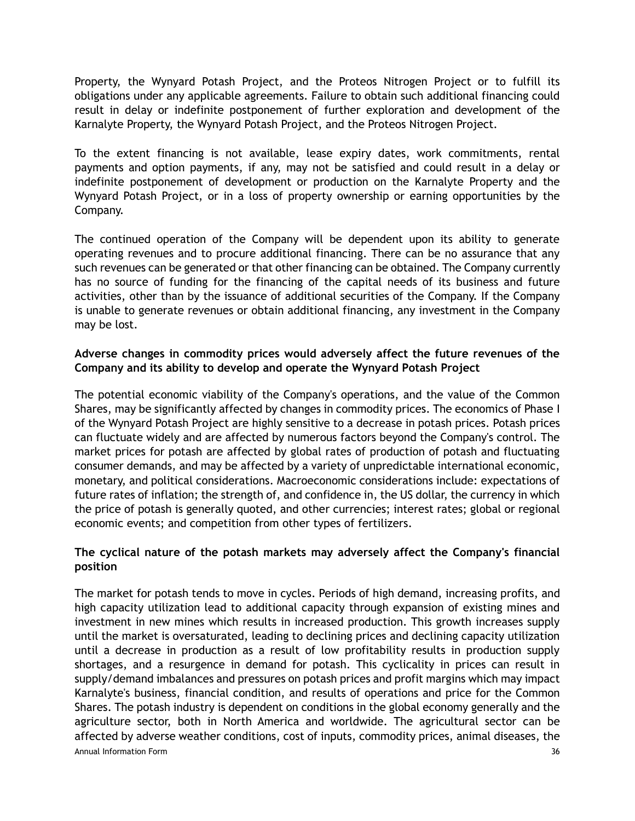Property, the Wynyard Potash Project, and the Proteos Nitrogen Project or to fulfill its obligations under any applicable agreements. Failure to obtain such additional financing could result in delay or indefinite postponement of further exploration and development of the Karnalyte Property, the Wynyard Potash Project, and the Proteos Nitrogen Project.

To the extent financing is not available, lease expiry dates, work commitments, rental payments and option payments, if any, may not be satisfied and could result in a delay or indefinite postponement of development or production on the Karnalyte Property and the Wynyard Potash Project, or in a loss of property ownership or earning opportunities by the Company.

The continued operation of the Company will be dependent upon its ability to generate operating revenues and to procure additional financing. There can be no assurance that any such revenues can be generated or that other financing can be obtained. The Company currently has no source of funding for the financing of the capital needs of its business and future activities, other than by the issuance of additional securities of the Company. If the Company is unable to generate revenues or obtain additional financing, any investment in the Company may be lost.

# **Adverse changes in commodity prices would adversely affect the future revenues of the Company and its ability to develop and operate the Wynyard Potash Project**

The potential economic viability of the Company's operations, and the value of the Common Shares, may be significantly affected by changes in commodity prices. The economics of Phase I of the Wynyard Potash Project are highly sensitive to a decrease in potash prices. Potash prices can fluctuate widely and are affected by numerous factors beyond the Company's control. The market prices for potash are affected by global rates of production of potash and fluctuating consumer demands, and may be affected by a variety of unpredictable international economic, monetary, and political considerations. Macroeconomic considerations include: expectations of future rates of inflation; the strength of, and confidence in, the US dollar, the currency in which the price of potash is generally quoted, and other currencies; interest rates; global or regional economic events; and competition from other types of fertilizers.

# **The cyclical nature of the potash markets may adversely affect the Company's financial position**

Annual Information Form 36 The market for potash tends to move in cycles. Periods of high demand, increasing profits, and high capacity utilization lead to additional capacity through expansion of existing mines and investment in new mines which results in increased production. This growth increases supply until the market is oversaturated, leading to declining prices and declining capacity utilization until a decrease in production as a result of low profitability results in production supply shortages, and a resurgence in demand for potash. This cyclicality in prices can result in supply/demand imbalances and pressures on potash prices and profit margins which may impact Karnalyte's business, financial condition, and results of operations and price for the Common Shares. The potash industry is dependent on conditions in the global economy generally and the agriculture sector, both in North America and worldwide. The agricultural sector can be affected by adverse weather conditions, cost of inputs, commodity prices, animal diseases, the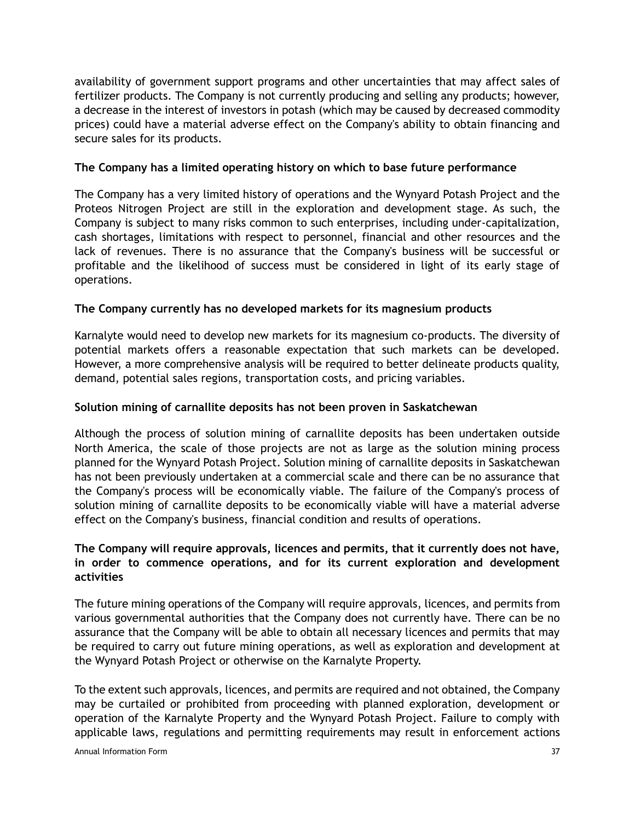availability of government support programs and other uncertainties that may affect sales of fertilizer products. The Company is not currently producing and selling any products; however, a decrease in the interest of investors in potash (which may be caused by decreased commodity prices) could have a material adverse effect on the Company's ability to obtain financing and secure sales for its products.

#### **The Company has a limited operating history on which to base future performance**

The Company has a very limited history of operations and the Wynyard Potash Project and the Proteos Nitrogen Project are still in the exploration and development stage. As such, the Company is subject to many risks common to such enterprises, including under-capitalization, cash shortages, limitations with respect to personnel, financial and other resources and the lack of revenues. There is no assurance that the Company's business will be successful or profitable and the likelihood of success must be considered in light of its early stage of operations.

#### **The Company currently has no developed markets for its magnesium products**

Karnalyte would need to develop new markets for its magnesium co-products. The diversity of potential markets offers a reasonable expectation that such markets can be developed. However, a more comprehensive analysis will be required to better delineate products quality, demand, potential sales regions, transportation costs, and pricing variables.

#### **Solution mining of carnallite deposits has not been proven in Saskatchewan**

Although the process of solution mining of carnallite deposits has been undertaken outside North America, the scale of those projects are not as large as the solution mining process planned for the Wynyard Potash Project. Solution mining of carnallite deposits in Saskatchewan has not been previously undertaken at a commercial scale and there can be no assurance that the Company's process will be economically viable. The failure of the Company's process of solution mining of carnallite deposits to be economically viable will have a material adverse effect on the Company's business, financial condition and results of operations.

# **The Company will require approvals, licences and permits, that it currently does not have, in order to commence operations, and for its current exploration and development activities**

The future mining operations of the Company will require approvals, licences, and permits from various governmental authorities that the Company does not currently have. There can be no assurance that the Company will be able to obtain all necessary licences and permits that may be required to carry out future mining operations, as well as exploration and development at the Wynyard Potash Project or otherwise on the Karnalyte Property.

To the extent such approvals, licences, and permits are required and not obtained, the Company may be curtailed or prohibited from proceeding with planned exploration, development or operation of the Karnalyte Property and the Wynyard Potash Project. Failure to comply with applicable laws, regulations and permitting requirements may result in enforcement actions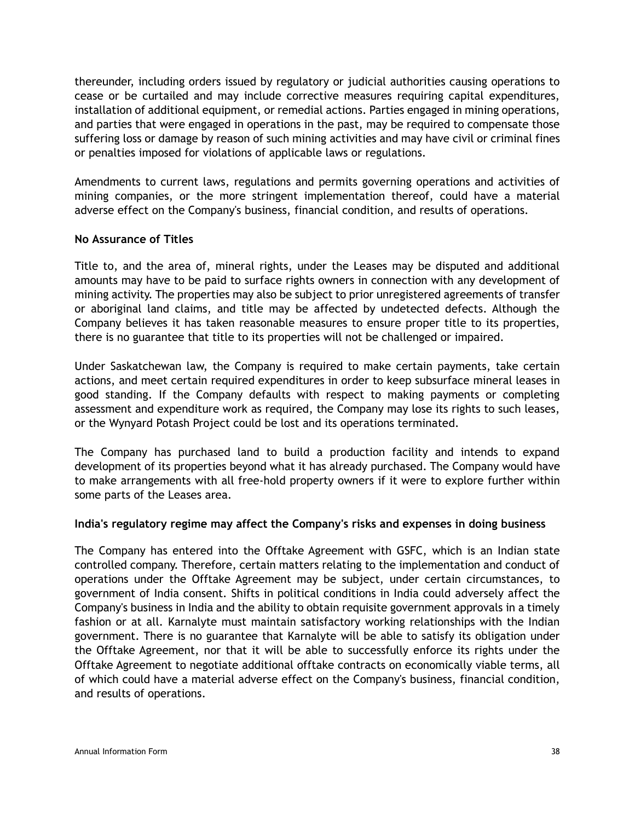thereunder, including orders issued by regulatory or judicial authorities causing operations to cease or be curtailed and may include corrective measures requiring capital expenditures, installation of additional equipment, or remedial actions. Parties engaged in mining operations, and parties that were engaged in operations in the past, may be required to compensate those suffering loss or damage by reason of such mining activities and may have civil or criminal fines or penalties imposed for violations of applicable laws or regulations.

Amendments to current laws, regulations and permits governing operations and activities of mining companies, or the more stringent implementation thereof, could have a material adverse effect on the Company's business, financial condition, and results of operations.

#### **No Assurance of Titles**

Title to, and the area of, mineral rights, under the Leases may be disputed and additional amounts may have to be paid to surface rights owners in connection with any development of mining activity. The properties may also be subject to prior unregistered agreements of transfer or aboriginal land claims, and title may be affected by undetected defects. Although the Company believes it has taken reasonable measures to ensure proper title to its properties, there is no guarantee that title to its properties will not be challenged or impaired.

Under Saskatchewan law, the Company is required to make certain payments, take certain actions, and meet certain required expenditures in order to keep subsurface mineral leases in good standing. If the Company defaults with respect to making payments or completing assessment and expenditure work as required, the Company may lose its rights to such leases, or the Wynyard Potash Project could be lost and its operations terminated.

The Company has purchased land to build a production facility and intends to expand development of its properties beyond what it has already purchased. The Company would have to make arrangements with all free-hold property owners if it were to explore further within some parts of the Leases area.

#### **India's regulatory regime may affect the Company's risks and expenses in doing business**

The Company has entered into the Offtake Agreement with GSFC, which is an Indian state controlled company. Therefore, certain matters relating to the implementation and conduct of operations under the Offtake Agreement may be subject, under certain circumstances, to government of India consent. Shifts in political conditions in India could adversely affect the Company's business in India and the ability to obtain requisite government approvals in a timely fashion or at all. Karnalyte must maintain satisfactory working relationships with the Indian government. There is no guarantee that Karnalyte will be able to satisfy its obligation under the Offtake Agreement, nor that it will be able to successfully enforce its rights under the Offtake Agreement to negotiate additional offtake contracts on economically viable terms, all of which could have a material adverse effect on the Company's business, financial condition, and results of operations.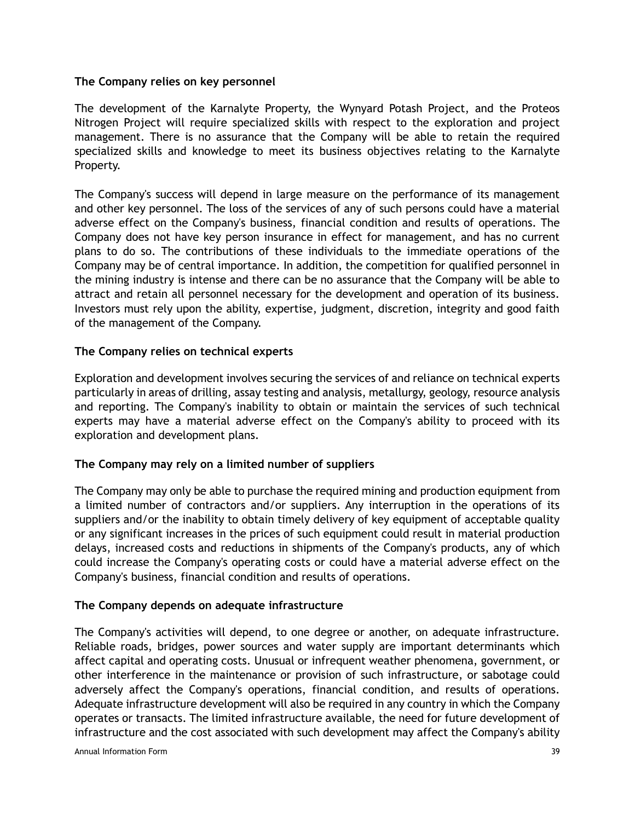#### **The Company relies on key personnel**

The development of the Karnalyte Property, the Wynyard Potash Project, and the Proteos Nitrogen Project will require specialized skills with respect to the exploration and project management. There is no assurance that the Company will be able to retain the required specialized skills and knowledge to meet its business objectives relating to the Karnalyte Property.

The Company's success will depend in large measure on the performance of its management and other key personnel. The loss of the services of any of such persons could have a material adverse effect on the Company's business, financial condition and results of operations. The Company does not have key person insurance in effect for management, and has no current plans to do so. The contributions of these individuals to the immediate operations of the Company may be of central importance. In addition, the competition for qualified personnel in the mining industry is intense and there can be no assurance that the Company will be able to attract and retain all personnel necessary for the development and operation of its business. Investors must rely upon the ability, expertise, judgment, discretion, integrity and good faith of the management of the Company.

#### **The Company relies on technical experts**

Exploration and development involves securing the services of and reliance on technical experts particularly in areas of drilling, assay testing and analysis, metallurgy, geology, resource analysis and reporting. The Company's inability to obtain or maintain the services of such technical experts may have a material adverse effect on the Company's ability to proceed with its exploration and development plans.

#### **The Company may rely on a limited number of suppliers**

The Company may only be able to purchase the required mining and production equipment from a limited number of contractors and/or suppliers. Any interruption in the operations of its suppliers and/or the inability to obtain timely delivery of key equipment of acceptable quality or any significant increases in the prices of such equipment could result in material production delays, increased costs and reductions in shipments of the Company's products, any of which could increase the Company's operating costs or could have a material adverse effect on the Company's business, financial condition and results of operations.

#### **The Company depends on adequate infrastructure**

The Company's activities will depend, to one degree or another, on adequate infrastructure. Reliable roads, bridges, power sources and water supply are important determinants which affect capital and operating costs. Unusual or infrequent weather phenomena, government, or other interference in the maintenance or provision of such infrastructure, or sabotage could adversely affect the Company's operations, financial condition, and results of operations. Adequate infrastructure development will also be required in any country in which the Company operates or transacts. The limited infrastructure available, the need for future development of infrastructure and the cost associated with such development may affect the Company's ability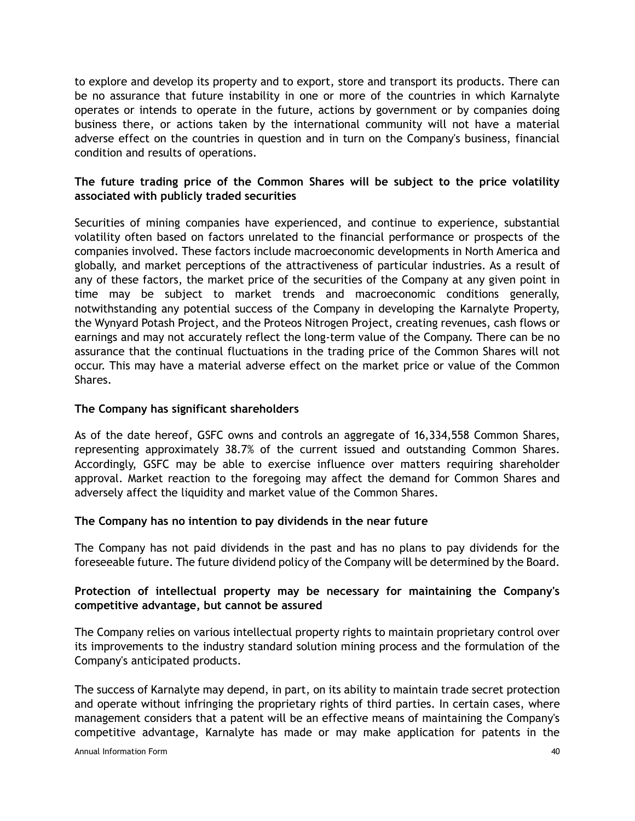to explore and develop its property and to export, store and transport its products. There can be no assurance that future instability in one or more of the countries in which Karnalyte operates or intends to operate in the future, actions by government or by companies doing business there, or actions taken by the international community will not have a material adverse effect on the countries in question and in turn on the Company's business, financial condition and results of operations.

# **The future trading price of the Common Shares will be subject to the price volatility associated with publicly traded securities**

Securities of mining companies have experienced, and continue to experience, substantial volatility often based on factors unrelated to the financial performance or prospects of the companies involved. These factors include macroeconomic developments in North America and globally, and market perceptions of the attractiveness of particular industries. As a result of any of these factors, the market price of the securities of the Company at any given point in time may be subject to market trends and macroeconomic conditions generally, notwithstanding any potential success of the Company in developing the Karnalyte Property, the Wynyard Potash Project, and the Proteos Nitrogen Project, creating revenues, cash flows or earnings and may not accurately reflect the long-term value of the Company. There can be no assurance that the continual fluctuations in the trading price of the Common Shares will not occur. This may have a material adverse effect on the market price or value of the Common Shares.

# **The Company has significant shareholders**

As of the date hereof, GSFC owns and controls an aggregate of 16,334,558 Common Shares, representing approximately 38.7% of the current issued and outstanding Common Shares. Accordingly, GSFC may be able to exercise influence over matters requiring shareholder approval. Market reaction to the foregoing may affect the demand for Common Shares and adversely affect the liquidity and market value of the Common Shares.

#### **The Company has no intention to pay dividends in the near future**

The Company has not paid dividends in the past and has no plans to pay dividends for the foreseeable future. The future dividend policy of the Company will be determined by the Board.

# **Protection of intellectual property may be necessary for maintaining the Company's competitive advantage, but cannot be assured**

The Company relies on various intellectual property rights to maintain proprietary control over its improvements to the industry standard solution mining process and the formulation of the Company's anticipated products.

The success of Karnalyte may depend, in part, on its ability to maintain trade secret protection and operate without infringing the proprietary rights of third parties. In certain cases, where management considers that a patent will be an effective means of maintaining the Company's competitive advantage, Karnalyte has made or may make application for patents in the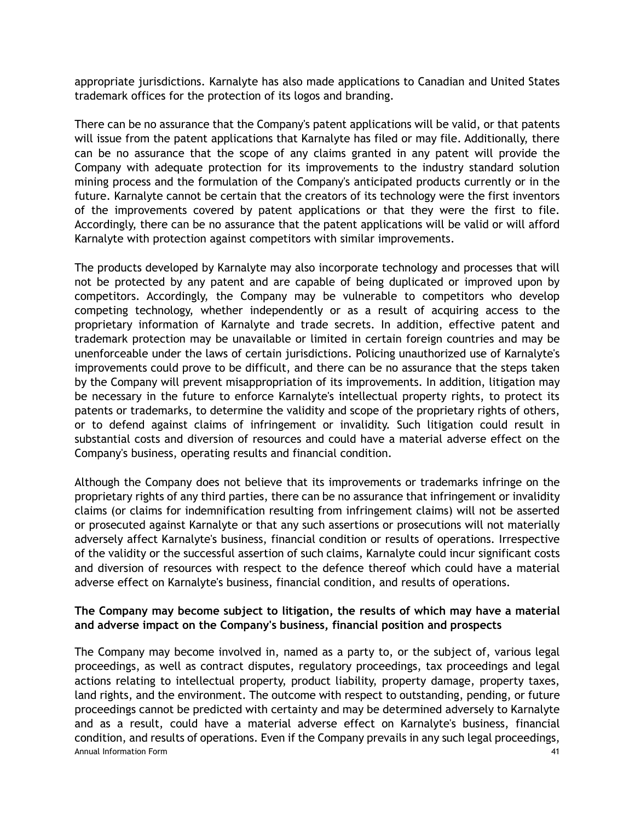appropriate jurisdictions. Karnalyte has also made applications to Canadian and United States trademark offices for the protection of its logos and branding.

There can be no assurance that the Company's patent applications will be valid, or that patents will issue from the patent applications that Karnalyte has filed or may file. Additionally, there can be no assurance that the scope of any claims granted in any patent will provide the Company with adequate protection for its improvements to the industry standard solution mining process and the formulation of the Company's anticipated products currently or in the future. Karnalyte cannot be certain that the creators of its technology were the first inventors of the improvements covered by patent applications or that they were the first to file. Accordingly, there can be no assurance that the patent applications will be valid or will afford Karnalyte with protection against competitors with similar improvements.

The products developed by Karnalyte may also incorporate technology and processes that will not be protected by any patent and are capable of being duplicated or improved upon by competitors. Accordingly, the Company may be vulnerable to competitors who develop competing technology, whether independently or as a result of acquiring access to the proprietary information of Karnalyte and trade secrets. In addition, effective patent and trademark protection may be unavailable or limited in certain foreign countries and may be unenforceable under the laws of certain jurisdictions. Policing unauthorized use of Karnalyte's improvements could prove to be difficult, and there can be no assurance that the steps taken by the Company will prevent misappropriation of its improvements. In addition, litigation may be necessary in the future to enforce Karnalyte's intellectual property rights, to protect its patents or trademarks, to determine the validity and scope of the proprietary rights of others, or to defend against claims of infringement or invalidity. Such litigation could result in substantial costs and diversion of resources and could have a material adverse effect on the Company's business, operating results and financial condition.

Although the Company does not believe that its improvements or trademarks infringe on the proprietary rights of any third parties, there can be no assurance that infringement or invalidity claims (or claims for indemnification resulting from infringement claims) will not be asserted or prosecuted against Karnalyte or that any such assertions or prosecutions will not materially adversely affect Karnalyte's business, financial condition or results of operations. Irrespective of the validity or the successful assertion of such claims, Karnalyte could incur significant costs and diversion of resources with respect to the defence thereof which could have a material adverse effect on Karnalyte's business, financial condition, and results of operations.

# **The Company may become subject to litigation, the results of which may have a material and adverse impact on the Company's business, financial position and prospects**

Annual Information Form 41 The Company may become involved in, named as a party to, or the subject of, various legal proceedings, as well as contract disputes, regulatory proceedings, tax proceedings and legal actions relating to intellectual property, product liability, property damage, property taxes, land rights, and the environment. The outcome with respect to outstanding, pending, or future proceedings cannot be predicted with certainty and may be determined adversely to Karnalyte and as a result, could have a material adverse effect on Karnalyte's business, financial condition, and results of operations. Even if the Company prevails in any such legal proceedings,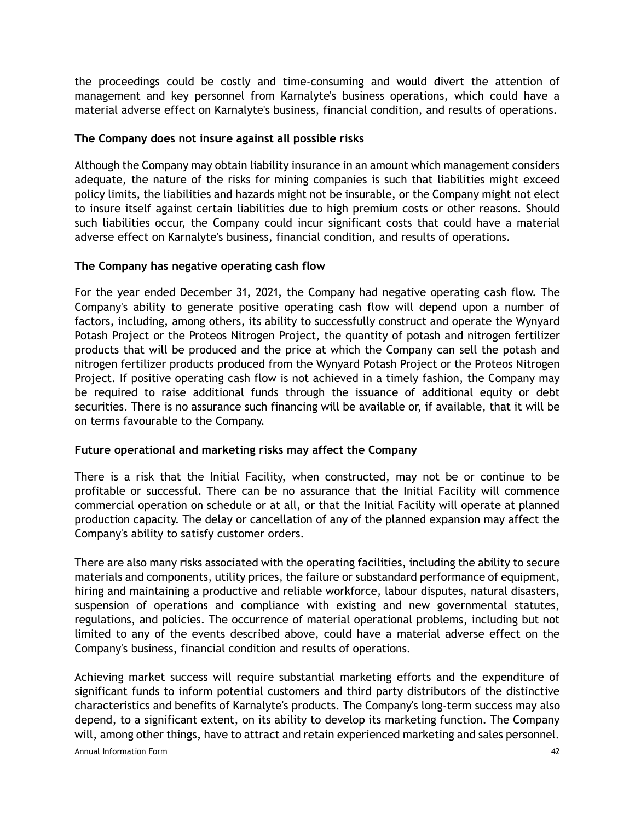the proceedings could be costly and time-consuming and would divert the attention of management and key personnel from Karnalyte's business operations, which could have a material adverse effect on Karnalyte's business, financial condition, and results of operations.

# **The Company does not insure against all possible risks**

Although the Company may obtain liability insurance in an amount which management considers adequate, the nature of the risks for mining companies is such that liabilities might exceed policy limits, the liabilities and hazards might not be insurable, or the Company might not elect to insure itself against certain liabilities due to high premium costs or other reasons. Should such liabilities occur, the Company could incur significant costs that could have a material adverse effect on Karnalyte's business, financial condition, and results of operations.

#### **The Company has negative operating cash flow**

For the year ended December 31, 2021, the Company had negative operating cash flow. The Company's ability to generate positive operating cash flow will depend upon a number of factors, including, among others, its ability to successfully construct and operate the Wynyard Potash Project or the Proteos Nitrogen Project, the quantity of potash and nitrogen fertilizer products that will be produced and the price at which the Company can sell the potash and nitrogen fertilizer products produced from the Wynyard Potash Project or the Proteos Nitrogen Project. If positive operating cash flow is not achieved in a timely fashion, the Company may be required to raise additional funds through the issuance of additional equity or debt securities. There is no assurance such financing will be available or, if available, that it will be on terms favourable to the Company.

#### **Future operational and marketing risks may affect the Company**

There is a risk that the Initial Facility, when constructed, may not be or continue to be profitable or successful. There can be no assurance that the Initial Facility will commence commercial operation on schedule or at all, or that the Initial Facility will operate at planned production capacity. The delay or cancellation of any of the planned expansion may affect the Company's ability to satisfy customer orders.

There are also many risks associated with the operating facilities, including the ability to secure materials and components, utility prices, the failure or substandard performance of equipment, hiring and maintaining a productive and reliable workforce, labour disputes, natural disasters, suspension of operations and compliance with existing and new governmental statutes, regulations, and policies. The occurrence of material operational problems, including but not limited to any of the events described above, could have a material adverse effect on the Company's business, financial condition and results of operations.

Annual Information Form 42 Achieving market success will require substantial marketing efforts and the expenditure of significant funds to inform potential customers and third party distributors of the distinctive characteristics and benefits of Karnalyte's products. The Company's long-term success may also depend, to a significant extent, on its ability to develop its marketing function. The Company will, among other things, have to attract and retain experienced marketing and sales personnel.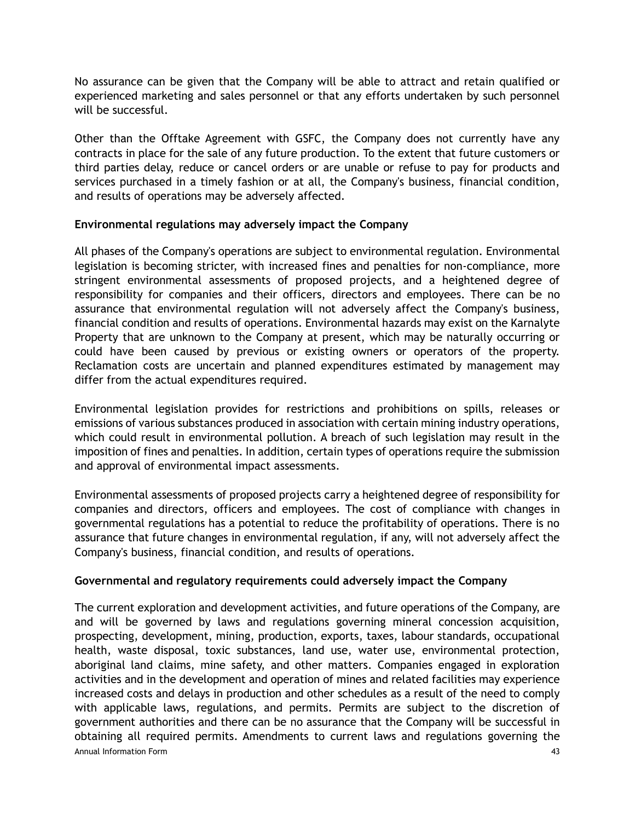No assurance can be given that the Company will be able to attract and retain qualified or experienced marketing and sales personnel or that any efforts undertaken by such personnel will be successful.

Other than the Offtake Agreement with GSFC, the Company does not currently have any contracts in place for the sale of any future production. To the extent that future customers or third parties delay, reduce or cancel orders or are unable or refuse to pay for products and services purchased in a timely fashion or at all, the Company's business, financial condition, and results of operations may be adversely affected.

# **Environmental regulations may adversely impact the Company**

All phases of the Company's operations are subject to environmental regulation. Environmental legislation is becoming stricter, with increased fines and penalties for non-compliance, more stringent environmental assessments of proposed projects, and a heightened degree of responsibility for companies and their officers, directors and employees. There can be no assurance that environmental regulation will not adversely affect the Company's business, financial condition and results of operations. Environmental hazards may exist on the Karnalyte Property that are unknown to the Company at present, which may be naturally occurring or could have been caused by previous or existing owners or operators of the property. Reclamation costs are uncertain and planned expenditures estimated by management may differ from the actual expenditures required.

Environmental legislation provides for restrictions and prohibitions on spills, releases or emissions of various substances produced in association with certain mining industry operations, which could result in environmental pollution. A breach of such legislation may result in the imposition of fines and penalties. In addition, certain types of operations require the submission and approval of environmental impact assessments.

Environmental assessments of proposed projects carry a heightened degree of responsibility for companies and directors, officers and employees. The cost of compliance with changes in governmental regulations has a potential to reduce the profitability of operations. There is no assurance that future changes in environmental regulation, if any, will not adversely affect the Company's business, financial condition, and results of operations.

#### **Governmental and regulatory requirements could adversely impact the Company**

Annual Information Form 43 The current exploration and development activities, and future operations of the Company, are and will be governed by laws and regulations governing mineral concession acquisition, prospecting, development, mining, production, exports, taxes, labour standards, occupational health, waste disposal, toxic substances, land use, water use, environmental protection, aboriginal land claims, mine safety, and other matters. Companies engaged in exploration activities and in the development and operation of mines and related facilities may experience increased costs and delays in production and other schedules as a result of the need to comply with applicable laws, regulations, and permits. Permits are subject to the discretion of government authorities and there can be no assurance that the Company will be successful in obtaining all required permits. Amendments to current laws and regulations governing the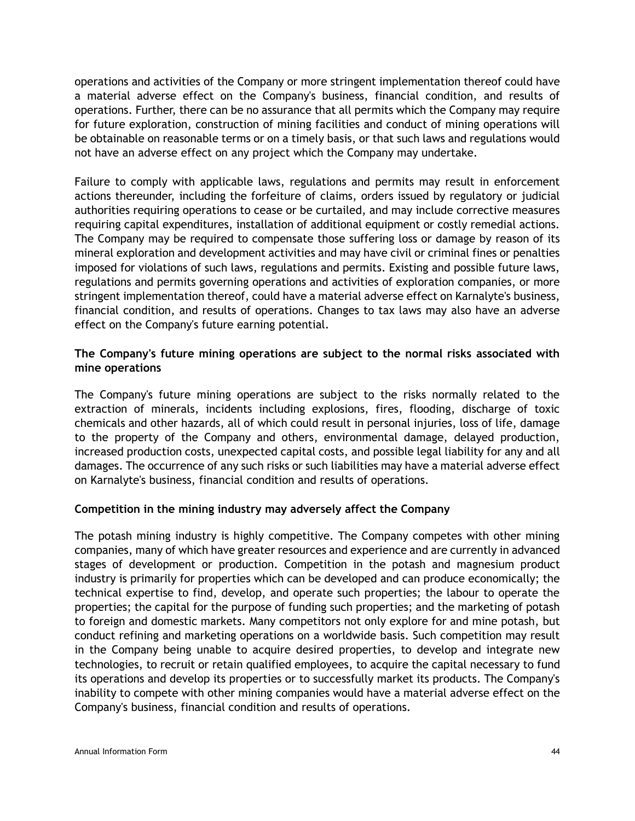operations and activities of the Company or more stringent implementation thereof could have a material adverse effect on the Company's business, financial condition, and results of operations. Further, there can be no assurance that all permits which the Company may require for future exploration, construction of mining facilities and conduct of mining operations will be obtainable on reasonable terms or on a timely basis, or that such laws and regulations would not have an adverse effect on any project which the Company may undertake.

Failure to comply with applicable laws, regulations and permits may result in enforcement actions thereunder, including the forfeiture of claims, orders issued by regulatory or judicial authorities requiring operations to cease or be curtailed, and may include corrective measures requiring capital expenditures, installation of additional equipment or costly remedial actions. The Company may be required to compensate those suffering loss or damage by reason of its mineral exploration and development activities and may have civil or criminal fines or penalties imposed for violations of such laws, regulations and permits. Existing and possible future laws, regulations and permits governing operations and activities of exploration companies, or more stringent implementation thereof, could have a material adverse effect on Karnalyte's business, financial condition, and results of operations. Changes to tax laws may also have an adverse effect on the Company's future earning potential.

# **The Company's future mining operations are subject to the normal risks associated with mine operations**

The Company's future mining operations are subject to the risks normally related to the extraction of minerals, incidents including explosions, fires, flooding, discharge of toxic chemicals and other hazards, all of which could result in personal injuries, loss of life, damage to the property of the Company and others, environmental damage, delayed production, increased production costs, unexpected capital costs, and possible legal liability for any and all damages. The occurrence of any such risks or such liabilities may have a material adverse effect on Karnalyte's business, financial condition and results of operations.

#### **Competition in the mining industry may adversely affect the Company**

The potash mining industry is highly competitive. The Company competes with other mining companies, many of which have greater resources and experience and are currently in advanced stages of development or production. Competition in the potash and magnesium product industry is primarily for properties which can be developed and can produce economically; the technical expertise to find, develop, and operate such properties; the labour to operate the properties; the capital for the purpose of funding such properties; and the marketing of potash to foreign and domestic markets. Many competitors not only explore for and mine potash, but conduct refining and marketing operations on a worldwide basis. Such competition may result in the Company being unable to acquire desired properties, to develop and integrate new technologies, to recruit or retain qualified employees, to acquire the capital necessary to fund its operations and develop its properties or to successfully market its products. The Company's inability to compete with other mining companies would have a material adverse effect on the Company's business, financial condition and results of operations.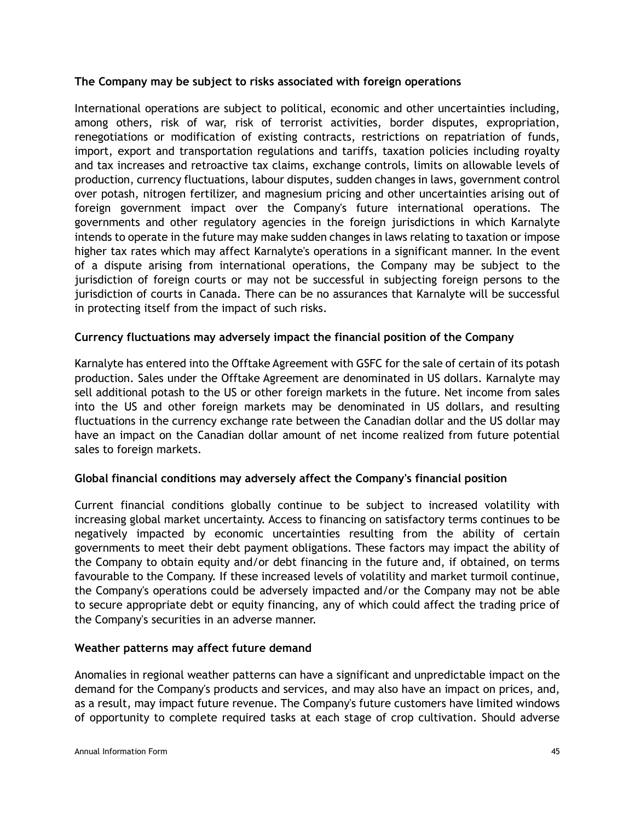#### **The Company may be subject to risks associated with foreign operations**

International operations are subject to political, economic and other uncertainties including, among others, risk of war, risk of terrorist activities, border disputes, expropriation, renegotiations or modification of existing contracts, restrictions on repatriation of funds, import, export and transportation regulations and tariffs, taxation policies including royalty and tax increases and retroactive tax claims, exchange controls, limits on allowable levels of production, currency fluctuations, labour disputes, sudden changes in laws, government control over potash, nitrogen fertilizer, and magnesium pricing and other uncertainties arising out of foreign government impact over the Company's future international operations. The governments and other regulatory agencies in the foreign jurisdictions in which Karnalyte intends to operate in the future may make sudden changes in laws relating to taxation or impose higher tax rates which may affect Karnalyte's operations in a significant manner. In the event of a dispute arising from international operations, the Company may be subject to the jurisdiction of foreign courts or may not be successful in subjecting foreign persons to the jurisdiction of courts in Canada. There can be no assurances that Karnalyte will be successful in protecting itself from the impact of such risks.

#### **Currency fluctuations may adversely impact the financial position of the Company**

Karnalyte has entered into the Offtake Agreement with GSFC for the sale of certain of its potash production. Sales under the Offtake Agreement are denominated in US dollars. Karnalyte may sell additional potash to the US or other foreign markets in the future. Net income from sales into the US and other foreign markets may be denominated in US dollars, and resulting fluctuations in the currency exchange rate between the Canadian dollar and the US dollar may have an impact on the Canadian dollar amount of net income realized from future potential sales to foreign markets.

#### **Global financial conditions may adversely affect the Company's financial position**

Current financial conditions globally continue to be subject to increased volatility with increasing global market uncertainty. Access to financing on satisfactory terms continues to be negatively impacted by economic uncertainties resulting from the ability of certain governments to meet their debt payment obligations. These factors may impact the ability of the Company to obtain equity and/or debt financing in the future and, if obtained, on terms favourable to the Company. If these increased levels of volatility and market turmoil continue, the Company's operations could be adversely impacted and/or the Company may not be able to secure appropriate debt or equity financing, any of which could affect the trading price of the Company's securities in an adverse manner.

#### **Weather patterns may affect future demand**

Anomalies in regional weather patterns can have a significant and unpredictable impact on the demand for the Company's products and services, and may also have an impact on prices, and, as a result, may impact future revenue. The Company's future customers have limited windows of opportunity to complete required tasks at each stage of crop cultivation. Should adverse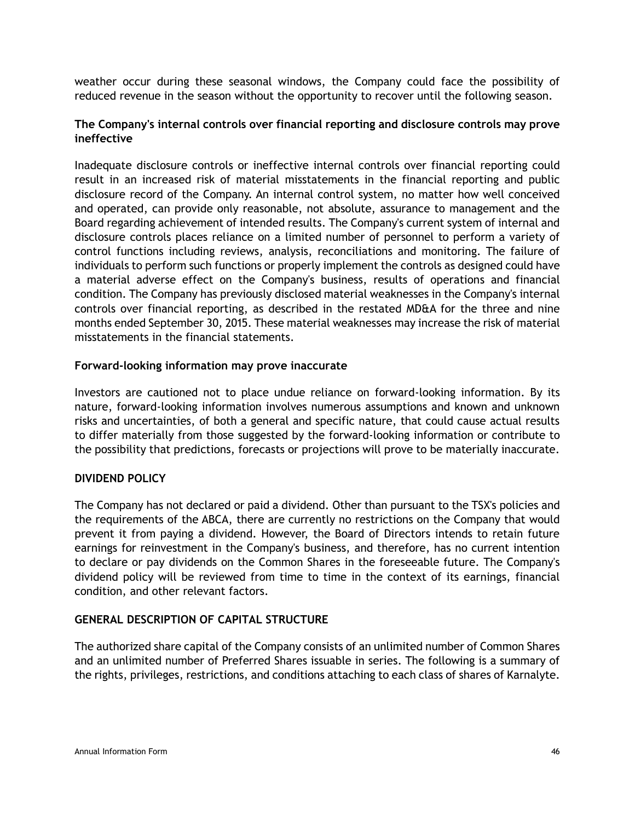weather occur during these seasonal windows, the Company could face the possibility of reduced revenue in the season without the opportunity to recover until the following season.

## **The Company's internal controls over financial reporting and disclosure controls may prove ineffective**

Inadequate disclosure controls or ineffective internal controls over financial reporting could result in an increased risk of material misstatements in the financial reporting and public disclosure record of the Company. An internal control system, no matter how well conceived and operated, can provide only reasonable, not absolute, assurance to management and the Board regarding achievement of intended results. The Company's current system of internal and disclosure controls places reliance on a limited number of personnel to perform a variety of control functions including reviews, analysis, reconciliations and monitoring. The failure of individuals to perform such functions or properly implement the controls as designed could have a material adverse effect on the Company's business, results of operations and financial condition. The Company has previously disclosed material weaknesses in the Company's internal controls over financial reporting, as described in the restated MD&A for the three and nine months ended September 30, 2015. These material weaknesses may increase the risk of material misstatements in the financial statements.

#### **Forward-looking information may prove inaccurate**

Investors are cautioned not to place undue reliance on forward-looking information. By its nature, forward-looking information involves numerous assumptions and known and unknown risks and uncertainties, of both a general and specific nature, that could cause actual results to differ materially from those suggested by the forward-looking information or contribute to the possibility that predictions, forecasts or projections will prove to be materially inaccurate.

#### <span id="page-47-0"></span>**DIVIDEND POLICY**

The Company has not declared or paid a dividend. Other than pursuant to the TSX's policies and the requirements of the ABCA, there are currently no restrictions on the Company that would prevent it from paying a dividend. However, the Board of Directors intends to retain future earnings for reinvestment in the Company's business, and therefore, has no current intention to declare or pay dividends on the Common Shares in the foreseeable future. The Company's dividend policy will be reviewed from time to time in the context of its earnings, financial condition, and other relevant factors.

#### <span id="page-47-1"></span>**GENERAL DESCRIPTION OF CAPITAL STRUCTURE**

The authorized share capital of the Company consists of an unlimited number of Common Shares and an unlimited number of Preferred Shares issuable in series. The following is a summary of the rights, privileges, restrictions, and conditions attaching to each class of shares of Karnalyte.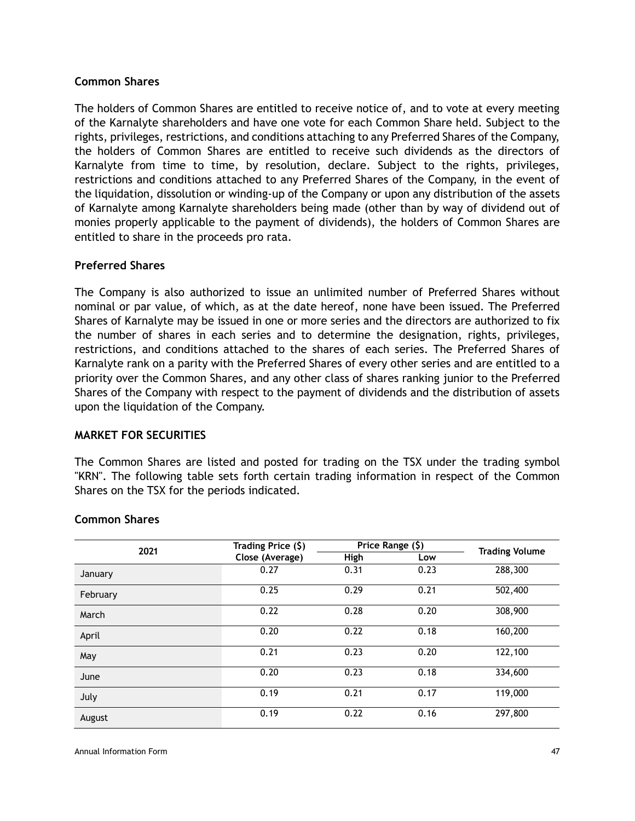#### **Common Shares**

The holders of Common Shares are entitled to receive notice of, and to vote at every meeting of the Karnalyte shareholders and have one vote for each Common Share held. Subject to the rights, privileges, restrictions, and conditions attaching to any Preferred Shares of the Company, the holders of Common Shares are entitled to receive such dividends as the directors of Karnalyte from time to time, by resolution, declare. Subject to the rights, privileges, restrictions and conditions attached to any Preferred Shares of the Company, in the event of the liquidation, dissolution or winding-up of the Company or upon any distribution of the assets of Karnalyte among Karnalyte shareholders being made (other than by way of dividend out of monies properly applicable to the payment of dividends), the holders of Common Shares are entitled to share in the proceeds pro rata.

#### **Preferred Shares**

The Company is also authorized to issue an unlimited number of Preferred Shares without nominal or par value, of which, as at the date hereof, none have been issued. The Preferred Shares of Karnalyte may be issued in one or more series and the directors are authorized to fix the number of shares in each series and to determine the designation, rights, privileges, restrictions, and conditions attached to the shares of each series. The Preferred Shares of Karnalyte rank on a parity with the Preferred Shares of every other series and are entitled to a priority over the Common Shares, and any other class of shares ranking junior to the Preferred Shares of the Company with respect to the payment of dividends and the distribution of assets upon the liquidation of the Company.

#### <span id="page-48-0"></span>**MARKET FOR SECURITIES**

The Common Shares are listed and posted for trading on the TSX under the trading symbol "KRN". The following table sets forth certain trading information in respect of the Common Shares on the TSX for the periods indicated.

| 2021     | Trading Price (\$) | Price Range (\$) |      |                       |
|----------|--------------------|------------------|------|-----------------------|
|          | Close (Average)    | High             | Low  | <b>Trading Volume</b> |
| January  | 0.27               | 0.31             | 0.23 | 288,300               |
| February | 0.25               | 0.29             | 0.21 | 502,400               |
| March    | 0.22               | 0.28             | 0.20 | 308,900               |
| April    | 0.20               | 0.22             | 0.18 | 160,200               |
| May      | 0.21               | 0.23             | 0.20 | 122,100               |
| June     | 0.20               | 0.23             | 0.18 | 334,600               |
| July     | 0.19               | 0.21             | 0.17 | 119,000               |
| August   | 0.19               | 0.22             | 0.16 | 297,800               |

#### **Common Shares**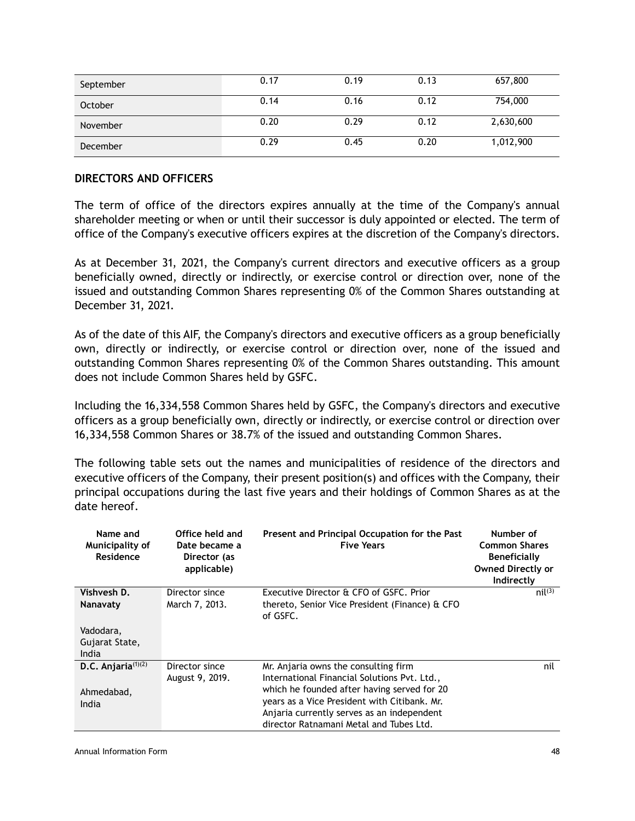| September       | 0.17 | 0.19 | 0.13 | 657,800   |
|-----------------|------|------|------|-----------|
| <b>October</b>  | 0.14 | 0.16 | 0.12 | 754,000   |
| November        | 0.20 | 0.29 | 0.12 | 2,630,600 |
| <b>December</b> | 0.29 | 0.45 | 0.20 | 1,012,900 |

#### <span id="page-49-0"></span>**DIRECTORS AND OFFICERS**

The term of office of the directors expires annually at the time of the Company's annual shareholder meeting or when or until their successor is duly appointed or elected. The term of office of the Company's executive officers expires at the discretion of the Company's directors.

As at December 31, 2021, the Company's current directors and executive officers as a group beneficially owned, directly or indirectly, or exercise control or direction over, none of the issued and outstanding Common Shares representing 0% of the Common Shares outstanding at December 31, 2021.

As of the date of this AIF, the Company's directors and executive officers as a group beneficially own, directly or indirectly, or exercise control or direction over, none of the issued and outstanding Common Shares representing 0% of the Common Shares outstanding. This amount does not include Common Shares held by GSFC.

Including the 16,334,558 Common Shares held by GSFC, the Company's directors and executive officers as a group beneficially own, directly or indirectly, or exercise control or direction over 16,334,558 Common Shares or 38.7% of the issued and outstanding Common Shares.

The following table sets out the names and municipalities of residence of the directors and executive officers of the Company, their present position(s) and offices with the Company, their principal occupations during the last five years and their holdings of Common Shares as at the date hereof.

| Name and<br>Municipality of<br><b>Residence</b> | Office held and<br>Date became a<br>Director (as<br>applicable) | Present and Principal Occupation for the Past<br><b>Five Years</b> | Number of<br><b>Common Shares</b><br><b>Beneficially</b><br><b>Owned Directly or</b><br>Indirectly |
|-------------------------------------------------|-----------------------------------------------------------------|--------------------------------------------------------------------|----------------------------------------------------------------------------------------------------|
| Vishvesh D.                                     | Director since                                                  | Executive Director & CFO of GSFC. Prior                            | $\mathsf{nil}^{(3)}$                                                                               |
| Nanavaty                                        | March 7, 2013.                                                  | thereto, Senior Vice President (Finance) & CFO<br>of GSFC.         |                                                                                                    |
| Vadodara,                                       |                                                                 |                                                                    |                                                                                                    |
| Gujarat State,<br>India                         |                                                                 |                                                                    |                                                                                                    |
| D.C. Anjaria $(1)(2)$                           | Director since                                                  | Mr. Anjaria owns the consulting firm                               | nil                                                                                                |
|                                                 | August 9, 2019.                                                 | International Financial Solutions Pvt. Ltd.,                       |                                                                                                    |
| Ahmedabad,                                      |                                                                 | which he founded after having served for 20                        |                                                                                                    |
| India                                           |                                                                 | years as a Vice President with Citibank. Mr.                       |                                                                                                    |
|                                                 |                                                                 | Anjaria currently serves as an independent                         |                                                                                                    |
|                                                 |                                                                 | director Ratnamani Metal and Tubes Ltd.                            |                                                                                                    |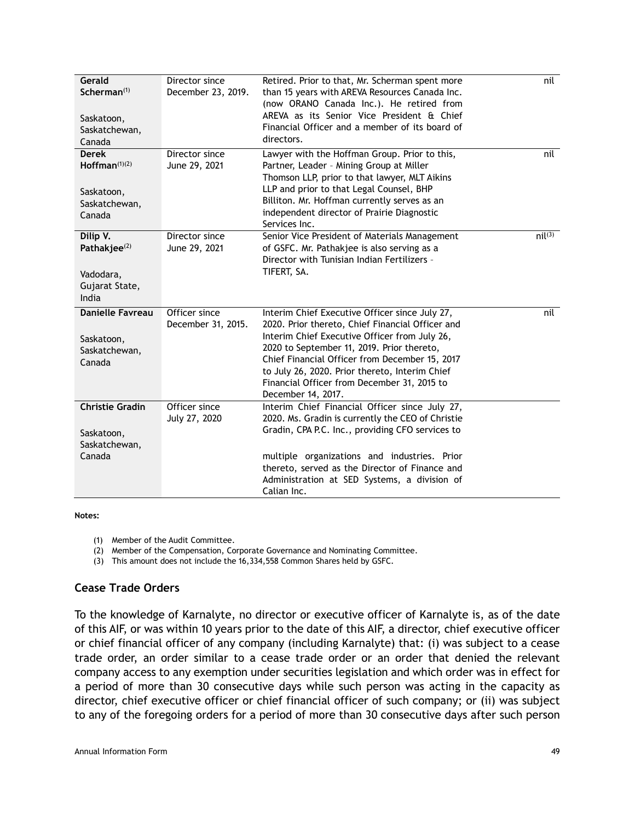| Gerald<br>Scherman $(1)$<br>Saskatoon,<br>Saskatchewan,<br>Canada            | Director since<br>December 23, 2019. | Retired. Prior to that, Mr. Scherman spent more<br>than 15 years with AREVA Resources Canada Inc.<br>(now ORANO Canada Inc.). He retired from<br>AREVA as its Senior Vice President & Chief<br>Financial Officer and a member of its board of<br>directors.                                                                                                                | nil        |
|------------------------------------------------------------------------------|--------------------------------------|----------------------------------------------------------------------------------------------------------------------------------------------------------------------------------------------------------------------------------------------------------------------------------------------------------------------------------------------------------------------------|------------|
| <b>Derek</b><br>Hoffman $(1)(2)$<br>Saskatoon,<br>Saskatchewan,<br>Canada    | Director since<br>June 29, 2021      | Lawyer with the Hoffman Group. Prior to this,<br>Partner, Leader - Mining Group at Miller<br>Thomson LLP, prior to that lawyer, MLT Aikins<br>LLP and prior to that Legal Counsel, BHP<br>Billiton. Mr. Hoffman currently serves as an<br>independent director of Prairie Diagnostic<br>Services Inc.                                                                      | nil        |
| Dilip V.<br>Pathakjee <sup>(2)</sup><br>Vadodara,<br>Gujarat State,<br>India | Director since<br>June 29, 2021      | Senior Vice President of Materials Management<br>of GSFC. Mr. Pathakjee is also serving as a<br>Director with Tunisian Indian Fertilizers -<br>TIFERT, SA.                                                                                                                                                                                                                 | $ni^{(3)}$ |
| <b>Danielle Favreau</b><br>Saskatoon,<br>Saskatchewan,<br>Canada             | Officer since<br>December 31, 2015.  | Interim Chief Executive Officer since July 27,<br>2020. Prior thereto, Chief Financial Officer and<br>Interim Chief Executive Officer from July 26,<br>2020 to September 11, 2019. Prior thereto,<br>Chief Financial Officer from December 15, 2017<br>to July 26, 2020. Prior thereto, Interim Chief<br>Financial Officer from December 31, 2015 to<br>December 14, 2017. | nil        |
| <b>Christie Gradin</b><br>Saskatoon,<br>Saskatchewan,<br>Canada              | Officer since<br>July 27, 2020       | Interim Chief Financial Officer since July 27,<br>2020. Ms. Gradin is currently the CEO of Christie<br>Gradin, CPA P.C. Inc., providing CFO services to<br>multiple organizations and industries. Prior<br>thereto, served as the Director of Finance and<br>Administration at SED Systems, a division of<br>Calian Inc.                                                   |            |

#### **Notes:**

(1) Member of the Audit Committee.

(2) Member of the Compensation, Corporate Governance and Nominating Committee.

(3) This amount does not include the 16,334,558 Common Shares held by GSFC.

#### **Cease Trade Orders**

To the knowledge of Karnalyte, no director or executive officer of Karnalyte is, as of the date of this AIF, or was within 10 years prior to the date of this AIF, a director, chief executive officer or chief financial officer of any company (including Karnalyte) that: (i) was subject to a cease trade order, an order similar to a cease trade order or an order that denied the relevant company access to any exemption under securities legislation and which order was in effect for a period of more than 30 consecutive days while such person was acting in the capacity as director, chief executive officer or chief financial officer of such company; or (ii) was subject to any of the foregoing orders for a period of more than 30 consecutive days after such person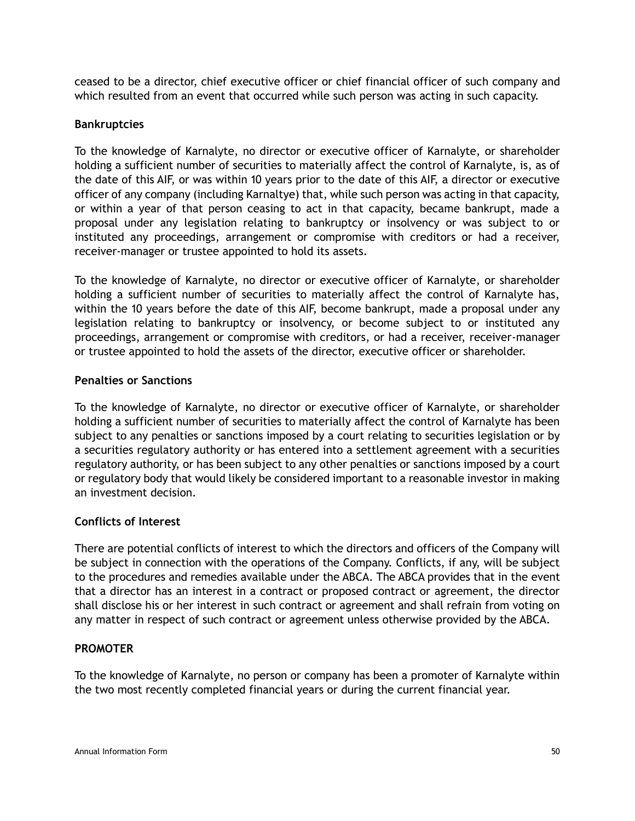ceased to be a director, chief executive officer or chief financial officer of such company and which resulted from an event that occurred while such person was acting in such capacity.

#### **Bankruptcies**

To the knowledge of Karnalyte, no director or executive officer of Karnalyte, or shareholder holding a sufficient number of securities to materially affect the control of Karnalyte, is, as of the date of this AIF, or was within 10 years prior to the date of this AIF, a director or executive officer of any company (including Karnaltye) that, while such person was acting in that capacity, or within a year of that person ceasing to act in that capacity, became bankrupt, made a proposal under any legislation relating to bankruptcy or insolvency or was subject to or instituted any proceedings, arrangement or compromise with creditors or had a receiver, receiver-manager or trustee appointed to hold its assets.

To the knowledge of Karnalyte, no director or executive officer of Karnalyte, or shareholder holding a sufficient number of securities to materially affect the control of Karnalyte has, within the 10 years before the date of this AIF, become bankrupt, made a proposal under any legislation relating to bankruptcy or insolvency, or become subject to or instituted any proceedings, arrangement or compromise with creditors, or had a receiver, receiver-manager or trustee appointed to hold the assets of the director, executive officer or shareholder.

#### **Penalties or Sanctions**

To the knowledge of Karnalyte, no director or executive officer of Karnalyte, or shareholder holding a sufficient number of securities to materially affect the control of Karnalyte has been subject to any penalties or sanctions imposed by a court relating to securities legislation or by a securities regulatory authority or has entered into a settlement agreement with a securities regulatory authority, or has been subject to any other penalties or sanctions imposed by a court or regulatory body that would likely be considered important to a reasonable investor in making an investment decision.

#### **Conflicts of Interest**

There are potential conflicts of interest to which the directors and officers of the Company will be subject in connection with the operations of the Company. Conflicts, if any, will be subject to the procedures and remedies available under the ABCA. The ABCA provides that in the event that a director has an interest in a contract or proposed contract or agreement, the director shall disclose his or her interest in such contract or agreement and shall refrain from voting on any matter in respect of such contract or agreement unless otherwise provided by the ABCA.

#### <span id="page-51-0"></span>**PROMOTER**

To the knowledge of Karnalyte, no person or company has been a promoter of Karnalyte within the two most recently completed financial years or during the current financial year.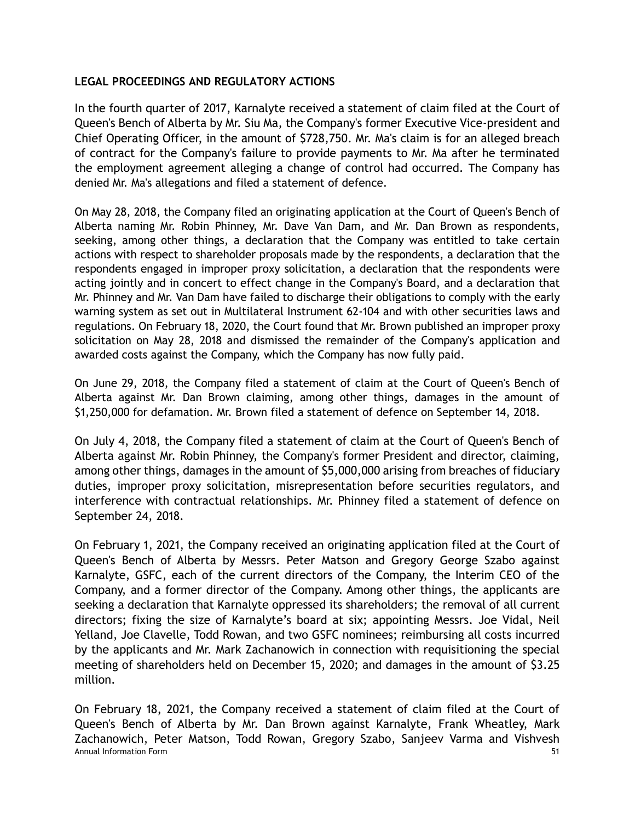# <span id="page-52-0"></span>**LEGAL PROCEEDINGS AND REGULATORY ACTIONS**

In the fourth quarter of 2017, Karnalyte received a statement of claim filed at the Court of Queen's Bench of Alberta by Mr. Siu Ma, the Company's former Executive Vice-president and Chief Operating Officer, in the amount of \$728,750. Mr. Ma's claim is for an alleged breach of contract for the Company's failure to provide payments to Mr. Ma after he terminated the employment agreement alleging a change of control had occurred. The Company has denied Mr. Ma's allegations and filed a statement of defence.

On May 28, 2018, the Company filed an originating application at the Court of Queen's Bench of Alberta naming Mr. Robin Phinney, Mr. Dave Van Dam, and Mr. Dan Brown as respondents, seeking, among other things, a declaration that the Company was entitled to take certain actions with respect to shareholder proposals made by the respondents, a declaration that the respondents engaged in improper proxy solicitation, a declaration that the respondents were acting jointly and in concert to effect change in the Company's Board, and a declaration that Mr. Phinney and Mr. Van Dam have failed to discharge their obligations to comply with the early warning system as set out in Multilateral Instrument 62-104 and with other securities laws and regulations. On February 18, 2020, the Court found that Mr. Brown published an improper proxy solicitation on May 28, 2018 and dismissed the remainder of the Company's application and awarded costs against the Company, which the Company has now fully paid.

On June 29, 2018, the Company filed a statement of claim at the Court of Queen's Bench of Alberta against Mr. Dan Brown claiming, among other things, damages in the amount of \$1,250,000 for defamation. Mr. Brown filed a statement of defence on September 14, 2018.

On July 4, 2018, the Company filed a statement of claim at the Court of Queen's Bench of Alberta against Mr. Robin Phinney, the Company's former President and director, claiming, among other things, damages in the amount of \$5,000,000 arising from breaches of fiduciary duties, improper proxy solicitation, misrepresentation before securities regulators, and interference with contractual relationships. Mr. Phinney filed a statement of defence on September 24, 2018.

On February 1, 2021, the Company received an originating application filed at the Court of Queen's Bench of Alberta by Messrs. Peter Matson and Gregory George Szabo against Karnalyte, GSFC, each of the current directors of the Company, the Interim CEO of the Company, and a former director of the Company. Among other things, the applicants are seeking a declaration that Karnalyte oppressed its shareholders; the removal of all current directors; fixing the size of Karnalyte's board at six; appointing Messrs. Joe Vidal, Neil Yelland, Joe Clavelle, Todd Rowan, and two GSFC nominees; reimbursing all costs incurred by the applicants and Mr. Mark Zachanowich in connection with requisitioning the special meeting of shareholders held on December 15, 2020; and damages in the amount of \$3.25 million.

Annual Information Form 51 On February 18, 2021, the Company received a statement of claim filed at the Court of Queen's Bench of Alberta by Mr. Dan Brown against Karnalyte, Frank Wheatley, Mark Zachanowich, Peter Matson, Todd Rowan, Gregory Szabo, Sanjeev Varma and Vishvesh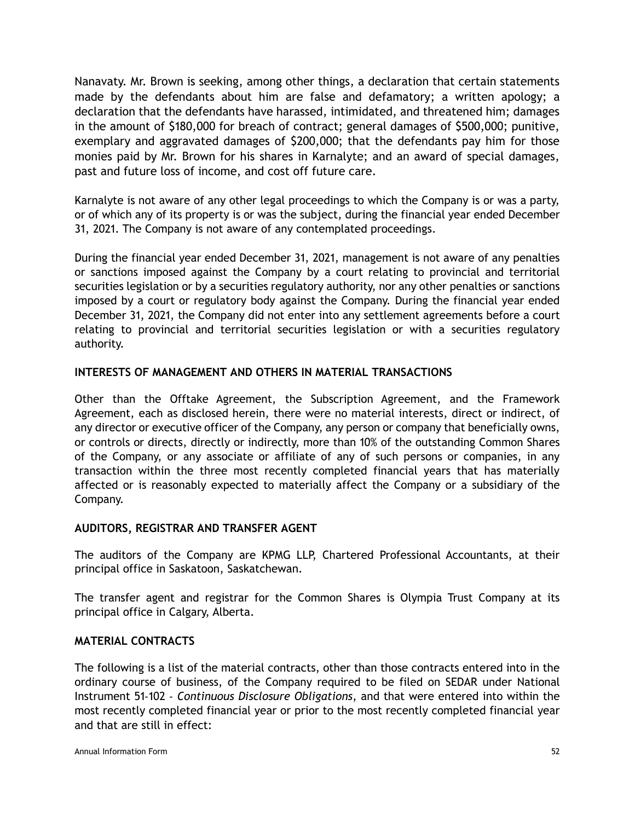Nanavaty. Mr. Brown is seeking, among other things, a declaration that certain statements made by the defendants about him are false and defamatory; a written apology; a declaration that the defendants have harassed, intimidated, and threatened him; damages in the amount of \$180,000 for breach of contract; general damages of \$500,000; punitive, exemplary and aggravated damages of \$200,000; that the defendants pay him for those monies paid by Mr. Brown for his shares in Karnalyte; and an award of special damages, past and future loss of income, and cost off future care.

Karnalyte is not aware of any other legal proceedings to which the Company is or was a party, or of which any of its property is or was the subject, during the financial year ended December 31, 2021. The Company is not aware of any contemplated proceedings.

During the financial year ended December 31, 2021, management is not aware of any penalties or sanctions imposed against the Company by a court relating to provincial and territorial securities legislation or by a securities regulatory authority, nor any other penalties or sanctions imposed by a court or regulatory body against the Company. During the financial year ended December 31, 2021, the Company did not enter into any settlement agreements before a court relating to provincial and territorial securities legislation or with a securities regulatory authority.

# <span id="page-53-0"></span>**INTERESTS OF MANAGEMENT AND OTHERS IN MATERIAL TRANSACTIONS**

Other than the Offtake Agreement, the Subscription Agreement, and the Framework Agreement, each as disclosed herein, there were no material interests, direct or indirect, of any director or executive officer of the Company, any person or company that beneficially owns, or controls or directs, directly or indirectly, more than 10% of the outstanding Common Shares of the Company, or any associate or affiliate of any of such persons or companies, in any transaction within the three most recently completed financial years that has materially affected or is reasonably expected to materially affect the Company or a subsidiary of the Company.

#### <span id="page-53-1"></span>**AUDITORS, REGISTRAR AND TRANSFER AGENT**

The auditors of the Company are KPMG LLP, Chartered Professional Accountants, at their principal office in Saskatoon, Saskatchewan.

The transfer agent and registrar for the Common Shares is Olympia Trust Company at its principal office in Calgary, Alberta.

#### <span id="page-53-2"></span>**MATERIAL CONTRACTS**

The following is a list of the material contracts, other than those contracts entered into in the ordinary course of business, of the Company required to be filed on SEDAR under National Instrument 51-102 - *Continuous Disclosure Obligations*, and that were entered into within the most recently completed financial year or prior to the most recently completed financial year and that are still in effect: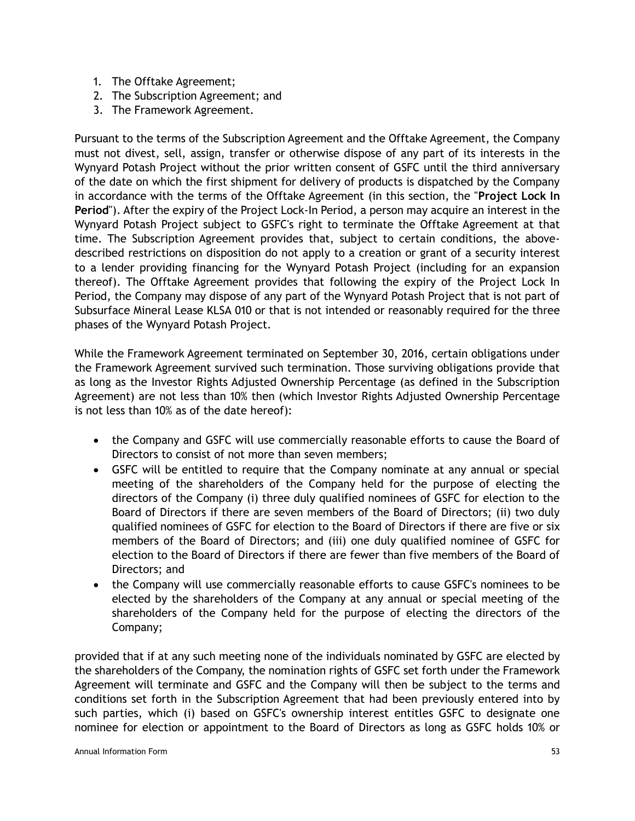- 1. The Offtake Agreement;
- 2. The Subscription Agreement; and
- 3. The Framework Agreement.

Pursuant to the terms of the Subscription Agreement and the Offtake Agreement, the Company must not divest, sell, assign, transfer or otherwise dispose of any part of its interests in the Wynyard Potash Project without the prior written consent of GSFC until the third anniversary of the date on which the first shipment for delivery of products is dispatched by the Company in accordance with the terms of the Offtake Agreement (in this section, the "**Project Lock In Period**"). After the expiry of the Project Lock-In Period, a person may acquire an interest in the Wynyard Potash Project subject to GSFC's right to terminate the Offtake Agreement at that time. The Subscription Agreement provides that, subject to certain conditions, the abovedescribed restrictions on disposition do not apply to a creation or grant of a security interest to a lender providing financing for the Wynyard Potash Project (including for an expansion thereof). The Offtake Agreement provides that following the expiry of the Project Lock In Period, the Company may dispose of any part of the Wynyard Potash Project that is not part of Subsurface Mineral Lease KLSA 010 or that is not intended or reasonably required for the three phases of the Wynyard Potash Project.

While the Framework Agreement terminated on September 30, 2016, certain obligations under the Framework Agreement survived such termination. Those surviving obligations provide that as long as the Investor Rights Adjusted Ownership Percentage (as defined in the Subscription Agreement) are not less than 10% then (which Investor Rights Adjusted Ownership Percentage is not less than 10% as of the date hereof):

- the Company and GSFC will use commercially reasonable efforts to cause the Board of Directors to consist of not more than seven members;
- GSFC will be entitled to require that the Company nominate at any annual or special meeting of the shareholders of the Company held for the purpose of electing the directors of the Company (i) three duly qualified nominees of GSFC for election to the Board of Directors if there are seven members of the Board of Directors; (ii) two duly qualified nominees of GSFC for election to the Board of Directors if there are five or six members of the Board of Directors; and (iii) one duly qualified nominee of GSFC for election to the Board of Directors if there are fewer than five members of the Board of Directors; and
- the Company will use commercially reasonable efforts to cause GSFC's nominees to be elected by the shareholders of the Company at any annual or special meeting of the shareholders of the Company held for the purpose of electing the directors of the Company;

provided that if at any such meeting none of the individuals nominated by GSFC are elected by the shareholders of the Company, the nomination rights of GSFC set forth under the Framework Agreement will terminate and GSFC and the Company will then be subject to the terms and conditions set forth in the Subscription Agreement that had been previously entered into by such parties, which (i) based on GSFC's ownership interest entitles GSFC to designate one nominee for election or appointment to the Board of Directors as long as GSFC holds 10% or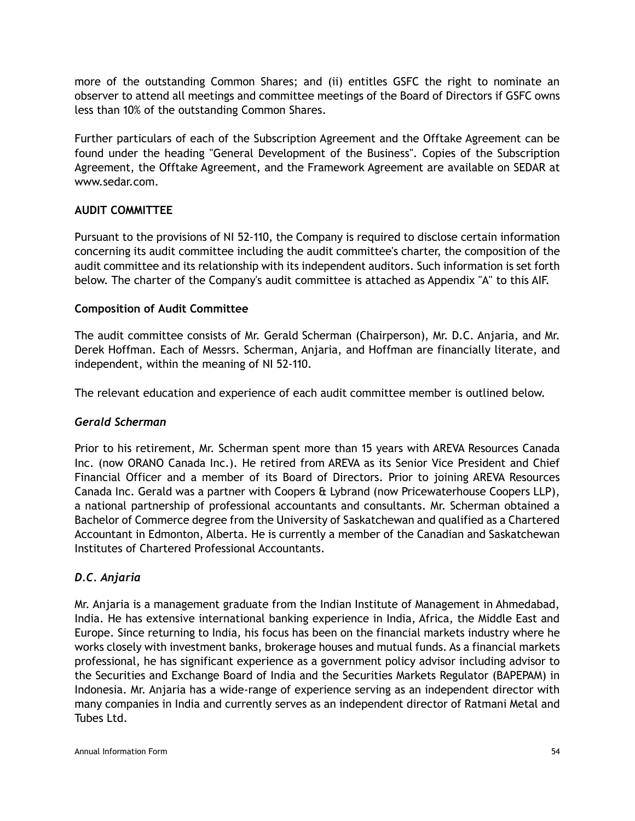more of the outstanding Common Shares; and (ii) entitles GSFC the right to nominate an observer to attend all meetings and committee meetings of the Board of Directors if GSFC owns less than 10% of the outstanding Common Shares.

Further particulars of each of the Subscription Agreement and the Offtake Agreement can be found under the heading ["General Development of the Business"](#page-12-0). Copies of the Subscription Agreement, the Offtake Agreement, and the Framework Agreement are available on SEDAR at www.sedar.com.

# <span id="page-55-0"></span>**AUDIT COMMITTEE**

Pursuant to the provisions of NI 52-110, the Company is required to disclose certain information concerning its audit committee including the audit committee's charter, the composition of the audit committee and its relationship with its independent auditors. Such information is set forth below. The charter of the Company's audit committee is attached as Appendix "A" to this AIF.

#### **Composition of Audit Committee**

The audit committee consists of Mr. Gerald Scherman (Chairperson), Mr. D.C. Anjaria, and Mr. Derek Hoffman. Each of Messrs. Scherman, Anjaria, and Hoffman are financially literate, and independent, within the meaning of NI 52-110.

The relevant education and experience of each audit committee member is outlined below.

#### *Gerald Scherman*

Prior to his retirement, Mr. Scherman spent more than 15 years with AREVA Resources Canada Inc. (now ORANO Canada Inc.). He retired from AREVA as its Senior Vice President and Chief Financial Officer and a member of its Board of Directors. Prior to joining AREVA Resources Canada Inc. Gerald was a partner with Coopers & Lybrand (now Pricewaterhouse Coopers LLP), a national partnership of professional accountants and consultants. Mr. Scherman obtained a Bachelor of Commerce degree from the University of Saskatchewan and qualified as a Chartered Accountant in Edmonton, Alberta. He is currently a member of the Canadian and Saskatchewan Institutes of Chartered Professional Accountants.

#### *D.C. Anjaria*

Mr. Anjaria is a management graduate from the Indian Institute of Management in Ahmedabad, India. He has extensive international banking experience in India, Africa, the Middle East and Europe. Since returning to India, his focus has been on the financial markets industry where he works closely with investment banks, brokerage houses and mutual funds. As a financial markets professional, he has significant experience as a government policy advisor including advisor to the Securities and Exchange Board of India and the Securities Markets Regulator (BAPEPAM) in Indonesia. Mr. Anjaria has a wide-range of experience serving as an independent director with many companies in India and currently serves as an independent director of Ratmani Metal and Tubes Ltd.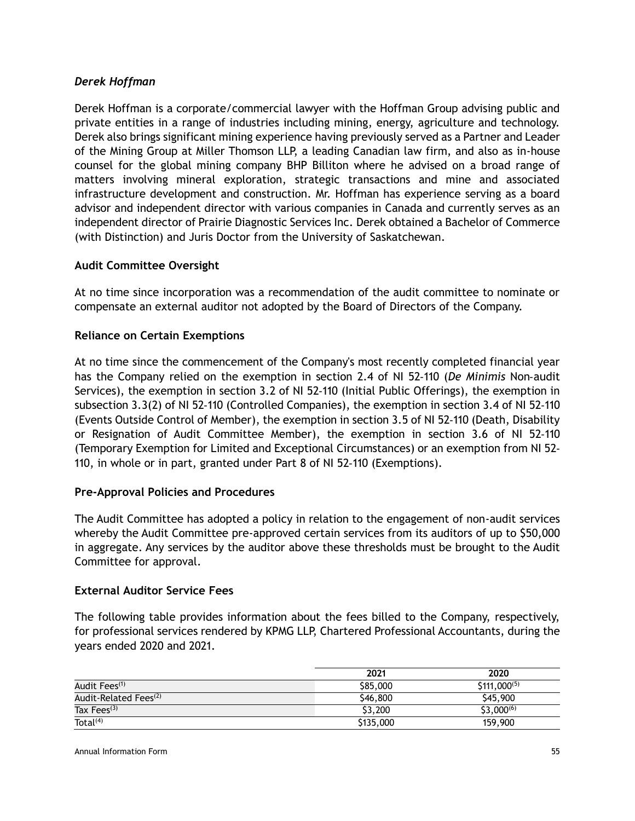# *Derek Hoffman*

Derek Hoffman is a corporate/commercial lawyer with the Hoffman Group advising public and private entities in a range of industries including mining, energy, agriculture and technology. Derek also brings significant mining experience having previously served as a Partner and Leader of the Mining Group at Miller Thomson LLP, a leading Canadian law firm, and also as in-house counsel for the global mining company BHP Billiton where he advised on a broad range of matters involving mineral exploration, strategic transactions and mine and associated infrastructure development and construction. Mr. Hoffman has experience serving as a board advisor and independent director with various companies in Canada and currently serves as an independent director of Prairie Diagnostic Services Inc. Derek obtained a Bachelor of Commerce (with Distinction) and Juris Doctor from the University of Saskatchewan.

#### **Audit Committee Oversight**

At no time since incorporation was a recommendation of the audit committee to nominate or compensate an external auditor not adopted by the Board of Directors of the Company.

# **Reliance on Certain Exemptions**

At no time since the commencement of the Company's most recently completed financial year has the Company relied on the exemption in section 2.4 of NI 52-110 (*De Minimis* Non-audit Services), the exemption in section 3.2 of NI 52-110 (Initial Public Offerings), the exemption in subsection 3.3(2) of NI 52-110 (Controlled Companies), the exemption in section 3.4 of NI 52-110 (Events Outside Control of Member), the exemption in section 3.5 of NI 52-110 (Death, Disability or Resignation of Audit Committee Member), the exemption in section 3.6 of NI 52-110 (Temporary Exemption for Limited and Exceptional Circumstances) or an exemption from NI 52- 110, in whole or in part, granted under Part 8 of NI 52-110 (Exemptions).

#### **Pre-Approval Policies and Procedures**

The Audit Committee has adopted a policy in relation to the engagement of non-audit services whereby the Audit Committee pre-approved certain services from its auditors of up to \$50,000 in aggregate. Any services by the auditor above these thresholds must be brought to the Audit Committee for approval.

#### **External Auditor Service Fees**

The following table provides information about the fees billed to the Company, respectively, for professional services rendered by KPMG LLP, Chartered Professional Accountants, during the years ended 2020 and 2021.

|                                   | 2021      | 2020              |
|-----------------------------------|-----------|-------------------|
| Audit Fees <sup>(1)</sup>         | \$85,000  | $$111,000^{(5)}$$ |
| Audit-Related Fees <sup>(2)</sup> | \$46,800  | \$45,900          |
| Tax Fees $(3)$                    | \$3,200   | $$3,000^{(6)}$$   |
| Total <sup>(4)</sup>              | \$135,000 | 159,900           |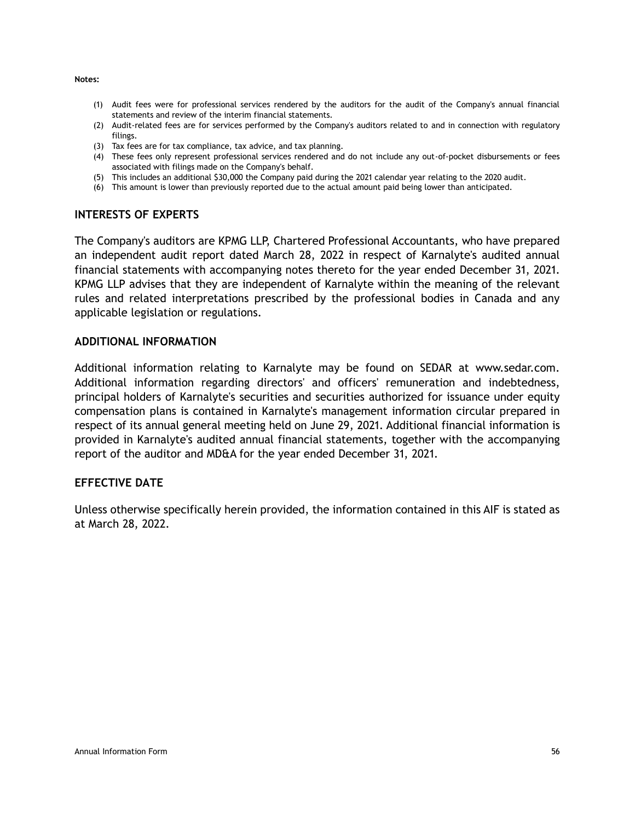**Notes:**

- (1) Audit fees were for professional services rendered by the auditors for the audit of the Company's annual financial statements and review of the interim financial statements.
- (2) Audit-related fees are for services performed by the Company's auditors related to and in connection with regulatory filings.
- (3) Tax fees are for tax compliance, tax advice, and tax planning.
- (4) These fees only represent professional services rendered and do not include any out-of-pocket disbursements or fees associated with filings made on the Company's behalf.
- (5) This includes an additional \$30,000 the Company paid during the 2021 calendar year relating to the 2020 audit.
- (6) This amount is lower than previously reported due to the actual amount paid being lower than anticipated.

#### <span id="page-57-0"></span>**INTERESTS OF EXPERTS**

The Company's auditors are KPMG LLP, Chartered Professional Accountants, who have prepared an independent audit report dated March 28, 2022 in respect of Karnalyte's audited annual financial statements with accompanying notes thereto for the year ended December 31, 2021. KPMG LLP advises that they are independent of Karnalyte within the meaning of the relevant rules and related interpretations prescribed by the professional bodies in Canada and any applicable legislation or regulations.

#### <span id="page-57-1"></span>**ADDITIONAL INFORMATION**

Additional information relating to Karnalyte may be found on SEDAR at www.sedar.com. Additional information regarding directors' and officers' remuneration and indebtedness, principal holders of Karnalyte's securities and securities authorized for issuance under equity compensation plans is contained in Karnalyte's management information circular prepared in respect of its annual general meeting held on June 29, 2021. Additional financial information is provided in Karnalyte's audited annual financial statements, together with the accompanying report of the auditor and MD&A for the year ended December 31, 2021.

#### <span id="page-57-2"></span>**EFFECTIVE DATE**

Unless otherwise specifically herein provided, the information contained in this AIF is stated as at March 28, 2022.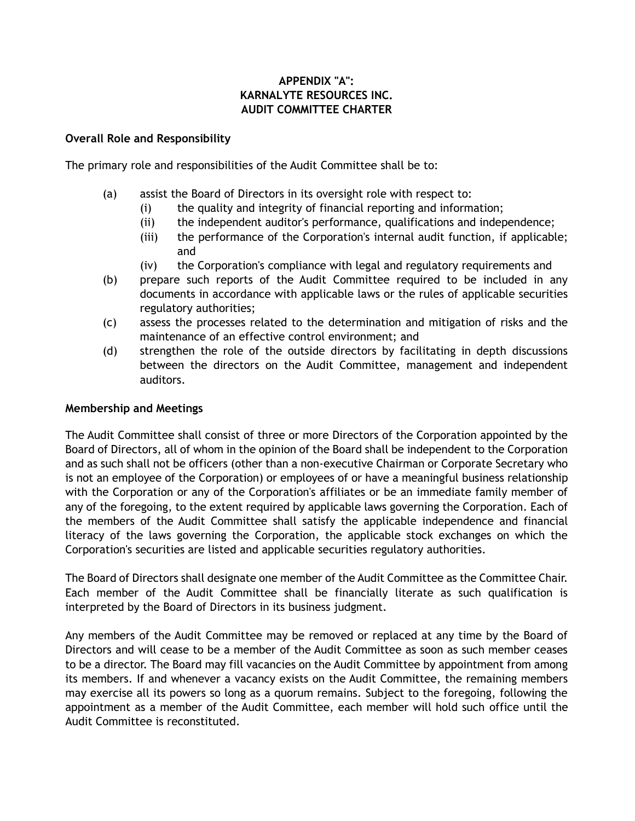# **APPENDIX "A": KARNALYTE RESOURCES INC. AUDIT COMMITTEE CHARTER**

#### <span id="page-58-0"></span>**Overall Role and Responsibility**

The primary role and responsibilities of the Audit Committee shall be to:

- (a) assist the Board of Directors in its oversight role with respect to:
	- (i) the quality and integrity of financial reporting and information;
	- (ii) the independent auditor's performance, qualifications and independence;
	- (iii) the performance of the Corporation's internal audit function, if applicable; and
	- (iv) the Corporation's compliance with legal and regulatory requirements and
- (b) prepare such reports of the Audit Committee required to be included in any documents in accordance with applicable laws or the rules of applicable securities regulatory authorities;
- (c) assess the processes related to the determination and mitigation of risks and the maintenance of an effective control environment; and
- (d) strengthen the role of the outside directors by facilitating in depth discussions between the directors on the Audit Committee, management and independent auditors.

#### **Membership and Meetings**

The Audit Committee shall consist of three or more Directors of the Corporation appointed by the Board of Directors, all of whom in the opinion of the Board shall be independent to the Corporation and as such shall not be officers (other than a non-executive Chairman or Corporate Secretary who is not an employee of the Corporation) or employees of or have a meaningful business relationship with the Corporation or any of the Corporation's affiliates or be an immediate family member of any of the foregoing, to the extent required by applicable laws governing the Corporation. Each of the members of the Audit Committee shall satisfy the applicable independence and financial literacy of the laws governing the Corporation, the applicable stock exchanges on which the Corporation's securities are listed and applicable securities regulatory authorities.

The Board of Directors shall designate one member of the Audit Committee as the Committee Chair. Each member of the Audit Committee shall be financially literate as such qualification is interpreted by the Board of Directors in its business judgment.

Any members of the Audit Committee may be removed or replaced at any time by the Board of Directors and will cease to be a member of the Audit Committee as soon as such member ceases to be a director. The Board may fill vacancies on the Audit Committee by appointment from among its members. If and whenever a vacancy exists on the Audit Committee, the remaining members may exercise all its powers so long as a quorum remains. Subject to the foregoing, following the appointment as a member of the Audit Committee, each member will hold such office until the Audit Committee is reconstituted.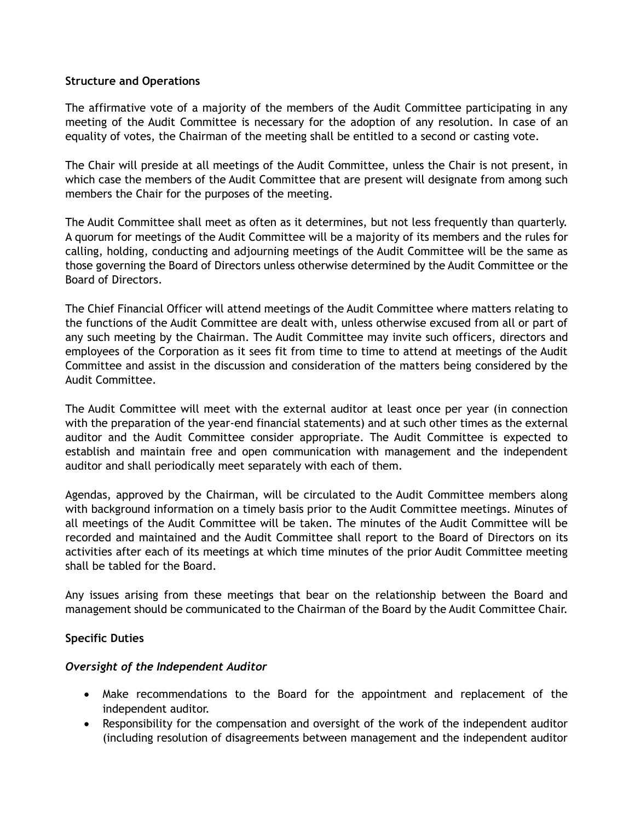## **Structure and Operations**

The affirmative vote of a majority of the members of the Audit Committee participating in any meeting of the Audit Committee is necessary for the adoption of any resolution. In case of an equality of votes, the Chairman of the meeting shall be entitled to a second or casting vote.

The Chair will preside at all meetings of the Audit Committee, unless the Chair is not present, in which case the members of the Audit Committee that are present will designate from among such members the Chair for the purposes of the meeting.

The Audit Committee shall meet as often as it determines, but not less frequently than quarterly. A quorum for meetings of the Audit Committee will be a majority of its members and the rules for calling, holding, conducting and adjourning meetings of the Audit Committee will be the same as those governing the Board of Directors unless otherwise determined by the Audit Committee or the Board of Directors.

The Chief Financial Officer will attend meetings of the Audit Committee where matters relating to the functions of the Audit Committee are dealt with, unless otherwise excused from all or part of any such meeting by the Chairman. The Audit Committee may invite such officers, directors and employees of the Corporation as it sees fit from time to time to attend at meetings of the Audit Committee and assist in the discussion and consideration of the matters being considered by the Audit Committee.

The Audit Committee will meet with the external auditor at least once per year (in connection with the preparation of the year-end financial statements) and at such other times as the external auditor and the Audit Committee consider appropriate. The Audit Committee is expected to establish and maintain free and open communication with management and the independent auditor and shall periodically meet separately with each of them.

Agendas, approved by the Chairman, will be circulated to the Audit Committee members along with background information on a timely basis prior to the Audit Committee meetings. Minutes of all meetings of the Audit Committee will be taken. The minutes of the Audit Committee will be recorded and maintained and the Audit Committee shall report to the Board of Directors on its activities after each of its meetings at which time minutes of the prior Audit Committee meeting shall be tabled for the Board.

Any issues arising from these meetings that bear on the relationship between the Board and management should be communicated to the Chairman of the Board by the Audit Committee Chair.

# **Specific Duties**

# *Oversight of the Independent Auditor*

- Make recommendations to the Board for the appointment and replacement of the independent auditor.
- Responsibility for the compensation and oversight of the work of the independent auditor (including resolution of disagreements between management and the independent auditor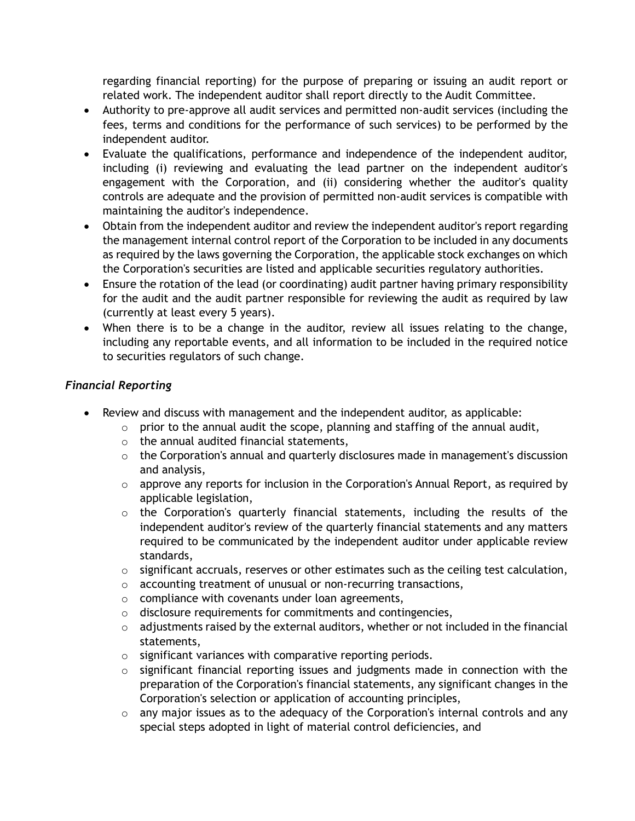regarding financial reporting) for the purpose of preparing or issuing an audit report or related work. The independent auditor shall report directly to the Audit Committee.

- Authority to pre-approve all audit services and permitted non-audit services (including the fees, terms and conditions for the performance of such services) to be performed by the independent auditor.
- Evaluate the qualifications, performance and independence of the independent auditor, including (i) reviewing and evaluating the lead partner on the independent auditor's engagement with the Corporation, and (ii) considering whether the auditor's quality controls are adequate and the provision of permitted non-audit services is compatible with maintaining the auditor's independence.
- Obtain from the independent auditor and review the independent auditor's report regarding the management internal control report of the Corporation to be included in any documents as required by the laws governing the Corporation, the applicable stock exchanges on which the Corporation's securities are listed and applicable securities regulatory authorities.
- Ensure the rotation of the lead (or coordinating) audit partner having primary responsibility for the audit and the audit partner responsible for reviewing the audit as required by law (currently at least every 5 years).
- When there is to be a change in the auditor, review all issues relating to the change, including any reportable events, and all information to be included in the required notice to securities regulators of such change.

# *Financial Reporting*

- Review and discuss with management and the independent auditor, as applicable:
	- $\circ$  prior to the annual audit the scope, planning and staffing of the annual audit,
	- o the annual audited financial statements,
	- o the Corporation's annual and quarterly disclosures made in management's discussion and analysis,
	- o approve any reports for inclusion in the Corporation's Annual Report, as required by applicable legislation,
	- o the Corporation's quarterly financial statements, including the results of the independent auditor's review of the quarterly financial statements and any matters required to be communicated by the independent auditor under applicable review standards,
	- $\circ$  significant accruals, reserves or other estimates such as the ceiling test calculation,
	- o accounting treatment of unusual or non-recurring transactions,
	- $\circ$  compliance with covenants under loan agreements,
	- o disclosure requirements for commitments and contingencies,
	- $\circ$  adjustments raised by the external auditors, whether or not included in the financial statements,
	- o significant variances with comparative reporting periods.
	- $\circ$  significant financial reporting issues and judgments made in connection with the preparation of the Corporation's financial statements, any significant changes in the Corporation's selection or application of accounting principles,
	- o any major issues as to the adequacy of the Corporation's internal controls and any special steps adopted in light of material control deficiencies, and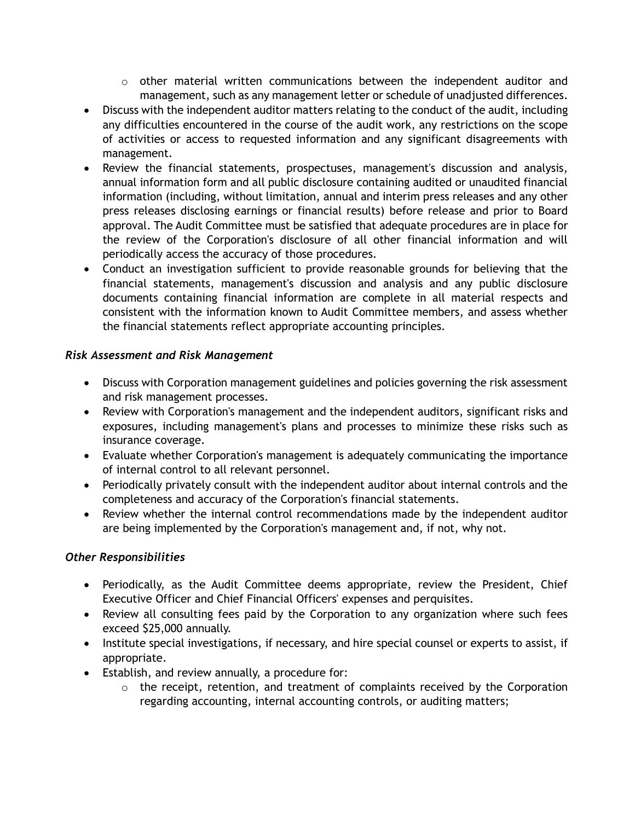- $\circ$  other material written communications between the independent auditor and management, such as any management letter or schedule of unadjusted differences.
- Discuss with the independent auditor matters relating to the conduct of the audit, including any difficulties encountered in the course of the audit work, any restrictions on the scope of activities or access to requested information and any significant disagreements with management.
- Review the financial statements, prospectuses, management's discussion and analysis, annual information form and all public disclosure containing audited or unaudited financial information (including, without limitation, annual and interim press releases and any other press releases disclosing earnings or financial results) before release and prior to Board approval. The Audit Committee must be satisfied that adequate procedures are in place for the review of the Corporation's disclosure of all other financial information and will periodically access the accuracy of those procedures.
- Conduct an investigation sufficient to provide reasonable grounds for believing that the financial statements, management's discussion and analysis and any public disclosure documents containing financial information are complete in all material respects and consistent with the information known to Audit Committee members, and assess whether the financial statements reflect appropriate accounting principles.

# *Risk Assessment and Risk Management*

- Discuss with Corporation management guidelines and policies governing the risk assessment and risk management processes.
- Review with Corporation's management and the independent auditors, significant risks and exposures, including management's plans and processes to minimize these risks such as insurance coverage.
- Evaluate whether Corporation's management is adequately communicating the importance of internal control to all relevant personnel.
- Periodically privately consult with the independent auditor about internal controls and the completeness and accuracy of the Corporation's financial statements.
- Review whether the internal control recommendations made by the independent auditor are being implemented by the Corporation's management and, if not, why not.

# *Other Responsibilities*

- Periodically, as the Audit Committee deems appropriate, review the President, Chief Executive Officer and Chief Financial Officers' expenses and perquisites.
- Review all consulting fees paid by the Corporation to any organization where such fees exceed \$25,000 annually.
- Institute special investigations, if necessary, and hire special counsel or experts to assist, if appropriate.
- Establish, and review annually, a procedure for:
	- $\circ$  the receipt, retention, and treatment of complaints received by the Corporation regarding accounting, internal accounting controls, or auditing matters;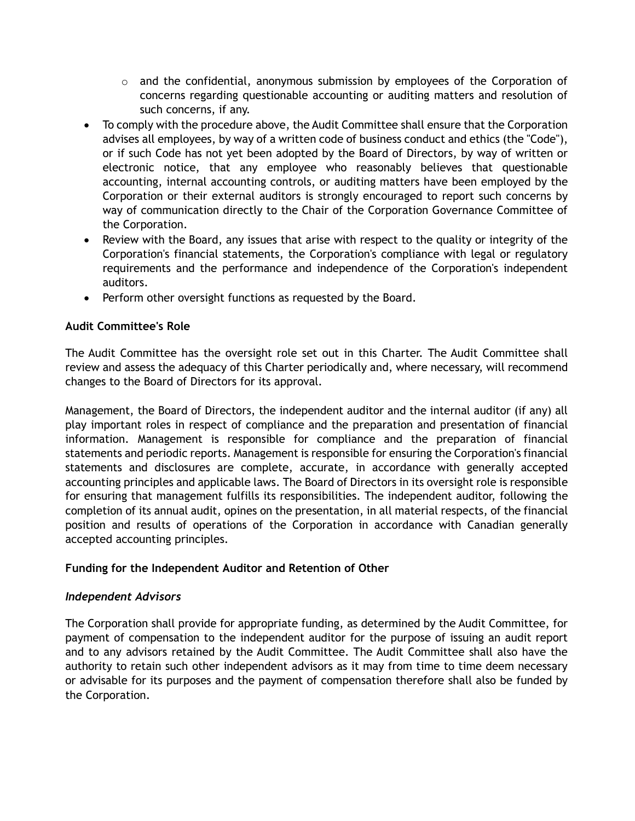- $\circ$  and the confidential, anonymous submission by employees of the Corporation of concerns regarding questionable accounting or auditing matters and resolution of such concerns, if any.
- To comply with the procedure above, the Audit Committee shall ensure that the Corporation advises all employees, by way of a written code of business conduct and ethics (the "Code"), or if such Code has not yet been adopted by the Board of Directors, by way of written or electronic notice, that any employee who reasonably believes that questionable accounting, internal accounting controls, or auditing matters have been employed by the Corporation or their external auditors is strongly encouraged to report such concerns by way of communication directly to the Chair of the Corporation Governance Committee of the Corporation.
- Review with the Board, any issues that arise with respect to the quality or integrity of the Corporation's financial statements, the Corporation's compliance with legal or regulatory requirements and the performance and independence of the Corporation's independent auditors.
- Perform other oversight functions as requested by the Board.

# **Audit Committee's Role**

The Audit Committee has the oversight role set out in this Charter. The Audit Committee shall review and assess the adequacy of this Charter periodically and, where necessary, will recommend changes to the Board of Directors for its approval.

Management, the Board of Directors, the independent auditor and the internal auditor (if any) all play important roles in respect of compliance and the preparation and presentation of financial information. Management is responsible for compliance and the preparation of financial statements and periodic reports. Management is responsible for ensuring the Corporation's financial statements and disclosures are complete, accurate, in accordance with generally accepted accounting principles and applicable laws. The Board of Directors in its oversight role is responsible for ensuring that management fulfills its responsibilities. The independent auditor, following the completion of its annual audit, opines on the presentation, in all material respects, of the financial position and results of operations of the Corporation in accordance with Canadian generally accepted accounting principles.

# **Funding for the Independent Auditor and Retention of Other**

# *Independent Advisors*

The Corporation shall provide for appropriate funding, as determined by the Audit Committee, for payment of compensation to the independent auditor for the purpose of issuing an audit report and to any advisors retained by the Audit Committee. The Audit Committee shall also have the authority to retain such other independent advisors as it may from time to time deem necessary or advisable for its purposes and the payment of compensation therefore shall also be funded by the Corporation.